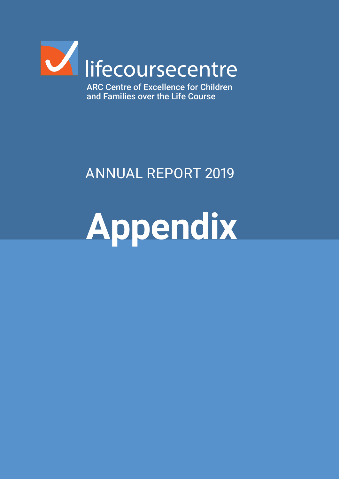

ARC Centre of Excellence for Children and Families over the Life Course

# ANNUAL REPORT 2019

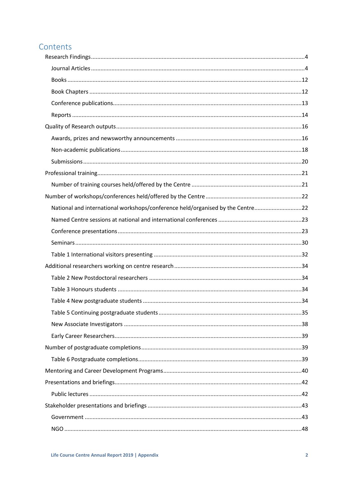# Contents

| National and international workshops/conference held/organised by the Centre22 |  |
|--------------------------------------------------------------------------------|--|
|                                                                                |  |
|                                                                                |  |
|                                                                                |  |
|                                                                                |  |
|                                                                                |  |
|                                                                                |  |
|                                                                                |  |
|                                                                                |  |
|                                                                                |  |
|                                                                                |  |
|                                                                                |  |
|                                                                                |  |
|                                                                                |  |
|                                                                                |  |
|                                                                                |  |
|                                                                                |  |
|                                                                                |  |
|                                                                                |  |
|                                                                                |  |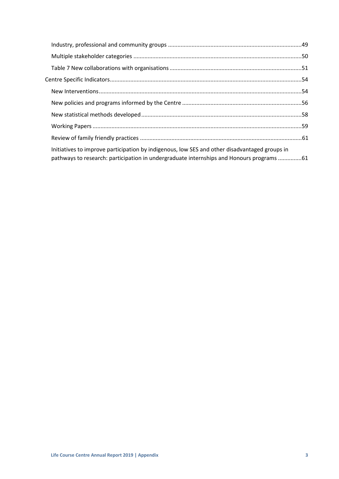| Initiatives to improve participation by indigenous, low SES and other disadvantaged groups in<br>pathways to research: participation in undergraduate internships and Honours programs 61 |  |
|-------------------------------------------------------------------------------------------------------------------------------------------------------------------------------------------|--|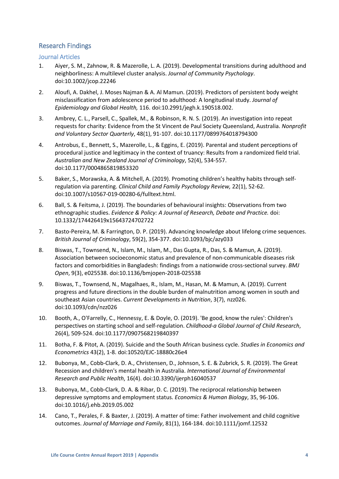# <span id="page-3-0"></span>Research Findings

<span id="page-3-1"></span>Journal Articles

- 1. Aiyer, S. M., Zahnow, R. & Mazerolle, L. A. (2019). Developmental transitions during adulthood and neighborliness: A multilevel cluster analysis. *Journal of Community Psychology*. doi:10.1002/jcop.22246
- 2. Aloufi, A. Dakhel, J. Moses Najman & A. Al Mamun. (2019). Predictors of persistent body weight misclassification from adolescence period to adulthood: A longitudinal study. *Journal of Epidemiology and Global Health,* 116. doi:10.2991/jegh.k.190518.002.
- 3. Ambrey, C. L., Parsell, C., Spallek, M., & Robinson, R. N. S. (2019). An investigation into repeat requests for charity: Evidence from the St Vincent de Paul Society Queensland, Australia. *Nonprofit and Voluntary Sector Quarterly*, 48(1), 91-107. doi:10.1177/0899764018794300
- 4. Antrobus, E., Bennett, S., Mazerolle, L., & Eggins, E. (2019). Parental and student perceptions of procedural justice and legitimacy in the context of truancy: Results from a randomized field trial. *Australian and New Zealand Journal of Criminology*, 52(4), 534-557. doi:10.1177/0004865819853320
- 5. Baker, S., Morawska, A. & Mitchell, A. (2019). Promoting children's healthy habits through selfregulation via parenting. *Clinical Child and Family Psychology Review,* 22(1), 52-62. doi:10.1007/s10567-019-00280-6/fulltext.html.
- 6. Ball, S. & Feitsma, J. (2019). The boundaries of behavioural insights: Observations from two ethnographic studies. *Evidence & Policy: A Journal of Research, Debate and Practice.* doi: 10.1332/174426419x15643724702722
- 7. Basto-Pereira, M. & Farrington, D. P. (2019). Advancing knowledge about lifelong crime sequences. *British Journal of Criminology*, 59(2), 354-377. doi:10.1093/bjc/azy033
- 8. Biswas, T., Townsend, N., Islam, M., Islam, M., Das Gupta, R., Das, S. & Mamun, A. (2019). Association between socioeconomic status and prevalence of non-communicable diseases risk factors and comorbidities in Bangladesh: findings from a nationwide cross-sectional survey. *BMJ Open*, 9(3), e025538. doi:10.1136/bmjopen-2018-025538
- 9. Biswas, T., Townsend, N., Magalhaes, R., Islam, M., Hasan, M. & Mamun, A. (2019). Current progress and future directions in the double burden of malnutrition among women in south and southeast Asian countries. *Current Developments in Nutrition*, 3(7), nzz026. doi:10.1093/cdn/nzz026
- 10. Booth, A., O'Farrelly, C., Hennessy, E. & Doyle, O. (2019). 'Be good, know the rules': Children's perspectives on starting school and self-regulation. *Childhood-a Global Journal of Child Research*, 26(4), 509-524. doi:10.1177/0907568219840397
- 11. Botha, F. & Pitot, A. (2019). Suicide and the South African business cycle. *Studies in Economics and Econometrics* 43(2), 1-8. doi:10520/EJC-18880c26e4
- 12. Bubonya, M., Cobb-Clark, D. A., Christensen, D., Johnson, S. E. & Zubrick, S. R. (2019). The Great Recession and children's mental health in Australia. *International Journal of Environmental Research and Public Health*, 16(4). doi:10.3390/ijerph16040537
- 13. Bubonya, M., Cobb-Clark, D. A. & Ribar, D. C. (2019). The reciprocal relationship between depressive symptoms and employment status. *Economics & Human Biology*, 35, 96-106. doi:10.1016/j.ehb.2019.05.002
- 14. Cano, T., Perales, F. & Baxter, J. (2019). A matter of time: Father involvement and child cognitive outcomes. *Journal of Marriage and Family*, 81(1), 164-184. doi:10.1111/jomf.12532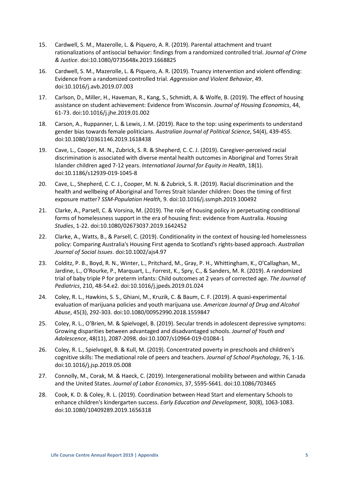- 15. Cardwell, S. M., Mazerolle, L. & Piquero, A. R. (2019). Parental attachment and truant rationalizations of antisocial behavior: findings from a randomized controlled trial. *Journal of Crime & Justice*. doi:10.1080/0735648x.2019.1668825
- 16. Cardwell, S. M., Mazerolle, L. & Piquero, A. R. (2019). Truancy intervention and violent offending: Evidence from a randomized controlled trial. *Aggression and Violent Behavior*, 49. doi:10.1016/j.avb.2019.07.003
- 17. Carlson, D., Miller, H., Haveman, R., Kang, S., Schmidt, A. & Wolfe, B. (2019). The effect of housing assistance on student achievement: Evidence from Wisconsin. *Journal of Housing Economics*, 44, 61-73. doi:10.1016/j.jhe.2019.01.002
- 18. Carson, A., Ruppanner, L. & Lewis, J. M. (2019). Race to the top: using experiments to understand gender bias towards female politicians. *Australian Journal of Political Science*, 54(4), 439-455. doi:10.1080/10361146.2019.1618438
- 19. Cave, L., Cooper, M. N., Zubrick, S. R. & Shepherd, C. C. J. (2019). Caregiver-perceived racial discrimination is associated with diverse mental health outcomes in Aboriginal and Torres Strait Islander children aged 7-12 years. *International Journal for Equity in Health*, 18(1). doi:10.1186/s12939-019-1045-8
- 20. Cave, L., Shepherd, C. C. J., Cooper, M. N. & Zubrick, S. R. (2019). Racial discrimination and the health and wellbeing of Aboriginal and Torres Strait Islander children: Does the timing of first exposure matter? *SSM-Population Health*, 9. doi:10.1016/j.ssmph.2019.100492
- 21. Clarke, A., Parsell, C. & Vorsina, M. (2019). The role of housing policy in perpetuating conditional forms of homelessness support in the era of housing first: evidence from Australia. *Housing Studies*, 1-22. doi:10.1080/02673037.2019.1642452
- 22. Clarke, A., Watts, B., & Parsell, C. (2019). Conditionality in the context of housing-led homelessness policy: Comparing Australia's Housing First agenda to Scotland's rights-based approach. *Australian Journal of Social Issues*. doi:10.1002/ajs4.97
- 23. Colditz, P. B., Boyd, R. N., Winter, L., Pritchard, M., Gray, P. H., Whittingham, K., O'Callaghan, M., Jardine, L., O'Rourke, P., Marquart, L., Forrest, K., Spry, C., & Sanders, M. R. (2019). A randomized trial of baby triple P for preterm infants: Child outcomes at 2 years of corrected age. *The Journal of Pediatrics*, 210, 48-54.e2. doi:10.1016/j.jpeds.2019.01.024
- 24. Coley, R. L., Hawkins, S. S., Ghiani, M., Kruzik, C. & Baum, C. F. (2019). A quasi-experimental evaluation of marijuana policies and youth marijuana use. *American Journal of Drug and Alcohol Abuse*, 45(3), 292-303. doi:10.1080/00952990.2018.1559847
- 25. Coley, R. L., O'Brien, M. & Spielvogel, B. (2019). Secular trends in adolescent depressive symptoms: Growing disparities between advantaged and disadvantaged schools. *Journal of Youth and Adolescence*, 48(11), 2087-2098. doi:10.1007/s10964-019-01084-1
- 26. Coley, R. L., Spielvogel, B. & Kull, M. (2019). Concentrated poverty in preschools and children's cognitive skills: The mediational role of peers and teachers. *Journal of School Psychology*, 76, 1-16. doi:10.1016/j.jsp.2019.05.008
- 27. Connolly, M., Corak, M. & Haeck, C. (2019). Intergenerational mobility between and within Canada and the United States. *Journal of Labor Economics*, 37, S595-S641. doi:10.1086/703465
- 28. Cook, K. D. & Coley, R. L. (2019). Coordination between Head Start and elementary Schools to enhance children's kindergarten success. *Early Education and Development*, 30(8), 1063-1083. doi:10.1080/10409289.2019.1656318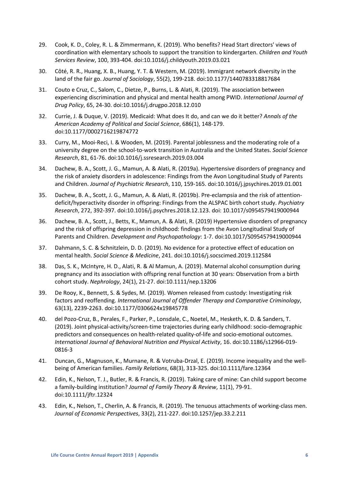- 29. Cook, K. D., Coley, R. L. & Zimmermann, K. (2019). Who benefits? Head Start directors' views of coordination with elementary schools to support the transition to kindergarten. *Children and Youth Services Review*, 100, 393-404. doi:10.1016/j.childyouth.2019.03.021
- 30. Côté, R. R., Huang, X. B., Huang, Y. T. & Western, M. (2019). Immigrant network diversity in the land of the fair go. *Journal of Sociology*, 55(2), 199-218. doi:10.1177/1440783318817684
- 31. Couto e Cruz, C., Salom, C., Dietze, P., Burns, L. & Alati, R. (2019). The association between experiencing discrimination and physical and mental health among PWID. *International Journal of Drug Policy*, 65, 24-30. doi:10.1016/j.drugpo.2018.12.010
- 32. Currie, J. & Duque, V. (2019). Medicaid: What does It do, and can we do it better? *Annals of the American Academy of Political and Social Science*, 686(1), 148-179. doi:10.1177/0002716219874772
- 33. Curry, M., Mooi-Reci, I. & Wooden, M. (2019). Parental joblessness and the moderating role of a university degree on the school-to-work transition in Australia and the United States. *Social Science Research*, 81, 61-76. doi:10.1016/j.ssresearch.2019.03.004
- 34. Dachew, B. A., Scott, J. G., Mamun, A. & Alati, R. (2019a). Hypertensive disorders of pregnancy and the risk of anxiety disorders in adolescence: Findings from the Avon Longitudinal Study of Parents and Children. *Journal of Psychiatric Research*, 110, 159-165. doi:10.1016/j.jpsychires.2019.01.001
- 35. Dachew, B. A., Scott, J. G., Mamun, A. & Alati, R. (2019b). Pre-eclampsia and the risk of attentiondeficit/hyperactivity disorder in offspring: Findings from the ALSPAC birth cohort study. *Psychiatry Research*, 272, 392-397. doi:10.1016/j.psychres.2018.12.123. doi: 10.1017/s0954579419000944
- 36. Dachew, B. A., Scott, J., Betts, K., Mamun, A. & Alati, R. (2019) Hypertensive disorders of pregnancy and the risk of offspring depression in childhood: findings from the Avon Longitudinal Study of Parents and Children. *Development and Psychopathology*: 1-7. doi:10.1017/S0954579419000944
- 37. Dahmann, S. C. & Schnitzlein, D. D. (2019). No evidence for a protective effect of education on mental health. *Social Science & Medicine*, 241. doi:10.1016/j.socscimed.2019.112584
- 38. Das, S. K., McIntyre, H. D., Alati, R. & Al Mamun, A. (2019). Maternal alcohol consumption during pregnancy and its association with offspring renal function at 30 years: Observation from a birth cohort study. *Nephrology*, 24(1), 21-27. doi:10.1111/nep.13206
- 39. De Rooy, K., Bennett, S. & Sydes, M. (2019). Women released from custody: Investigating risk factors and reoffending. *International Journal of Offender Therapy and Comparative Criminology*, 63(13), 2239-2263. doi:10.1177/0306624x19845778
- 40. del Pozo-Cruz, B., Perales, F., Parker, P., Lonsdale, C., Noetel, M., Hesketh, K. D. & Sanders, T. (2019). Joint physical-activity/screen-time trajectories during early childhood: socio-demographic predictors and consequences on health-related quality-of-life and socio-emotional outcomes. *International Journal of Behavioral Nutrition and Physical Activity*, 16. doi:10.1186/s12966-019- 0816-3
- 41. Duncan, G., Magnuson, K., Murnane, R. & Votruba-Drzal, E. (2019). Income inequality and the wellbeing of American families. *Family Relations*, 68(3), 313-325. doi:10.1111/fare.12364
- 42. Edin, K., Nelson, T. J., Butler, R. & Francis, R. (2019). Taking care of mine: Can child support become a family-building institution? *Journal of Family Theory & Review*, 11(1), 79-91. doi:10.1111/jftr.12324
- 43. Edin, K., Nelson, T., Cherlin, A. & Francis, R. (2019). The tenuous attachments of working-class men. *Journal of Economic Perspectives*, 33(2), 211-227. doi:10.1257/jep.33.2.211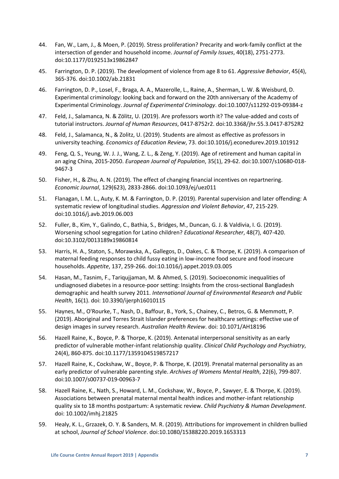- 44. Fan, W., Lam, J., & Moen, P. (2019). Stress proliferation? Precarity and work-family conflict at the intersection of gender and household income. *Journal of Family Issues*, 40(18), 2751-2773. doi:10.1177/0192513x19862847
- 45. Farrington, D. P. (2019). The development of violence from age 8 to 61. *Aggressive Behavior*, 45(4), 365-376. doi:10.1002/ab.21831
- 46. Farrington, D. P., Losel, F., Braga, A. A., Mazerolle, L., Raine, A., Sherman, L. W. & Weisburd, D. Experimental criminology: looking back and forward on the 20th anniversary of the Academy of Experimental Criminology. *Journal of Experimental Criminology*. doi:10.1007/s11292-019-09384-z
- 47. Feld, J., Salamanca, N. & Zölitz, U. (2019). Are professors worth it? The value-added and costs of tutorial instructors. *Journal of Human Resources*, 0417-8752r2. doi:10.3368/jhr.55.3.0417-8752R2
- 48. Feld, J., Salamanca, N., & Zolitz, U. (2019). Students are almost as effective as professors in university teaching. *Economics of Education Review*, 73. doi:10.1016/j.econedurev.2019.101912
- 49. Feng, Q. S., Yeung, W. J. J., Wang, Z. L., & Zeng, Y. (2019). Age of retirement and human capital in an aging China, 2015-2050. *European Journal of Population*, 35(1), 29-62. doi:10.1007/s10680-018- 9467-3
- 50. Fisher, H., & Zhu, A. N. (2019). The effect of changing financial incentives on repartnering. *Economic Journal*, 129(623), 2833-2866. doi:10.1093/ej/uez011
- 51. Flanagan, I. M. L., Auty, K. M. & Farrington, D. P. (2019). Parental supervision and later offending: A systematic review of longitudinal studies. *Aggression and Violent Behavior*, 47, 215-229. doi:10.1016/j.avb.2019.06.003
- 52. Fuller, B., Kim, Y., Galindo, C., Bathia, S., Bridges, M., Duncan, G. J. & Valdivia, I. G. (2019). Worsening school segregation for Latino children? *Educational Researcher*, 48(7), 407-420. doi:10.3102/0013189x19860814
- 53. Harris, H. A., Staton, S., Morawska, A., Gallegos, D., Oakes, C. & Thorpe, K. (2019). A comparison of maternal feeding responses to child fussy eating in low-income food secure and food insecure households. *Appetite*, 137, 259-266. doi:10.1016/j.appet.2019.03.005
- 54. Hasan, M., Tasnim, F., Tariqujjaman, M. & Ahmed, S. (2019). Socioeconomic inequalities of undiagnosed diabetes in a resource-poor setting: Insights from the cross-sectional Bangladesh demographic and health survey 2011. *International Journal of Environmental Research and Public Health*, 16(1). doi: 10.3390/ijerph16010115
- 55. Haynes, M., O'Rourke, T., Nash, D., Baffour, B., York, S., Chainey, C., Betros, G. & Memmott, P. (2019). Aboriginal and Torres Strait Islander preferences for healthcare settings: effective use of design images in survey research. *Australian Health Review*. doi: 10.1071/AH18196
- 56. Hazell Raine, K., Boyce, P. & Thorpe, K. (2019). Antenatal interpersonal sensitivity as an early predictor of vulnerable mother-infant relationship quality. *Clinical Child Psychology and Psychiatry*, 24(4), 860-875. doi:10.1177/1359104519857217
- 57. Hazell Raine, K., Cockshaw, W., Boyce, P. & Thorpe, K. (2019). Prenatal maternal personality as an early predictor of vulnerable parenting style. *Archives of Womens Mental Health*, 22(6), 799-807. doi:10.1007/s00737-019-00963-7
- 58. Hazell Raine, K., Nath, S., Howard, L. M., Cockshaw, W., Boyce, P., Sawyer, E. & Thorpe, K. (2019). Associations between prenatal maternal mental health indices and mother-infant relationship quality six to 18 months postpartum: A systematic review. *Child Psychiatry & Human Development*. doi: 10.1002/imhj.21825
- 59. Healy, K. L., Grzazek, O. Y. & Sanders, M. R. (2019). Attributions for improvement in children bullied at school, *Journal of School Violence*. doi:10.1080/15388220.2019.1653313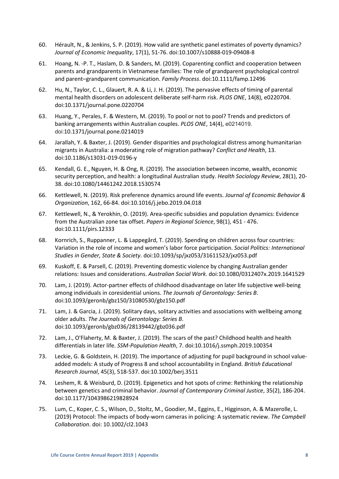- 60. Hérault, N., & Jenkins, S. P. (2019). How valid are synthetic panel estimates of poverty dynamics? *Journal of Economic Inequality*, 17(1), 51-76. doi:10.1007/s10888-019-09408-8
- 61. Hoang, N. -P. T., Haslam, D. & Sanders, M. (2019). Coparenting conflict and cooperation between parents and grandparents in Vietnamese families: The role of grandparent psychological control and parent–grandparent communication. *Family Process*. doi:10.1111/famp.12496
- 62. Hu, N., Taylor, C. L., Glauert, R. A. & Li, J. H. (2019). The pervasive effects of timing of parental mental health disorders on adolescent deliberate self-harm risk. *PLOS ONE*, 14(8), e0220704. doi:10.1371/journal.pone.0220704
- 63. Huang, Y., Perales, F. & Western, M. (2019). To pool or not to pool? Trends and predictors of banking arrangements within Australian couples. *PLOS ONE*, 14(4), e0214019. doi:10.1371/journal.pone.0214019
- 64. Jarallah, Y. & Baxter, J. (2019). Gender disparities and psychological distress among humanitarian migrants in Australia: a moderating role of migration pathway? *Conflict and Health*, 13. doi:10.1186/s13031-019-0196-y
- 65. Kendall, G. E., Nguyen, H. & Ong, R. (2019). The association between income, wealth, economic security perception, and health: a longitudinal Australian study. *Health Sociology Review*, 28(1), 20- 38. doi:10.1080/14461242.2018.1530574
- 66. Kettlewell, N. (2019). Risk preference dynamics around life events. *Journal of Economic Behavior & Organization*, 162, 66-84. doi:10.1016/j.jebo.2019.04.018
- 67. Kettlewell, N., & Yerokhin, O. (2019). Area-specific subsidies and population dynamics: Evidence from the Australian zone tax offset. *Papers in Regional Science*, 98(1), 451 - 476. doi:10.1111/pirs.12333
- 68. Kornrich, S., Ruppanner, L. & Lappegård, T. (2019). Spending on children across four countries: Variation in the role of income and women's labor force participation. *Social Politics: International Studies in Gender, State & Society*. doi:10.1093/sp/jxz053/31611523/jxz053.pdf
- 69. Kuskoff, E. & Parsell, C. (2019). Preventing domestic violence by changing Australian gender relations: Issues and considerations. *Australian Social Work*. doi:10.1080/0312407x.2019.1641529
- 70. Lam, J. (2019). Actor-partner effects of childhood disadvantage on later life subjective well-being among individuals in coresidential unions. *The Journals of Gerontology: Series B*. doi:10.1093/geronb/gbz150/31080530/gbz150.pdf
- 71. Lam, J. & Garcia, J. (2019). Solitary days, solitary activities and associations with wellbeing among older adults. *The Journals of Gerontology: Series B*. doi:10.1093/geronb/gbz036/28139442/gbz036.pdf
- 72. Lam, J., O'Flaherty, M. & Baxter, J. (2019). The scars of the past? Childhood health and health differentials in later life. *SSM-Population Health*, 7. doi:10.1016/j.ssmph.2019.100354
- 73. Leckie, G. & Goldstein, H. (2019). The importance of adjusting for pupil background in school valueadded models: A study of Progress 8 and school accountability in England. *British Educational Research Journal*, 45(3), 518-537. doi:10.1002/berj.3511
- 74. Leshem, R. & Weisburd, D. (2019). Epigenetics and hot spots of crime: Rethinking the relationship between genetics and criminal behavior. *Journal of Contemporary Criminal Justice*, 35(2), 186-204. doi:10.1177/1043986219828924
- 75. Lum, C., Koper, C. S., Wilson, D., Stoltz, M., Goodier, M., Eggins, E., Higginson, A. & Mazerolle, L. (2019) Protocol: The impacts of body-worn cameras in policing: A systematic review. *The Campbell Collaboration*. doi: 10.1002/cl2.1043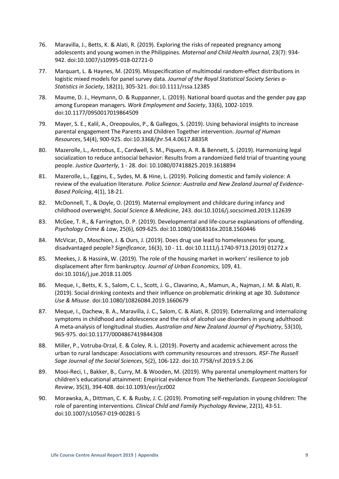- 76. Maravilla, J., Betts, K. & Alati, R. (2019). Exploring the risks of repeated pregnancy among adolescents and young women in the Philippines. *Maternal and Child Health Journal*, 23(7): 934- 942. doi:10.1007/s10995-018-02721-0
- 77. Marquart, L. & Haynes, M. (2019). Misspecification of multimodal random-effect distributions in logistic mixed models for panel survey data. *Journal of the Royal Statistical Society Series a-Statistics in Society*, 182(1), 305-321. doi:10.1111/rssa.12385
- 78. Maume, D. J., Heymann, O. & Ruppanner, L. (2019). National board quotas and the gender pay gap among European managers. *Work Employment and Society*, 33(6), 1002-1019. doi:10.1177/0950017019864509
- 79. Mayer, S. E., Kalil, A., Oreopoulos, P., & Gallegos, S. (2019). Using behavioral insights to increase parental engagement The Parents and Children Together intervention. *Journal of Human Resources*, 54(4), 900-925. doi:10.3368/jhr.54.4.0617.8835R
- 80. Mazerolle, L., Antrobus, E., Cardwell, S. M., Piquero, A. R. & Bennett, S. (2019). Harmonizing legal socialization to reduce antisocial behavior: Results from a randomized field trial of truanting young people. *Justice Quarterly*, 1 - 28. doi: 10.1080/07418825.2019.1618894
- 81. Mazerolle, L., Eggins, E., Sydes, M. & Hine, L. (2019). Policing domestic and family violence: A review of the evaluation literature*. Police Science: Australia and New Zealand Journal of Evidence-Based Policing*, 4(1), 18-21.
- 82. McDonnell, T., & Doyle, O. (2019). Maternal employment and childcare during infancy and childhood overweight. *Social Science & Medicine*, 243. doi:10.1016/j.socscimed.2019.112639
- 83. McGee, T. R., & Farrington, D. P. (2019). Developmental and life-course explanations of offending. *Psychology Crime & Law*, 25(6), 609-625. doi:10.1080/1068316x.2018.1560446
- 84. McVicar, D., Moschion, J. & Ours, J. (2019). Does drug use lead to homelessness for young, disadvantaged people? *Significance*, 16(3), 10 - 11. doi:10.1111/j.1740-9713.(2019) 01272.x
- 85. Meekes, J. & Hassink, W. (2019). The role of the housing market in workers' resilience to job displacement after firm bankruptcy. *Journal of Urban Economics*, 109, 41. doi:10.1016/j.jue.2018.11.005
- 86. Meque, I., Betts, K. S., Salom, C. L., Scott, J. G., Clavarino, A., Mamun, A., Najman, J. M. & Alati, R. (2019). Social drinking contexts and their influence on problematic drinking at age 30. *Substance Use & Misuse*. doi:10.1080/10826084.2019.1660679
- 87. Meque, I., Dachew, B. A., Maravilla, J. C., Salom, C. & Alati, R. (2019). Externalizing and internalizing symptoms in childhood and adolescence and the risk of alcohol use disorders in young adulthood: A meta-analysis of longitudinal studies. *Australian and New Zealand Journal of Psychiatry*, 53(10), 965-975. doi:10.1177/0004867419844308
- 88. Miller, P., Votruba-Drzal, E. & Coley, R. L. (2019). Poverty and academic achievement across the urban to rural landscape: Associations with community resources and stressors. *RSF-The Russell Sage Journal of the Social Sciences*, 5(2), 106-122. doi:10.7758/rsf.2019.5.2.06
- 89. Mooi-Reci, I., Bakker, B., Curry, M. & Wooden, M. (2019). Why parental unemployment matters for children's educational attainment: Empirical evidence from The Netherlands. *European Sociological Review*, 35(3), 394-408. doi:10.1093/esr/jcz002
- 90. Morawska, A., Dittman, C. K. & Rusby, J. C. (2019). Promoting self-regulation in young children: The role of parenting interventions. *Clinical Child and Family Psychology Review*, 22(1), 43-51. doi:10.1007/s10567-019-00281-5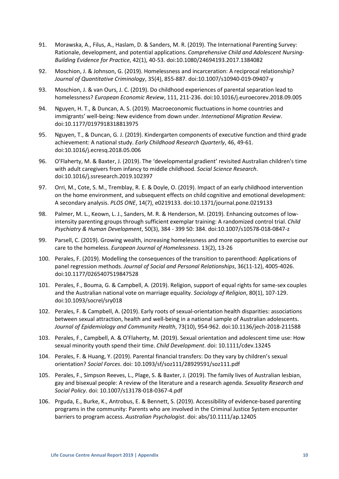- 91. Morawska, A., Filus, A., Haslam, D. & Sanders, M. R. (2019). The International Parenting Survey: Rationale, development, and potential applications. *Comprehensive Child and Adolescent Nursing-Building Evidence for Practice*, 42(1), 40-53. doi:10.1080/24694193.2017.1384082
- 92. Moschion, J. & Johnson, G. (2019). Homelessness and incarceration: A reciprocal relationship? *Journal of Quantitative Criminology*, 35(4), 855-887. doi:10.1007/s10940-019-09407-y
- 93. Moschion, J. & van Ours, J. C. (2019). Do childhood experiences of parental separation lead to homelessness? *European Economic Review*, 111, 211-236. doi:10.1016/j.euroecorev.2018.09.005
- 94. Nguyen, H. T., & Duncan, A. S. (2019). Macroeconomic fluctuations in home countries and immigrants' well-being: New evidence from down under. *International Migration Review*. doi:10.1177/0197918318813975
- 95. Nguyen, T., & Duncan, G. J. (2019). Kindergarten components of executive function and third grade achievement: A national study. *Early Childhood Research Quarterly*, 46, 49-61. doi:10.1016/j.ecresq.2018.05.006
- 96. O'Flaherty, M. & Baxter, J. (2019). The 'developmental gradient' revisited Australian children's time with adult caregivers from infancy to middle childhood. *Social Science Research*. doi:10.1016/j.ssresearch.2019.102397
- 97. Orri, M., Cote, S. M., Tremblay, R. E. & Doyle, O. (2019). Impact of an early childhood intervention on the home environment, and subsequent effects on child cognitive and emotional development: A secondary analysis. *PLOS ONE*, 14(7), e0219133. doi:10.1371/journal.pone.0219133
- 98. Palmer, M. L., Keown, L. J., Sanders, M. R. & Henderson, M. (2019). Enhancing outcomes of lowintensity parenting groups through sufficient exemplar training: A randomized control trial. *Child Psychiatry & Human Development*, 50(3), 384 - 399 50: 384. doi:10.1007/s10578-018-0847-z
- 99. Parsell, C. (2019). Growing wealth, increasing homelessness and more opportunities to exercise our care to the homeless. *European Journal of Homelessness*. 13(2), 13-26
- 100. Perales, F. (2019). Modelling the consequences of the transition to parenthood: Applications of panel regression methods. *Journal of Social and Personal Relationships*, 36(11-12), 4005-4026. doi:10.1177/0265407519847528
- 101. Perales, F., Bouma, G. & Campbell, A. (2019). Religion, support of equal rights for same-sex couples and the Australian national vote on marriage equality. *Sociology of Religion*, 80(1), 107-129. doi:10.1093/socrel/sry018
- 102. Perales, F. & Campbell, A. (2019). Early roots of sexual-orientation health disparities: associations between sexual attraction, health and well-being in a national sample of Australian adolescents. *Journal of Epidemiology and Community Health*, 73(10), 954-962. doi:10.1136/jech-2018-211588
- 103. Perales, F., Campbell, A. & O'Flaherty, M. (2019). Sexual orientation and adolescent time use: How sexual minority youth spend their time. *Child Development*. doi: 10.1111/cdev.13245
- 104. Perales, F. & Huang, Y. (2019). Parental financial transfers: Do they vary by children's sexual orientation? *Social Forces*. doi: 10.1093/sf/soz111/28929591/soz111.pdf
- 105. Perales, F., Simpson Reeves, L., Plage, S. & Baxter, J. (2019). The family lives of Australian lesbian, gay and bisexual people: A review of the literature and a research agenda. *Sexuality Research and Social Policy*. doi: 10.1007/s13178-018-0367-4.pdf
- 106. Prguda, E., Burke, K., Antrobus, E. & Bennett, S. (2019). Accessibility of evidence-based parenting programs in the community: Parents who are involved in the Criminal Justice System encounter barriers to program access. *Australian Psychologist*. doi: abs/10.1111/ap.12405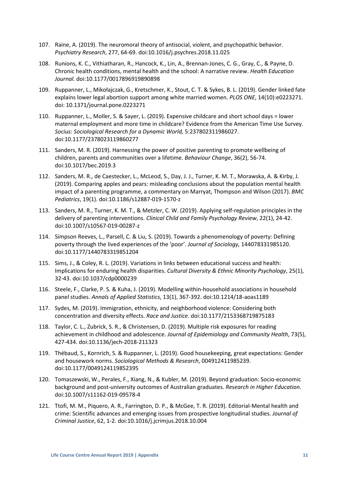- 107. Raine, A. (2019). The neuromoral theory of antisocial, violent, and psychopathic behavior. *Psychiatry Research*, 277, 64-69. doi:10.1016/j.psychres.2018.11.025
- 108. Runions, K. C., Vithiatharan, R., Hancock, K., Lin, A., Brennan-Jones, C. G., Gray, C., & Payne, D. Chronic health conditions, mental health and the school: A narrative review. *Health Education Journal*. doi:10.1177/0017896919890898
- 109. Ruppanner, L., Mikołajczak, G., Kretschmer, K., Stout, C. T. & Sykes, B. L. (2019). Gender linked fate explains lower legal abortion support among white married women. *PLOS ONE*, 14(10):e0223271. doi: 10.1371/journal.pone.0223271
- 110. Ruppanner, L., Moller, S. & Sayer, L. (2019). Expensive childcare and short school days = lower maternal employment and more time in childcare? Evidence from the American Time Use Survey. *Socius: Sociological Research for a Dynamic World,* 5:237802311986027. doi:10.1177/2378023119860277
- 111. Sanders, M. R. (2019). Harnessing the power of positive parenting to promote wellbeing of children, parents and communities over a lifetime. *Behaviour Change*, 36(2), 56-74. doi:10.1017/bec.2019.3
- 112. Sanders, M. R., de Caestecker, L., McLeod, S., Day, J. J., Turner, K. M. T., Morawska, A. & Kirby, J. (2019). Comparing apples and pears: misleading conclusions about the population mental health impact of a parenting programme, a commentary on Marryat, Thompson and Wilson (2017). *BMC Pediatrics*, 19(1). doi:10.1186/s12887-019-1570-z
- 113. Sanders, M. R., Turner, K. M. T., & Metzler, C. W. (2019). Applying self-regulation principles in the delivery of parenting interventions. *Clinical Child and Family Psychology Review*, 22(1), 24-42. doi:10.1007/s10567-019-00287-z
- 114. Simpson Reeves, L., Parsell, C. & Liu, S. (2019). Towards a phenomenology of poverty: Defining poverty through the lived experiences of the 'poor'. *Journal of Sociology,* 144078331985120. doi:10.1177/1440783319851204
- 115. Sims, J., & Coley, R. L. (2019). Variations in links between educational success and health: Implications for enduring health disparities. *Cultural Diversity & Ethnic Minority Psychology*, 25(1), 32-43. doi:10.1037/cdp0000239
- 116. Steele, F., Clarke, P. S. & Kuha, J. (2019). Modelling within-household associations in household panel studies. *Annals of Applied Statistics*, 13(1), 367-392. doi:10.1214/18-aoas1189
- 117. Sydes, M. (2019). Immigration, ethnicity, and neighborhood violence: Considering both concentration and diversity effects. *Race and Justice*. doi:10.1177/2153368719875183
- 118. Taylor, C. L., Zubrick, S. R., & Christensen, D. (2019). Multiple risk exposures for reading achievement in childhood and adolescence. *Journal of Epidemiology and Community Health*, 73(5), 427-434. doi:10.1136/jech-2018-211323
- 119. Thébaud, S., Kornrich, S. & Ruppanner, L. (2019). Good housekeeping, great expectations: Gender and housework norms. *Sociological Methods & Research*, 004912411985239. doi:10.1177/0049124119852395
- 120. Tomaszewski, W., Perales, F., Xiang, N., & Kubler, M. (2019). Beyond graduation: Socio-economic background and post-university outcomes of Australian graduates. *Research in Higher Education*. doi:10.1007/s11162-019-09578-4
- 121. Ttofi, M. M., Piquero, A. R., Farrington, D. P., & McGee, T. R. (2019). Editorial-Mental health and crime: Scientific advances and emerging issues from prospective longitudinal studies. *Journal of Criminal Justice*, 62, 1-2. doi:10.1016/j.jcrimjus.2018.10.004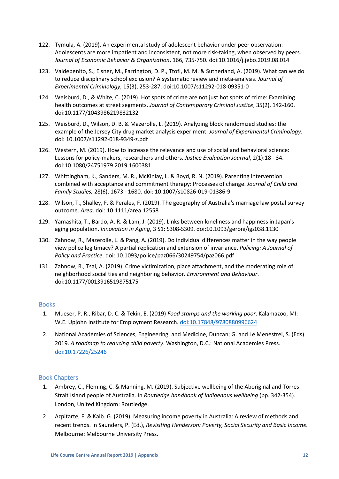- 122. Tymula, A. (2019). An experimental study of adolescent behavior under peer observation: Adolescents are more impatient and inconsistent, not more risk-taking, when observed by peers. *Journal of Economic Behavior & Organization*, 166, 735-750. doi:10.1016/j.jebo.2019.08.014
- 123. Valdebenito, S., Eisner, M., Farrington, D. P., Ttofi, M. M. & Sutherland, A. (2019). What can we do to reduce disciplinary school exclusion? A systematic review and meta-analysis. *Journal of Experimental Criminology*, 15(3), 253-287. doi:10.1007/s11292-018-09351-0
- 124. Weisburd, D., & White, C. (2019). Hot spots of crime are not just hot spots of crime: Examining health outcomes at street segments. *Journal of Contemporary Criminal Justice*, 35(2), 142-160. doi:10.1177/1043986219832132
- 125. Weisburd, D., Wilson, D. B. & Mazerolle, L. (2019). Analyzing block randomized studies: the example of the Jersey City drug market analysis experiment. *Journal of Experimental Criminology*. doi: 10.1007/s11292-018-9349-z.pdf
- 126. Western, M. (2019). How to increase the relevance and use of social and behavioral science: Lessons for policy-makers, researchers and others*. Justice Evaluation Journal*, 2(1):18 - 34. doi:10.1080/24751979.2019.1600381
- 127. Whittingham, K., Sanders, M. R., McKinlay, L. & Boyd, R. N. (2019). Parenting intervention combined with acceptance and commitment therapy: Processes of change. *Journal of Child and Family Studies,* 28(6), 1673 - 1680. doi: 10.1007/s10826-019-01386-9
- 128. Wilson, T., Shalley, F. & Perales, F. (2019). The geography of Australia's marriage law postal survey outcome. *Area*. doi: 10.1111/area.12558
- 129. Yamashita, T., Bardo, A. R. & Lam, J. (2019). Links between loneliness and happiness in Japan's aging population. *Innovation in Aging*, 3 S1: S308-S309. doi:10.1093/geroni/igz038.1130
- 130. Zahnow, R., Mazerolle, L. & Pang, A. (2019). Do individual differences matter in the way people view police legitimacy? A partial replication and extension of invariance. *Policing: A Journal of Policy and Practice*. doi: 10.1093/police/paz066/30249754/paz066.pdf
- 131. Zahnow, R., Tsai, A. (2019). Crime victimization, place attachment, and the moderating role of neighborhood social ties and neighboring behavior. *Environment and Behaviour*. doi:10.1177/0013916519875175

# <span id="page-11-0"></span>**Books**

- 1. Mueser, P. R., Ribar, D. C. & Tekin, E. (2019) *Food stamps and the working poor*. Kalamazoo, MI: W.E. Upjohn Institute for Employment Research. [doi:10.17848/9780880996624](https://doi.org/10.17848/9780880996624)
- 2. National Academies of Sciences, Engineering, and Medicine, Duncan; G. and Le Menestrel, S. (Eds) 2019. *A roadmap to reducing child poverty*. Washington, D.C.: National Academies Press. [doi:10.17226/25246](https://doi.org/10.17226/25246)

## <span id="page-11-1"></span>Book Chapters

- 1. Ambrey, C., Fleming, C. & Manning, M. (2019). Subjective wellbeing of the Aboriginal and Torres Strait Island people of Australia. In *Routledge handbook of Indigenous wellbeing* (pp. 342-354). London, United Kingdom: Routledge.
- 2. Azpitarte, F. & Kalb. G. (2019). Measuring income poverty in Australia: A review of methods and recent trends. In Saunders, P. (Ed.), *Revisiting Henderson: Poverty, Social Security and Basic Income.* Melbourne: Melbourne University Press.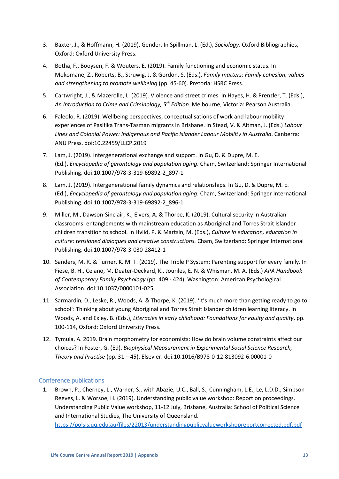- 3. Baxter, J., & Hoffmann, H. (2019). Gender. In Spillman, L. (Ed.), *Sociology*. Oxford Bibliographies, Oxford: Oxford University Press.
- 4. Botha, F., Booysen, F. & Wouters, E. (2019). Family functioning and economic status. In Mokomane, Z., Roberts, B., Struwig, J. & Gordon, S. (Eds.), *Family matters: Family cohesion, values and strengthening to promote wellbeing* (pp. 45-60). Pretoria: HSRC Press.
- 5. Cartwright, J., & Mazerolle, L. (2019). Violence and street crimes. In Hayes, H. & Prenzler, T. (Eds.), *An Introduction to Crime and Criminology, 5th Edition.* Melbourne, Victoria: Pearson Australia.
- 6. Faleolo, R. (2019). Wellbeing perspectives, conceptualisations of work and labour mobility experiences of Pasifika Trans-Tasman migrants in Brisbane. In Stead, V. & Altman, J. (Eds.) *Labour Lines and Colonial Power: Indigenous and Pacific Islander Labour Mobility in Australia*. Canberra: ANU Press. doi:10.22459/LLCP.2019
- 7. Lam, J. (2019). Intergenerational exchange and support. In Gu, D. & Dupre, M. E. (Ed.), *Encyclopedia of gerontology and population aging*. Cham, Switzerland: Springer International Publishing. doi:10.1007/978-3-319-69892-2\_897-1
- 8. Lam, J. (2019). Intergenerational family dynamics and relationships. In Gu, D. & Dupre, M. E. (Ed.), *Encyclopedia of gerontology and population aging*. Cham, Switzerland: Springer International Publishing. doi:10.1007/978-3-319-69892-2\_896-1
- 9. Miller, M., Dawson-Sinclair, K., Eivers, A. & Thorpe, K. (2019). Cultural security in Australian classrooms: entanglements with mainstream education as Aboriginal and Torres Strait Islander children transition to school. In Hviid, P. & Martsin, M. (Eds.), *Culture in education, education in culture: tensioned dialogues and creative constructions.* Cham, Switzerland: Springer International Publishing. doi:10.1007/978-3-030-28412-1
- 10. Sanders, M. R. & Turner, K. M. T. (2019). The Triple P System: Parenting support for every family. In Fiese, B. H., Celano, M. Deater-Deckard, K., Jouriles, E. N. & Whisman, M. A. (Eds.) *APA Handbook of Contemporary Family Psychology* (pp. 409 - 424). Washington: American Psychological Association. doi:10.1037/0000101-025
- 11. Sarmardin, D., Leske, R., Woods, A. & Thorpe, K. (2019). 'It's much more than getting ready to go to school': Thinking about young Aboriginal and Torres Strait Islander children learning literacy. In Woods, A. and Exley, B. (Eds.), *Literacies in early childhood: Foundations for equity and quality*, pp. 100-114, Oxford: Oxford University Press.
- 12. Tymula, A. 2019. Brain morphometry for economists: How do brain volume constraints affect our choices? In Foster, G. (Ed). *Biophysical Measurement in Experimental Social Science Research, Theory and Practise* (pp. 31 – 45). Elsevier. doi:10.1016/B978-0-12-813092-6.00001-0

# <span id="page-12-0"></span>Conference publications

1. Brown, P., Cherney, L., Warner, S., with Abazie, U.C., Ball, S., Cunningham, L.E., Le, L.D.D., Simpson Reeves, L. & Worsoe, H. (2019). Understanding public value workshop: Report on proceedings. Understanding Public Value workshop, 11-12 July, Brisbane, Australia: School of Political Science and International Studies, The University of Queensland.

<https://polsis.uq.edu.au/files/22013/understandingpublicvalueworkshopreportcorrected.pdf.pdf>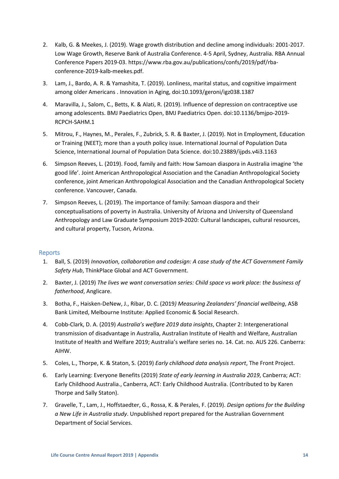- 2. Kalb, G. & Meekes, J. (2019). Wage growth distribution and decline among individuals: 2001-2017. Low Wage Growth, Reserve Bank of Australia Conference. 4-5 April, Sydney, Australia. RBA Annual Conference Papers 2019-03. https://www.rba.gov.au/publications/confs/2019/pdf/rbaconference-2019-kalb-meekes.pdf.
- 3. Lam, J., Bardo, A. R. & Yamashita, T. (2019). Lonliness, marital status, and cognitive impairment among older Americans . Innovation in Aging, doi:10.1093/geroni/igz038.1387
- 4. Maravilla, J., Salom, C., Betts, K. & Alati, R. (2019). Influence of depression on contraceptive use among adolescents. BMJ Paediatrics Open, BMJ Paediatrics Open. doi:10.1136/bmjpo-2019- RCPCH-SAHM.1
- 5. Mitrou, F., Haynes, M., Perales, F., Zubrick, S. R. & Baxter, J. (2019). Not in Employment, Education or Training (NEET); more than a youth policy issue. International Journal of Population Data Science, International Journal of Population Data Science. doi:10.23889/ijpds.v4i3.1163
- 6. Simpson Reeves, L. (2019). Food, family and faith: How Samoan diaspora in Australia imagine 'the good life'. Joint American Anthropological Association and the Canadian Anthropological Society conference, joint American Anthropological Association and the Canadian Anthropological Society conference. Vancouver, Canada.
- 7. Simpson Reeves, L. (2019). The importance of family: Samoan diaspora and their conceptualisations of poverty in Australia. University of Arizona and University of Queensland Anthropology and Law Graduate Symposium 2019-2020: Cultural landscapes, cultural resources, and cultural property, Tucson, Arizona.

# <span id="page-13-0"></span>Reports

- 1. Ball, S. (2019) *Innovation, collaboration and codesign: A case study of the ACT Government Family Safety Hub*, ThinkPlace Global and ACT Government.
- 2. Baxter, J. (2019) *The lives we want conversation series: Child space vs work place: the business of fatherhood*, Anglicare.
- 3. Botha, F., Haisken-DeNew, J., Ribar, D. C. (2019*) Measuring Zealanders' financial wellbeing*, ASB Bank Limited, Melbourne Institute: Applied Economic & Social Research.
- 4. Cobb-Clark, D. A. (2019) *Australia's welfare 2019 data insights*, Chapter 2: Intergenerational transmission of disadvantage in Australia, Australian Institute of Health and Welfare, Australian Institute of Health and Welfare 2019; Australia's welfare series no. 14. Cat. no. AUS 226. Canberra: AIHW.
- 5. Coles, L., Thorpe, K. & Staton, S. (2019) *Early childhood data analysis report*, The Front Project.
- 6. Early Learning: Everyone Benefits (2019) *State of early learning in Australia 2019*, Canberra; ACT: Early Childhood Australia., Canberra, ACT: Early Childhood Australia. (Contributed to by Karen Thorpe and Sally Staton).
- 7. Gravelle, T., Lam, J., Hoffstaedter, G., Rossa, K. & Perales, F. (2019). *Design options for the Building a New Life in Australia study*. Unpublished report prepared for the Australian Government Department of Social Services.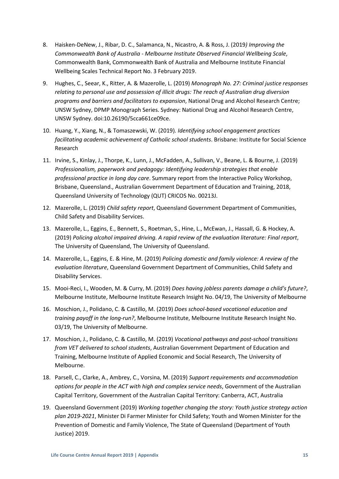- 8. Haisken-DeNew, J., Ribar, D. C., Salamanca, N., Nicastro, A. & Ross, J. (2019*) Improving the Commonwealth Bank of Australia - Melbourne Institute Observed Financial Wellbeing Scale*, Commonwealth Bank, Commonwealth Bank of Australia and Melbourne Institute Financial Wellbeing Scales Technical Report No. 3 February 2019.
- 9. Hughes, C., Seear, K., Ritter, A. & Mazerolle, L. (2019) *Monograph No. 27: Criminal justice responses relating to personal use and possession of illicit drugs: The reach of Australian drug diversion programs and barriers and facilitators to expansion*, National Drug and Alcohol Research Centre; UNSW Sydney, DPMP Monograph Series. Sydney: National Drug and Alcohol Research Centre, UNSW Sydney. doi:10.26190/5cca661ce09ce.
- 10. Huang, Y., Xiang, N., & Tomaszewski, W. (2019)*. Identifying school engagement practices facilitating academic achievement of Catholic school students*. Brisbane: Institute for Social Science Research
- 11. Irvine, S., Kinlay, J., Thorpe, K., Lunn, J., McFadden, A., Sullivan, V., Beane, L. & Bourne, J. (2019) *Professionalism, paperwork and pedagogy: Identifying leadership strategies that enable professional practice in long day care*. Summary report from the Interactive Policy Workshop, Brisbane, Queensland., Australian Government Department of Education and Training, 2018, Queensland University of Technology (QUT) CRICOS No. 00213J.
- 12. Mazerolle, L. (2019) *Child safety report*, Queensland Government Department of Communities, Child Safety and Disability Services.
- 13. Mazerolle, L., Eggins, E., Bennett, S., Roetman, S., Hine, L., McEwan, J., Hassall, G. & Hockey, A. (2019) *Policing alcohol impaired driving. A rapid review of the evaluation literature: Final report*, The University of Queensland, The University of Queensland.
- 14. Mazerolle, L., Eggins, E. & Hine, M. (2019) *Policing domestic and family violence: A review of the evaluation literature*, Queensland Government Department of Communities, Child Safety and Disability Services.
- 15. Mooi-Reci, I., Wooden, M. & Curry, M. (2019) *Does having jobless parents damage a child's future?*, Melbourne Institute, Melbourne Institute Research Insight No. 04/19, The University of Melbourne
- 16. Moschion, J., Polidano, C. & Castillo, M. (2019) *Does school-based vocational education and training payoff in the long-run?*, Melbourne Institute, Melbourne Institute Research Insight No. 03/19, The University of Melbourne.
- 17. Moschion, J., Polidano, C. & Castillo, M. (2019) *Vocational pathways and post-school transitions from VET delivered to school students*, Australian Government Department of Education and Training, Melbourne Institute of Applied Economic and Social Research, The University of Melbourne.
- 18. Parsell, C., Clarke, A., Ambrey, C., Vorsina, M. (2019) *Support requirements and accommodation options for people in the ACT with high and complex service needs*, Government of the Australian Capital Territory, Government of the Australian Capital Territory: Canberra, ACT, Australia
- 19. Queensland Government (2019) *Working together changing the story: Youth justice strategy action plan 2019-2021*, Minister Di Farmer Minister for Child Safety; Youth and Women Minister for the Prevention of Domestic and Family Violence, The State of Queensland (Department of Youth Justice) 2019.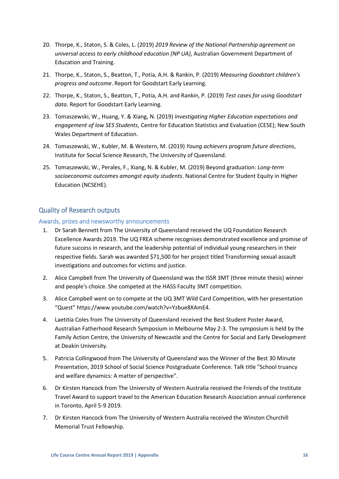- 20. Thorpe, K., Staton, S. & Coles, L. (2019) *2019 Review of the National Partnership agreement on universal access to early childhood education (NP UA)*, Australian Government Department of Education and Training.
- 21. Thorpe, K., Staton, S., Beatton, T., Potia, A.H. & Rankin, P. (2019) *Measuring Goodstart children's progress and outcome*. Report for Goodstart Early Learning.
- 22. Thorpe, K., Staton, S., Beatton, T., Potia, A.H. and Rankin, P. (2019) *Test cases for using Goodstart data*. Report for Goodstart Early Learning.
- 23. Tomaszewski, W., Huang, Y. & Xiang, N. (2019) *Investigating Higher Education expectations and engagement of low SES Students*, Centre for Education Statistics and Evaluation (CESE); New South Wales Department of Education.
- 24. Tomaszewski, W., Kubler, M. & Western, M. (2019) *Young achievers program future directions*, Institute for Social Science Research, The University of Queensland.
- 25. Tomaszewski, W., Perales, F., Xiang, N. & Kubler, M. (2019) Beyond graduation: *Long-term socioeconomic outcomes amongst equity students*. National Centre for Student Equity in Higher Education (NCSEHE).

# <span id="page-15-0"></span>Quality of Research outputs

# <span id="page-15-1"></span>Awards, prizes and newsworthy announcements

- 1. Dr Sarah Bennett from The University of Queensland received the UQ Foundation Research Excellence Awards 2019. The UQ FREA scheme recognises demonstrated excellence and promise of future success in research, and the leadership potential of individual young researchers in their respective fields. Sarah was awarded \$71,500 for her project titled Transforming sexual assault investigations and outcomes for victims and justice.
- 2. Alice Campbell from The University of Queensland was the ISSR 3MT (three minute thesis) winner and people's choice. She competed at the HASS Faculty 3MT competition.
- 3. Alice Campbell went on to compete at the UQ 3MT Wild Card Competition, with her presentation "Quest" https://www.youtube.com/watch?v=Yzbue8XAmE4.
- 4. Laetitia Coles from The University of Queensland received the Best Student Poster Award, Australian Fatherhood Research Symposium in Melbourne May 2-3. The symposium is held by the Family Action Centre, the University of Newcastle and the Centre for Social and Early Development at Deakin University.
- 5. Patricia Collingwood from The University of Queensland was the Winner of the Best 30 Minute Presentation, 2019 School of Social Science Postgraduate Conference. Talk title "School truancy and welfare dynamics: A matter of perspective".
- 6. Dr Kirsten Hancock from The University of Western Australia received the Friends of the Institute Travel Award to support travel to the American Education Research Association annual conference in Toronto, April 5-9 2019.
- 7. Dr Kirsten Hancock from The University of Western Australia received the Winston Churchill Memorial Trust Fellowship.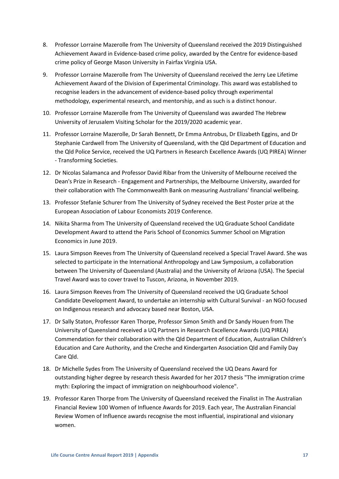- 8. Professor Lorraine Mazerolle from The University of Queensland received the 2019 Distinguished Achievement Award in Evidence-based crime policy, awarded by the Centre for evidence-based crime policy of George Mason University in Fairfax Virginia USA.
- 9. Professor Lorraine Mazerolle from The University of Queensland received the Jerry Lee Lifetime Achievement Award of the Division of Experimental Criminology. This award was established to recognise leaders in the advancement of evidence-based policy through experimental methodology, experimental research, and mentorship, and as such is a distinct honour.
- 10. Professor Lorraine Mazerolle from The University of Queensland was awarded The Hebrew University of Jerusalem Visiting Scholar for the 2019/2020 academic year.
- 11. Professor Lorraine Mazerolle, Dr Sarah Bennett, Dr Emma Antrobus, Dr Elizabeth Eggins, and Dr Stephanie Cardwell from The University of Queensland, with the Qld Department of Education and the Qld Police Service, received the UQ Partners in Research Excellence Awards (UQ PIREA) Winner - Transforming Societies.
- 12. Dr Nicolas Salamanca and Professor David Ribar from the University of Melbourne received the Dean's Prize in Research - Engagement and Partnerships, the Melbourne University, awarded for their collaboration with The Commonwealth Bank on measuring Australians' financial wellbeing.
- 13. Professor Stefanie Schurer from The University of Sydney received the Best Poster prize at the European Association of Labour Economists 2019 Conference.
- 14. Nikita Sharma from The University of Queensland received the UQ Graduate School Candidate Development Award to attend the Paris School of Economics Summer School on Migration Economics in June 2019.
- 15. Laura Simpson Reeves from The University of Queensland received a Special Travel Award. She was selected to participate in the International Anthropology and Law Symposium, a collaboration between The University of Queensland (Australia) and the University of Arizona (USA). The Special Travel Award was to cover travel to Tuscon, Arizona, in November 2019.
- 16. Laura Simpson Reeves from The University of Queensland received the UQ Graduate School Candidate Development Award, to undertake an internship with Cultural Survival - an NGO focused on Indigenous research and advocacy based near Boston, USA.
- 17. Dr Sally Staton, Professor Karen Thorpe, Professor Simon Smith and Dr Sandy Houen from The University of Queensland received a UQ Partners in Research Excellence Awards (UQ PIREA) Commendation for their collaboration with the Qld Department of Education, Australian Children's Education and Care Authority, and the Creche and Kindergarten Association Qld and Family Day Care Qld.
- 18. Dr Michelle Sydes from The University of Queensland received the UQ Deans Award for outstanding higher degree by research thesis Awarded for her 2017 thesis "The immigration crime myth: Exploring the impact of immigration on neighbourhood violence".
- 19. Professor Karen Thorpe from The University of Queensland received the Finalist in The Australian Financial Review 100 Women of Influence Awards for 2019. Each year, The Australian Financial Review Women of Influence awards recognise the most influential, inspirational and visionary women.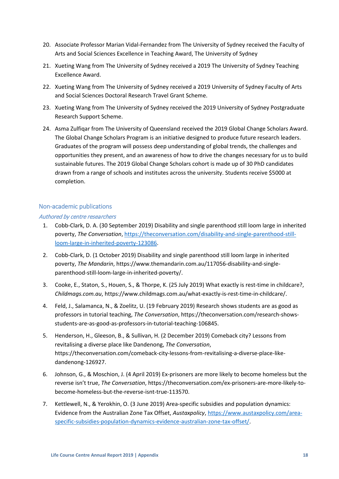- 20. Associate Professor Marian Vidal-Fernandez from The University of Sydney received the Faculty of Arts and Social Sciences Excellence in Teaching Award, The University of Sydney
- 21. Xueting Wang from The University of Sydney received a 2019 The University of Sydney Teaching Excellence Award.
- 22. Xueting Wang from The University of Sydney received a 2019 University of Sydney Faculty of Arts and Social Sciences Doctoral Research Travel Grant Scheme.
- 23. Xueting Wang from The University of Sydney received the 2019 University of Sydney Postgraduate Research Support Scheme.
- 24. Asma Zulfiqar from The University of Queensland received the 2019 Global Change Scholars Award. The Global Change Scholars Program is an initiative designed to produce future research leaders. Graduates of the program will possess deep understanding of global trends, the challenges and opportunities they present, and an awareness of how to drive the changes necessary for us to build sustainable futures. The 2019 Global Change Scholars cohort is made up of 30 PhD candidates drawn from a range of schools and institutes across the university. Students receive \$5000 at completion.

# <span id="page-17-0"></span>Non-academic publications

# Authored by centre researchers

- 1. Cobb-Clark, D. A. (30 September 2019) Disability and single parenthood still loom large in inherited poverty, *The Conversation*[, https://theconversation.com/disability-and-single-parenthood-still](https://theconversation.com/disability-and-single-parenthood-still-loom-large-in-inherited-poverty-123086)[loom-large-in-inherited-poverty-123086.](https://theconversation.com/disability-and-single-parenthood-still-loom-large-in-inherited-poverty-123086)
- 2. Cobb-Clark, D. (1 October 2019) Disability and single parenthood still loom large in inherited poverty, *The Mandarin*, https://www.themandarin.com.au/117056-disability-and-singleparenthood-still-loom-large-in-inherited-poverty/.
- 3. Cooke, E., Staton, S., Houen, S., & Thorpe, K. (25 July 2019) What exactly is rest-time in childcare?, *Childmags.com.au*, https://www.childmags.com.au/what-exactly-is-rest-time-in-childcare/.
- 4. Feld, J., Salamanca, N., & Zoelitz, U. (19 February 2019) Research shows students are as good as professors in tutorial teaching, *The Conversation*, https://theconversation.com/research-showsstudents-are-as-good-as-professors-in-tutorial-teaching-106845.
- 5. Henderson, H., Gleeson, B., & Sullivan, H. (2 December 2019) Comeback city? Lessons from revitalising a diverse place like Dandenong, *The Conversation*, https://theconversation.com/comeback-city-lessons-from-revitalising-a-diverse-place-likedandenong-126927.
- 6. Johnson, G., & Moschion, J. (4 April 2019) Ex-prisoners are more likely to become homeless but the reverse isn't true, *The Conversation*, https://theconversation.com/ex-prisoners-are-more-likely-tobecome-homeless-but-the-reverse-isnt-true-113570.
- 7. Kettlewell, N., & Yerokhin, O. (3 June 2019) Area-specific subsidies and population dynamics: Evidence from the Australian Zone Tax Offset, *Austaxpolicy*, [https://www.austaxpolicy.com/area](https://www.austaxpolicy.com/area-specific-subsidies-population-dynamics-evidence-australian-zone-tax-offset/)[specific-subsidies-population-dynamics-evidence-australian-zone-tax-offset/.](https://www.austaxpolicy.com/area-specific-subsidies-population-dynamics-evidence-australian-zone-tax-offset/)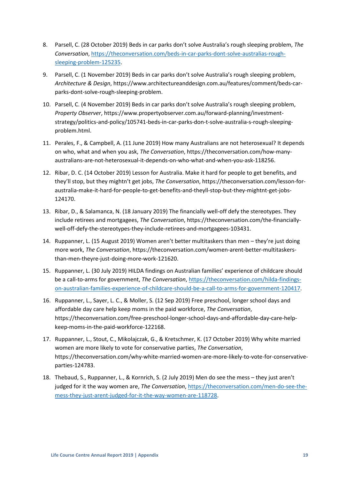- 8. Parsell, C. (28 October 2019) Beds in car parks don't solve Australia's rough sleeping problem, *The Conversation*, [https://theconversation.com/beds-in-car-parks-dont-solve-australias-rough](https://theconversation.com/beds-in-car-parks-dont-solve-australias-rough-sleeping-problem-125235)[sleeping-problem-125235.](https://theconversation.com/beds-in-car-parks-dont-solve-australias-rough-sleeping-problem-125235)
- 9. Parsell, C. (1 November 2019) Beds in car parks don't solve Australia's rough sleeping problem, *Architecture & Design*, https://www.architectureanddesign.com.au/features/comment/beds-carparks-dont-solve-rough-sleeping-problem.
- 10. Parsell, C. (4 November 2019) Beds in car parks don't solve Australia's rough sleeping problem, *Property Observer*, https://www.propertyobserver.com.au/forward-planning/investmentstrategy/politics-and-policy/105741-beds-in-car-parks-don-t-solve-australia-s-rough-sleepingproblem.html.
- 11. Perales, F., & Campbell, A. (11 June 2019) How many Australians are not heterosexual? It depends on who, what and when you ask, *The Conversation*, https://theconversation.com/how-manyaustralians-are-not-heterosexual-it-depends-on-who-what-and-when-you-ask-118256.
- 12. Ribar, D. C. (14 October 2019) Lesson for Australia. Make it hard for people to get benefits, and they'll stop, but they mightn't get jobs, *The Conversation*, https://theconversation.com/lesson-foraustralia-make-it-hard-for-people-to-get-benefits-and-theyll-stop-but-they-mightnt-get-jobs-124170.
- 13. Ribar, D., & Salamanca, N. (18 January 2019) The financially well-off defy the stereotypes. They include retirees and mortgagees, *The Conversation*, https://theconversation.com/the-financiallywell-off-defy-the-stereotypes-they-include-retirees-and-mortgagees-103431.
- 14. Ruppanner, L. (15 August 2019) Women aren't better multitaskers than men they're just doing more work, *The Conversation*, https://theconversation.com/women-arent-better-multitaskersthan-men-theyre-just-doing-more-work-121620.
- 15. Ruppanner, L. (30 July 2019) HILDA findings on Australian families' experience of childcare should be a call-to-arms for government, *The Conversation*, [https://theconversation.com/hilda-findings](https://theconversation.com/hilda-findings-on-australian-families-experience-of-childcare-should-be-a-call-to-arms-for-government-120417)[on-australian-families-experience-of-childcare-should-be-a-call-to-arms-for-government-120417.](https://theconversation.com/hilda-findings-on-australian-families-experience-of-childcare-should-be-a-call-to-arms-for-government-120417)
- 16. Ruppanner, L., Sayer, L. C., & Moller, S. (12 Sep 2019) Free preschool, longer school days and affordable day care help keep moms in the paid workforce, *The Conversation*, https://theconversation.com/free-preschool-longer-school-days-and-affordable-day-care-helpkeep-moms-in-the-paid-workforce-122168.
- 17. Ruppanner, L., Stout, C., Mikolajczak, G., & Kretschmer, K. (17 October 2019) Why white married women are more likely to vote for conservative parties, *The Conversation*, https://theconversation.com/why-white-married-women-are-more-likely-to-vote-for-conservativeparties-124783.
- 18. Thebaud, S., Ruppanner, L., & Kornrich, S. (2 July 2019) Men do see the mess they just aren't judged for it the way women are, *The Conversation*, [https://theconversation.com/men-do-see-the](https://theconversation.com/men-do-see-the-mess-they-just-arent-judged-for-it-the-way-women-are-118728)[mess-they-just-arent-judged-for-it-the-way-women-are-118728.](https://theconversation.com/men-do-see-the-mess-they-just-arent-judged-for-it-the-way-women-are-118728)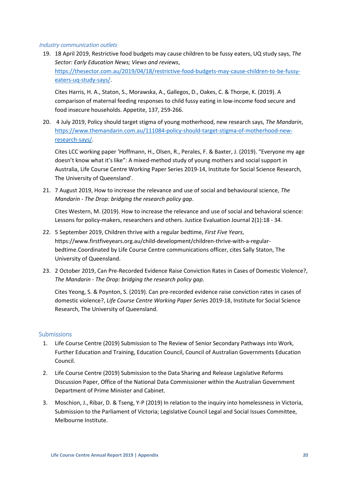## Industry communication outlets

19. 18 April 2019, Restrictive food budgets may cause children to be fussy eaters, UQ study says, *The Sector: Early Education News; Views and reviews*, [https://thesector.com.au/2019/04/18/restrictive-food-budgets-may-cause-children-to-be-fussy](https://thesector.com.au/2019/04/18/restrictive-food-budgets-may-cause-children-to-be-fussy-eaters-uq-study-says/)[eaters-uq-study-says/.](https://thesector.com.au/2019/04/18/restrictive-food-budgets-may-cause-children-to-be-fussy-eaters-uq-study-says/)

Cites Harris, H. A., Staton, S., Morawska, A., Gallegos, D., Oakes, C. & Thorpe, K. (2019). A comparison of maternal feeding responses to child fussy eating in low-income food secure and food insecure households. Appetite, 137, 259-266.

20. 4 July 2019, Policy should target stigma of young motherhood, new research says, *The Mandarin*, [https://www.themandarin.com.au/111084-policy-should-target-stigma-of-motherhood-new](https://www.themandarin.com.au/111084-policy-should-target-stigma-of-motherhood-new-research-says/)[research-says/.](https://www.themandarin.com.au/111084-policy-should-target-stigma-of-motherhood-new-research-says/)

Cites LCC working paper 'Hoffmann, H., Olsen, R., Perales, F. & Baxter, J. (2019). "Everyone my age doesn't know what it's like": A mixed-method study of young mothers and social support in Australia, Life Course Centre Working Paper Series 2019-14, Institute for Social Science Research, The University of Queensland'.

21. 7 August 2019, How to increase the relevance and use of social and behavioural science, *The Mandarin* - *The Drop: bridging the research policy gap*.

Cites Western, M. (2019). How to increase the relevance and use of social and behavioral science: Lessons for policy-makers, researchers and others. Justice Evaluation Journal 2(1):18 - 34.

- 22. 5 September 2019, Children thrive with a regular bedtime, *First Five Years*, https://www.firstfiveyears.org.au/child-development/children-thrive-with-a-regularbedtime.Coordinated by Life Course Centre communications officer, cites Sally Staton, The University of Queensland.
- 23. 2 October 2019, Can Pre-Recorded Evidence Raise Conviction Rates in Cases of Domestic Violence?, *The Mandarin* - *The Drop: bridging the research policy gap*.

Cites Yeong, S. & Poynton, S. (2019). Can pre-recorded evidence raise conviction rates in cases of domestic violence?, *Life Course Centre Working Paper Serie*s 2019-18, Institute for Social Science Research, The University of Queensland.

# <span id="page-19-0"></span>Submissions

- 1. Life Course Centre (2019) Submission to The Review of Senior Secondary Pathways into Work, Further Education and Training, Education Council, Council of Australian Governments Education Council.
- 2. Life Course Centre (2019) Submission to the Data Sharing and Release Legislative Reforms Discussion Paper, Office of the National Data Commissioner within the Australian Government Department of Prime Minister and Cabinet.
- 3. Moschion, J., Ribar, D. & Tseng, Y-P (2019) In relation to the inquiry into homelessness in Victoria, Submission to the Parliament of Victoria; Legislative Council Legal and Social Issues Committee, Melbourne Institute.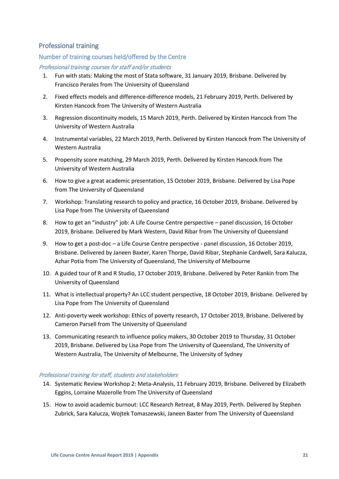# <span id="page-20-0"></span>Professional training

# <span id="page-20-1"></span>Number of training courses held/offered by the Centre

# Professional training courses for staff and/or students

- 1. Fun with stats: Making the most of Stata software, 31 January 2019, Brisbane. Delivered by Francisco Perales from The University of Queensland
- 2. Fixed effects models and difference-difference models, 21 February 2019, Perth. Delivered by Kirsten Hancock from The University of Western Australia
- 3. Regression discontinuity models, 15 March 2019, Perth. Delivered by Kirsten Hancock from The University of Western Australia
- 4. Instrumental variables, 22 March 2019, Perth. Delivered by Kirsten Hancock from The University of Western Australia
- 5. Propensity score matching, 29 March 2019, Perth. Delivered by Kirsten Hancock from The University of Western Australia
- 6. How to give a great academic presentation, 15 October 2019, Brisbane. Delivered by Lisa Pope from The University of Queensland
- 7. Workshop: Translating research to policy and practice, 16 October 2019, Brisbane. Delivered by Lisa Pope from The University of Queensland
- 8. How to get an "industry" job: A Life Course Centre perspective panel discussion, 16 October 2019, Brisbane. Delivered by Mark Western, David Ribar from The University of Queensland
- 9. How to get a post-doc a Life Course Centre perspective panel discussion, 16 October 2019, Brisbane. Delivered by Janeen Baxter, Karen Thorpe, David Ribar, Stephanie Cardwell, Sara Kalucza, Azhar Potia from The University of Queensland, The University of Melbourne
- 10. A guided tour of R and R Studio, 17 October 2019, Brisbane. Delivered by Peter Rankin from The University of Queensland
- 11. What is intellectual property? An LCC student perspective, 18 October 2019, Brisbane. Delivered by Lisa Pope from The University of Queensland
- 12. Anti-poverty week workshop: Ethics of poverty research, 17 October 2019, Brisbane. Delivered by Cameron Parsell from The University of Queensland
- 13. Communicating research to influence policy makers, 30 October 2019 to Thursday, 31 October 2019, Brisbane. Delivered by Lisa Pope from The University of Queensland, The University of Western Australia, The University of Melbourne, The University of Sydney

## Professional training for staff, students and stakeholders

- 14. Systematic Review Workshop 2: Meta-Analysis, 11 February 2019, Brisbane. Delivered by Elizabeth Eggins, Lorraine Mazerolle from The University of Queensland
- 15. How to avoid academic burnout: LCC Research Retreat, 8 May 2019, Perth. Delivered by Stephen Zubrick, Sara Kalucza, Wojtek Tomaszewski, Janeen Baxter from The University of Queensland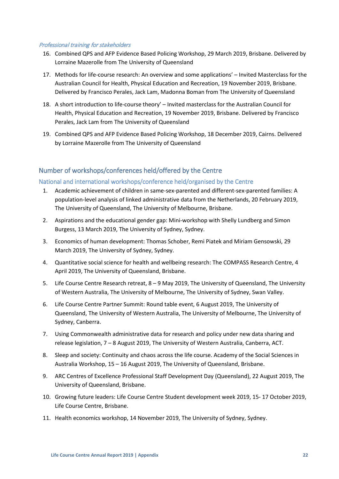## Professional training for stakeholders

- 16. Combined QPS and AFP Evidence Based Policing Workshop, 29 March 2019, Brisbane. Delivered by Lorraine Mazerolle from The University of Queensland
- 17. Methods for life-course research: An overview and some applications' Invited Masterclass for the Australian Council for Health, Physical Education and Recreation, 19 November 2019, Brisbane. Delivered by Francisco Perales, Jack Lam, Madonna Boman from The University of Queensland
- 18. A short introduction to life-course theory' Invited masterclass for the Australian Council for Health, Physical Education and Recreation, 19 November 2019, Brisbane. Delivered by Francisco Perales, Jack Lam from The University of Queensland
- 19. Combined QPS and AFP Evidence Based Policing Workshop, 18 December 2019, Cairns. Delivered by Lorraine Mazerolle from The University of Queensland

# <span id="page-21-0"></span>Number of workshops/conferences held/offered by the Centre

# <span id="page-21-1"></span>National and international workshops/conference held/organised by the Centre

- 1. Academic achievement of children in same-sex-parented and different-sex-parented families: A population-level analysis of linked administrative data from the Netherlands, 20 February 2019, The University of Queensland, The University of Melbourne, Brisbane.
- 2. Aspirations and the educational gender gap: Mini-workshop with Shelly Lundberg and Simon Burgess, 13 March 2019, The University of Sydney, Sydney.
- 3. Economics of human development: Thomas Schober, Remi Piatek and Miriam Gensowski, 29 March 2019, The University of Sydney, Sydney.
- 4. Quantitative social science for health and wellbeing research: The COMPASS Research Centre, 4 April 2019, The University of Queensland, Brisbane.
- 5. Life Course Centre Research retreat, 8 9 May 2019, The University of Queensland, The University of Western Australia, The University of Melbourne, The University of Sydney, Swan Valley.
- 6. Life Course Centre Partner Summit: Round table event, 6 August 2019, The University of Queensland, The University of Western Australia, The University of Melbourne, The University of Sydney, Canberra.
- 7. Using Commonwealth administrative data for research and policy under new data sharing and release legislation, 7 – 8 August 2019, The University of Western Australia, Canberra, ACT.
- 8. Sleep and society: Continuity and chaos across the life course. Academy of the Social Sciences in Australia Workshop, 15 – 16 August 2019, The University of Queensland, Brisbane.
- 9. ARC Centres of Excellence Professional Staff Development Day (Queensland), 22 August 2019, The University of Queensland, Brisbane.
- 10. Growing future leaders: Life Course Centre Student development week 2019, 15- 17 October 2019, Life Course Centre, Brisbane.
- 11. Health economics workshop, 14 November 2019, The University of Sydney, Sydney.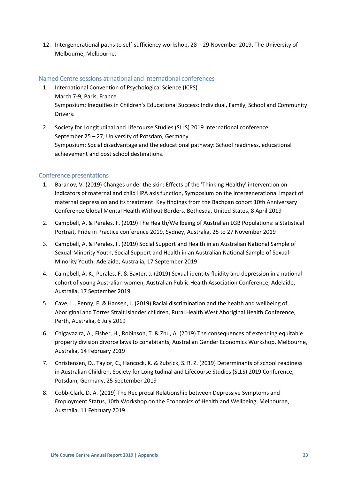12. Intergenerational paths to self-sufficiency workshop, 28 – 29 November 2019, The University of Melbourne, Melbourne.

# <span id="page-22-0"></span>Named Centre sessions at national and international conferences

- 1. International Convention of Psychological Science (ICPS) March 7-9, Paris, France Symposium: Inequities in Children's Educational Success: Individual, Family, School and Community Drivers.
- 2. Society for Longitudinal and Lifecourse Studies (SLLS) 2019 International conference September 25 – 27, University of Potsdam, Germany Symposium: Social disadvantage and the educational pathway: School readiness, educational achievement and post school destinations.

# <span id="page-22-1"></span>Conference presentations

- 1. Baranov, V. (2019) Changes under the skin: Effects of the 'Thinking Healthy' intervention on indicators of maternal and child HPA axis function, Symposium on the intergenerational impact of maternal depression and its treatment: Key findings from the Bachpan cohort 10th Anniversary Conference Global Mental Health Without Borders, Bethesda, United States, 8 April 2019
- 2. Campbell, A. & Perales, F. (2019) The Health/Wellbeing of Australian LGB Populations: a Statistical Portrait, Pride in Practice conference 2019, Sydney, Australia, 25 to 27 November 2019
- 3. Campbell, A. & Perales, F. (2019) Social Support and Health in an Australian National Sample of Sexual-Minority Youth, Social Support and Health in an Australian National Sample of Sexual-Minority Youth, Adelaide, Australia, 17 September 2019
- 4. Campbell, A. K., Perales, F. & Baxter, J. (2019) Sexual-identity fluidity and depression in a national cohort of young Australian women, Australian Public Health Association Conference, Adelaide, Australia, 17 September 2019
- 5. Cave, L., Penny, F. & Hansen, J. (2019) Racial discrimination and the health and wellbeing of Aboriginal and Torres Strait Islander children, Rural Health West Aboriginal Health Conference, Perth, Australia, 6 July 2019
- 6. Chigavazira, A., Fisher, H., Robinson, T. & Zhu, A. (2019) The consequences of extending equitable property division divorce laws to cohabitants, Australian Gender Economics Workshop, Melbourne, Australia, 14 February 2019
- 7. Christensen, D., Taylor, C., Hancock, K. & Zubrick, S. R. Z. (2019) Determinants of school readiness in Australian Children, Society for Longitudinal and Lifecourse Studies (SLLS) 2019 Conference, Potsdam, Germany, 25 September 2019
- 8. Cobb-Clark, D. A. (2019) The Reciprocal Relationship between Depressive Symptoms and Employment Status, 10th Workshop on the Economics of Health and Wellbeing, Melbourne, Australia, 11 February 2019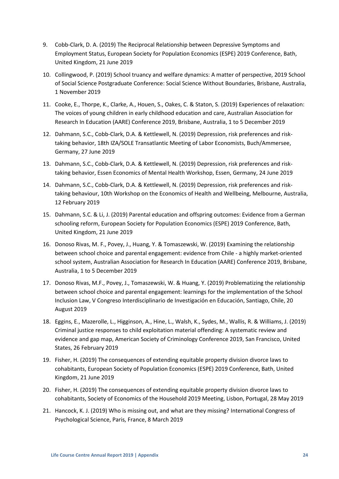- 9. Cobb-Clark, D. A. (2019) The Reciprocal Relationship between Depressive Symptoms and Employment Status, European Society for Population Economics (ESPE) 2019 Conference, Bath, United Kingdom, 21 June 2019
- 10. Collingwood, P. (2019) School truancy and welfare dynamics: A matter of perspective, 2019 School of Social Science Postgraduate Conference: Social Science Without Boundaries, Brisbane, Australia, 1 November 2019
- 11. Cooke, E., Thorpe, K., Clarke, A., Houen, S., Oakes, C. & Staton, S. (2019) Experiences of relaxation: The voices of young children in early childhood education and care, Australian Association for Research In Education (AARE) Conference 2019, Brisbane, Australia, 1 to 5 December 2019
- 12. Dahmann, S.C., Cobb-Clark, D.A. & Kettlewell, N. (2019) Depression, risk preferences and risktaking behavior, 18th IZA/SOLE Transatlantic Meeting of Labor Economists, Buch/Ammersee, Germany, 27 June 2019
- 13. Dahmann, S.C., Cobb-Clark, D.A. & Kettlewell, N. (2019) Depression, risk preferences and risktaking behavior, Essen Economics of Mental Health Workshop, Essen, Germany, 24 June 2019
- 14. Dahmann, S.C., Cobb-Clark, D.A. & Kettlewell, N. (2019) Depression, risk preferences and risktaking behaviour, 10th Workshop on the Economics of Health and Wellbeing, Melbourne, Australia, 12 February 2019
- 15. Dahmann, S.C. & Li, J. (2019) Parental education and offspring outcomes: Evidence from a German schooling reform, European Society for Population Economics (ESPE) 2019 Conference, Bath, United Kingdom, 21 June 2019
- 16. Donoso Rivas, M. F., Povey, J., Huang, Y. & Tomaszewski, W. (2019) Examining the relationship between school choice and parental engagement: evidence from Chile - a highly market-oriented school system, Australian Association for Research In Education (AARE) Conference 2019, Brisbane, Australia, 1 to 5 December 2019
- 17. Donoso Rivas, M.F., Povey, J., Tomaszewski, W. & Huang, Y. (2019) Problematizing the relationship between school choice and parental engagement: learnings for the implementation of the School Inclusion Law, V Congreso Interdisciplinario de Investigación en Educación, Santiago, Chile, 20 August 2019
- 18. Eggins, E., Mazerolle, L., Higginson, A., Hine, L., Walsh, K., Sydes, M., Wallis, R. & Williams, J. (2019) Criminal justice responses to child exploitation material offending: A systematic review and evidence and gap map, American Society of Criminology Conference 2019, San Francisco, United States, 26 February 2019
- 19. Fisher, H. (2019) The consequences of extending equitable property division divorce laws to cohabitants, European Society of Population Economics (ESPE) 2019 Conference, Bath, United Kingdom, 21 June 2019
- 20. Fisher, H. (2019) The consequences of extending equitable property division divorce laws to cohabitants, Society of Economics of the Household 2019 Meeting, Lisbon, Portugal, 28 May 2019
- 21. Hancock, K. J. (2019) Who is missing out, and what are they missing? International Congress of Psychological Science, Paris, France, 8 March 2019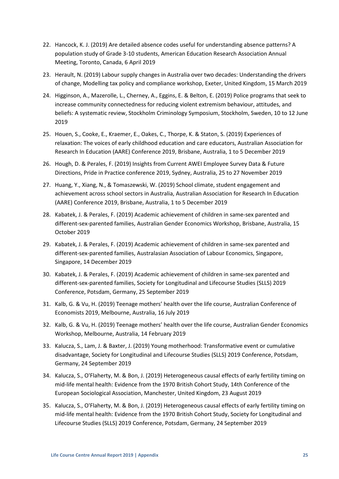- 22. Hancock, K. J. (2019) Are detailed absence codes useful for understanding absence patterns? A population study of Grade 3-10 students, American Education Research Association Annual Meeting, Toronto, Canada, 6 April 2019
- 23. Herault, N. (2019) Labour supply changes in Australia over two decades: Understanding the drivers of change, Modelling tax policy and compliance workshop, Exeter, United Kingdom, 15 March 2019
- 24. Higginson, A., Mazerolle, L., Cherney, A., Eggins, E. & Belton, E. (2019) Police programs that seek to increase community connectedness for reducing violent extremism behaviour, attitudes, and beliefs: A systematic review, Stockholm Criminology Symposium, Stockholm, Sweden, 10 to 12 June 2019
- 25. Houen, S., Cooke, E., Kraemer, E., Oakes, C., Thorpe, K. & Staton, S. (2019) Experiences of relaxation: The voices of early childhood education and care educators, Australian Association for Research In Education (AARE) Conference 2019, Brisbane, Australia, 1 to 5 December 2019
- 26. Hough, D. & Perales, F. (2019) Insights from Current AWEI Employee Survey Data & Future Directions, Pride in Practice conference 2019, Sydney, Australia, 25 to 27 November 2019
- 27. Huang, Y., Xiang, N., & Tomaszewski, W. (2019) School climate, student engagement and achievement across school sectors in Australia, Australian Association for Research In Education (AARE) Conference 2019, Brisbane, Australia, 1 to 5 December 2019
- 28. Kabatek, J. & Perales, F. (2019) Academic achievement of children in same-sex parented and different-sex-parented families, Australian Gender Economics Workshop, Brisbane, Australia, 15 October 2019
- 29. Kabatek, J. & Perales, F. (2019) Academic achievement of children in same-sex parented and different-sex-parented families, Australasian Association of Labour Economics, Singapore, Singapore, 14 December 2019
- 30. Kabatek, J. & Perales, F. (2019) Academic achievement of children in same-sex parented and different-sex-parented families, Society for Longitudinal and Lifecourse Studies (SLLS) 2019 Conference, Potsdam, Germany, 25 September 2019
- 31. Kalb, G. & Vu, H. (2019) Teenage mothers' health over the life course, Australian Conference of Economists 2019, Melbourne, Australia, 16 July 2019
- 32. Kalb, G. & Vu, H. (2019) Teenage mothers' health over the life course, Australian Gender Economics Workshop, Melbourne, Australia, 14 February 2019
- 33. Kalucza, S., Lam, J. & Baxter, J. (2019) Young motherhood: Transformative event or cumulative disadvantage, Society for Longitudinal and Lifecourse Studies (SLLS) 2019 Conference, Potsdam, Germany, 24 September 2019
- 34. Kalucza, S., O'Flaherty, M. & Bon, J. (2019) Heterogeneous causal effects of early fertility timing on mid-life mental health: Evidence from the 1970 British Cohort Study, 14th Conference of the European Sociological Association, Manchester, United Kingdom, 23 August 2019
- 35. Kalucza, S., O'Flaherty, M. & Bon, J. (2019) Heterogeneous causal effects of early fertility timing on mid-life mental health: Evidence from the 1970 British Cohort Study, Society for Longitudinal and Lifecourse Studies (SLLS) 2019 Conference, Potsdam, Germany, 24 September 2019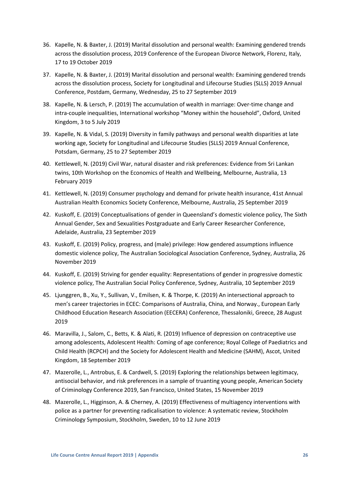- 36. Kapelle, N. & Baxter, J. (2019) Marital dissolution and personal wealth: Examining gendered trends across the dissolution process, 2019 Conference of the European Divorce Network, Florenz, Italy, 17 to 19 October 2019
- 37. Kapelle, N. & Baxter, J. (2019) Marital dissolution and personal wealth: Examining gendered trends across the dissolution process, Society for Longitudinal and Lifecourse Studies (SLLS) 2019 Annual Conference, Postdam, Germany, Wednesday, 25 to 27 September 2019
- 38. Kapelle, N. & Lersch, P. (2019) The accumulation of wealth in marriage: Over-time change and intra-couple inequalities, International workshop "Money within the household", Oxford, United Kingdom, 3 to 5 July 2019
- 39. Kapelle, N. & Vidal, S. (2019) Diversity in family pathways and personal wealth disparities at late working age, Society for Longitudinal and Lifecourse Studies (SLLS) 2019 Annual Conference, Potsdam, Germany, 25 to 27 September 2019
- 40. Kettlewell, N. (2019) Civil War, natural disaster and risk preferences: Evidence from Sri Lankan twins, 10th Workshop on the Economics of Health and Wellbeing, Melbourne, Australia, 13 February 2019
- 41. Kettlewell, N. (2019) Consumer psychology and demand for private health insurance, 41st Annual Australian Health Economics Society Conference, Melbourne, Australia, 25 September 2019
- 42. Kuskoff, E. (2019) Conceptualisations of gender in Queensland's domestic violence policy, The Sixth Annual Gender, Sex and Sexualities Postgraduate and Early Career Researcher Conference, Adelaide, Australia, 23 September 2019
- 43. Kuskoff, E. (2019) Policy, progress, and (male) privilege: How gendered assumptions influence domestic violence policy, The Australian Sociological Association Conference, Sydney, Australia, 26 November 2019
- 44. Kuskoff, E. (2019) Striving for gender equality: Representations of gender in progressive domestic violence policy, The Australian Social Policy Conference, Sydney, Australia, 10 September 2019
- 45. Ljunggren, B., Xu, Y., Sullivan, V., Emilsen, K. & Thorpe, K. (2019) An intersectional approach to men's career trajectories in ECEC: Comparisons of Australia, China, and Norway., European Early Childhood Education Research Association (EECERA) Conference, Thessaloniki, Greece, 28 August 2019
- 46. Maravilla, J., Salom, C., Betts, K. & Alati, R. (2019) Influence of depression on contraceptive use among adolescents, Adolescent Health: Coming of age conference; Royal College of Paediatrics and Child Health (RCPCH) and the Society for Adolescent Health and Medicine (SAHM), Ascot, United Kingdom, 18 September 2019
- 47. Mazerolle, L., Antrobus, E. & Cardwell, S. (2019) Exploring the relationships between legitimacy, antisocial behavior, and risk preferences in a sample of truanting young people, American Society of Criminology Conference 2019, San Francisco, United States, 15 November 2019
- 48. Mazerolle, L., Higginson, A. & Cherney, A. (2019) Effectiveness of multiagency interventions with police as a partner for preventing radicalisation to violence: A systematic review, Stockholm Criminology Symposium, Stockholm, Sweden, 10 to 12 June 2019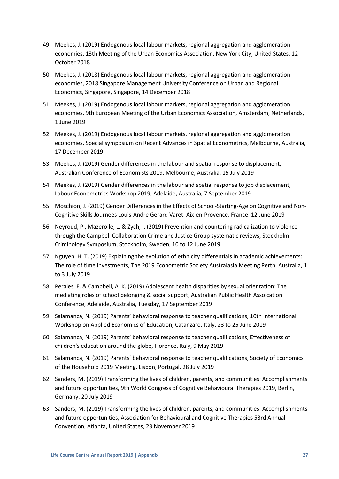- 49. Meekes, J. (2019) Endogenous local labour markets, regional aggregation and agglomeration economies, 13th Meeting of the Urban Economics Association, New York City, United States, 12 October 2018
- 50. Meekes, J. (2018) Endogenous local labour markets, regional aggregation and agglomeration economies, 2018 Singapore Management University Conference on Urban and Regional Economics, Singapore, Singapore, 14 December 2018
- 51. Meekes, J. (2019) Endogenous local labour markets, regional aggregation and agglomeration economies, 9th European Meeting of the Urban Economics Association, Amsterdam, Netherlands, 1 June 2019
- 52. Meekes, J. (2019) Endogenous local labour markets, regional aggregation and agglomeration economies, Special symposium on Recent Advances in Spatial Econometrics, Melbourne, Australia, 17 December 2019
- 53. Meekes, J. (2019) Gender differences in the labour and spatial response to displacement, Australian Conference of Economists 2019, Melbourne, Australia, 15 July 2019
- 54. Meekes, J. (2019) Gender differences in the labour and spatial response to job displacement, Labour Econometrics Workshop 2019, Adelaide, Australia, 7 September 2019
- 55. Moschion, J. (2019) Gender Differences in the Effects of School-Starting-Age on Cognitive and Non-Cognitive Skills Journees Louis-Andre Gerard Varet, Aix-en-Provence, France, 12 June 2019
- 56. Neyroud, P., Mazerolle, L. & Zych, I. (2019) Prevention and countering radicalization to violence through the Campbell Collaboration Crime and Justice Group systematic reviews, Stockholm Criminology Symposium, Stockholm, Sweden, 10 to 12 June 2019
- 57. Nguyen, H. T. (2019) Explaining the evolution of ethnicity differentials in academic achievements: The role of time investments, The 2019 Econometric Society Australasia Meeting Perth, Australia, 1 to 3 July 2019
- 58. Perales, F. & Campbell, A. K. (2019) Adolescent health disparities by sexual orientation: The mediating roles of school belonging & social support, Australian Public Health Assoication Conference, Adelaide, Australia, Tuesday, 17 September 2019
- 59. Salamanca, N. (2019) Parents' behavioral response to teacher qualifications, 10th International Workshop on Applied Economics of Education, Catanzaro, Italy, 23 to 25 June 2019
- 60. Salamanca, N. (2019) Parents' behavioral response to teacher qualifications, Effectiveness of children's education around the globe, Florence, Italy, 9 May 2019
- 61. Salamanca, N. (2019) Parents' behavioral response to teacher qualifications, Society of Economics of the Household 2019 Meeting, Lisbon, Portugal, 28 July 2019
- 62. Sanders, M. (2019) Transforming the lives of children, parents, and communities: Accomplishments and future opportunities, 9th World Congress of Cognitive Behavioural Therapies 2019, Berlin, Germany, 20 July 2019
- 63. Sanders, M. (2019) Transforming the lives of children, parents, and communities: Accomplishments and future opportunities, Association for Behavioural and Cognitive Therapies 53rd Annual Convention, Atlanta, United States, 23 November 2019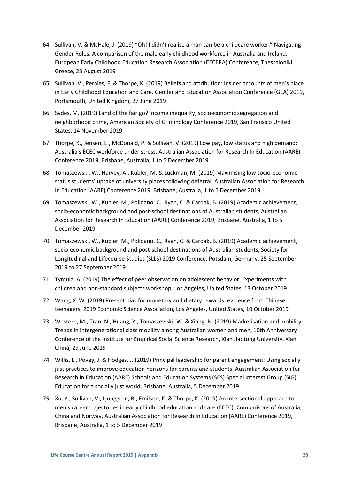- 64. Sullivan, V. & McHale, J. (2019) "Oh! I didn't realise a man can be a childcare worker." Navigating Gender Roles: A comparison of the male early childhood workforce in Australia and Ireland. European Early Childhood Education Research Association (EECERA) Conference, Thessaloniki, Greece, 23 August 2019
- 65. Sullivan, V., Perales, F. & Thorpe, K. (2019) Beliefs and attribution: Insider accounts of men's place in Early Childhood Education and Care. Gender and Education Association Conference (GEA) 2019, Portsmouth, United Kingdom, 27 June 2019
- 66. Sydes, M. (2019) Land of the fair go? Income inequality, socioeconomic segregation and neighborhood crime, American Society of Criminology Conference 2019, San Fransico United States, 14 November 2019
- 67. Thorpe, K., Jensen, E., McDonald, P. & Sullivan, V. (2019) Low pay, low status and high demand: Australia's ECEC workforce under stress, Australian Association for Research In Education (AARE) Conference 2019, Brisbane, Australia, 1 to 5 December 2019
- 68. Tomaszewski, W., Harvey, A., Kubler, M. & Luckman, M. (2019) Maximising low socio-economic status students' uptake of university places following deferral, Australian Association for Research In Education (AARE) Conference 2019, Brisbane, Australia, 1 to 5 December 2019
- 69. Tomaszewski, W., Kubler, M., Polidano, C., Ryan, C. & Cardak, B. (2019) Academic achievement, socio-economic background and post-school destinations of Australian students, Australian Association for Research In Education (AARE) Conference 2019, Brisbane, Australia, 1 to 5 December 2019
- 70. Tomaszewski, W., Kubler, M., Polidano, C., Ryan, C. & Cardak, B. (2019) Academic achievement, socio-economic background and post-school destinations of Australian students, Society for Longitudinal and Lifecourse Studies (SLLS) 2019 Conference, Potsdam, Germany, 25 September 2019 to 27 September 2019
- 71. Tymula, A. (2019) The effect of peer observation on adolescent behavior, Experiments with children and non-standard subjects workshop, Los Angeles, United States, 13 October 2019
- 72. Wang, X. W. (2019) Present bias for monetary and dietary rewards: evidence from Chinese teenagers, 2019 Economic Science Association, Los Angeles, United States, 10 October 2019
- 73. Western, M., Tran, N., Huang, Y., Tomaszewski, W. & Xiang, N. (2019) Marketisation and mobility: Trends in intergenerational class mobility among Australian women and men, 10th Anniversary Conference of the Institute for Empirical Social Science Research, Xian Jiaotong University, Xian, China, 29 June 2019
- 74. Willis, L., Povey, J. & Hodges, J. (2019) Principal leadership for parent engagement: Using socially just practices to improve education horizons for parents and students. Australian Association for Research in Education (AARE) Schools and Education Systems (SES) Special Interest Group (SIG), Education for a socially just world, Brisbane, Australia, 5 December 2019
- 75. Xu, Y., Sullivan, V., Ljunggren, B., Emilsen, K. & Thorpe, K. (2019) An intersectional approach to men's career trajectories in early childhood education and care (ECEC): Comparisons of Australia, China and Norway, Australian Association for Research In Education (AARE) Conference 2019, Brisbane, Australia, 1 to 5 December 2019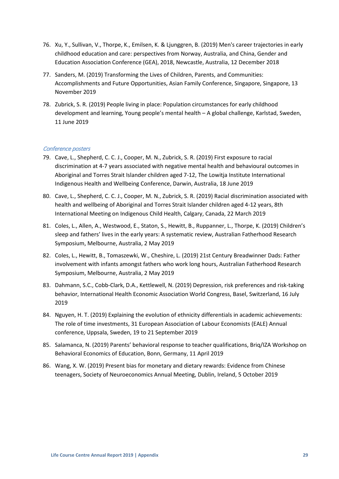- 76. Xu, Y., Sullivan, V., Thorpe, K., Emilsen, K. & Ljunggren, B. (2019) Men's career trajectories in early childhood education and care: perspectives from Norway, Australia, and China, Gender and Education Association Conference (GEA), 2018, Newcastle, Australia, 12 December 2018
- 77. Sanders, M. (2019) Transforming the Lives of Children, Parents, and Communities: Accomplishments and Future Opportunities, Asian Family Conference, Singapore, Singapore, 13 November 2019
- 78. Zubrick, S. R. (2019) People living in place: Population circumstances for early childhood development and learning, Young people's mental health – A global challenge, Karlstad, Sweden, 11 June 2019

# Conference posters

- 79. Cave, L., Shepherd, C. C. J., Cooper, M. N., Zubrick, S. R. (2019) First exposure to racial discrimination at 4-7 years associated with negative mental health and behavioural outcomes in Aboriginal and Torres Strait Islander children aged 7-12, The Lowitja Institute International Indigenous Health and Wellbeing Conference, Darwin, Australia, 18 June 2019
- 80. Cave, L., Shepherd, C. C. J., Cooper, M. N., Zubrick, S. R. (2019) Racial discrimination associated with health and wellbeing of Aboriginal and Torres Strait Islander children aged 4-12 years, 8th International Meeting on Indigenous Child Health, Calgary, Canada, 22 March 2019
- 81. Coles, L., Allen, A., Westwood, E., Staton, S., Hewitt, B., Ruppanner, L., Thorpe, K. (2019) Children's sleep and fathers' lives in the early years: A systematic review, Australian Fatherhood Research Symposium, Melbourne, Australia, 2 May 2019
- 82. Coles, L., Hewitt, B., Tomaszewki, W., Cheshire, L. (2019) 21st Century Breadwinner Dads: Father involvement with infants amongst fathers who work long hours, Australian Fatherhood Research Symposium, Melbourne, Australia, 2 May 2019
- 83. Dahmann, S.C., Cobb-Clark, D.A., Kettlewell, N. (2019) Depression, risk preferences and risk-taking behavior, International Health Economic Association World Congress, Basel, Switzerland, 16 July 2019
- 84. Nguyen, H. T. (2019) Explaining the evolution of ethnicity differentials in academic achievements: The role of time investments, 31 European Association of Labour Economists (EALE) Annual conference, Uppsala, Sweden, 19 to 21 September 2019
- 85. Salamanca, N. (2019) Parents' behavioral response to teacher qualifications, Briq/IZA Workshop on Behavioral Economics of Education, Bonn, Germany, 11 April 2019
- 86. Wang, X. W. (2019) Present bias for monetary and dietary rewards: Evidence from Chinese teenagers, Society of Neuroeconomics Annual Meeting, Dublin, Ireland, 5 October 2019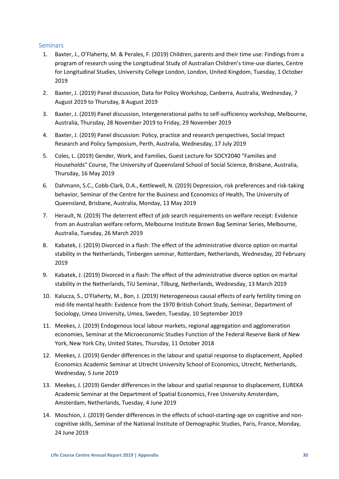# <span id="page-29-0"></span>**Seminars**

- 1. Baxter, J., O'Flaherty, M. & Perales, F. (2019) Children, parents and their time use: Findings from a program of research using the Longitudinal Study of Australian Children's time-use diaries, Centre for Longitudinal Studies, University College London, London, United Kingdom, Tuesday, 1 October 2019
- 2. Baxter, J. (2019) Panel discussion, Data for Policy Workshop, Canberra, Australia, Wednesday, 7 August 2019 to Thursday, 8 August 2019
- 3. Baxter, J. (2019) Panel discussion, Intergenerational paths to self-sufficiency workshop, Melbourne, Australia, Thursday, 28 November 2019 to Friday, 29 November 2019
- 4. Baxter, J. (2019) Panel discussion: Policy, practice and research perspectives, Social Impact Research and Policy Symposium, Perth, Australia, Wednesday, 17 July 2019
- 5. Coles, L. (2019) Gender, Work, and Families, Guest Lecture for SOCY2040 "Families and Households" Course, The University of Queensland School of Social Science, Brisbane, Australia, Thursday, 16 May 2019
- 6. Dahmann, S.C., Cobb-Clark, D.A., Kettlewell, N. (2019) Depression, risk preferences and risk-taking behavior, Seminar of the Centre for the Business and Economics of Health, The University of Queensland, Brisbane, Australia, Monday, 13 May 2019
- 7. Herault, N. (2019) The deterrent effect of job search requirements on welfare receipt: Evidence from an Australian welfare reform, Melbourne Institute Brown Bag Seminar Series, Melbourne, Australia, Tuesday, 26 March 2019
- 8. Kabatek, J. (2019) Divorced in a flash: The effect of the administrative divorce option on marital stability in the Netherlands, Tinbergen seminar, Rotterdam, Netherlands, Wednesday, 20 February 2019
- 9. Kabatek, J. (2019) Divorced in a flash: The effect of the administrative divorce option on marital stability in the Netherlands, TiU Seminar, Tilburg, Netherlands, Wednesday, 13 March 2019
- 10. Kalucza, S., O'Flaherty, M., Bon, J. (2019) Heterogeneous causal effects of early fertility timing on mid-life mental health: Evidence from the 1970 British Cohort Study, Seminar, Department of Sociology, Umea University, Umea, Sweden, Tuesday, 10 September 2019
- 11. Meekes, J. (2019) Endogenous local labour markets, regional aggregation and agglomeration economies, Seminar at the Microeconomic Studies Function of the Federal Reserve Bank of New York, New York City, United States, Thursday, 11 October 2018
- 12. Meekes, J. (2019) Gender differences in the labour and spatial response to displacement, Applied Economics Academic Seminar at Utrecht University School of Economics, Utrecht, Netherlands, Wednesday, 5 June 2019
- 13. Meekes, J. (2019) Gender differences in the labour and spatial response to displacement, EUREKA Academic Seminar at the Department of Spatial Economics, Free University Amsterdam, Amsterdam, Netherlands, Tuesday, 4 June 2019
- 14. Moschion, J. (2019) Gender differences in the effects of school-starting-age on cognitive and noncognitive skills, Seminar of the National Institute of Demographic Studies, Paris, France, Monday, 24 June 2019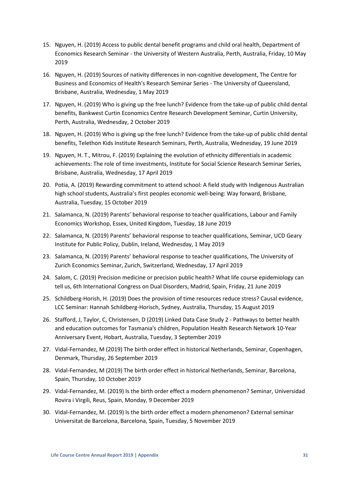- 15. Nguyen, H. (2019) Access to public dental benefit programs and child oral health, Department of Economics Research Seminar - the University of Western Australia, Perth, Australia, Friday, 10 May 2019
- 16. Nguyen, H. (2019) Sources of nativity differences in non-cognitive development, The Centre for Business and Economics of Health's Research Seminar Series - The University of Queensland, Brisbane, Australia, Wednesday, 1 May 2019
- 17. Nguyen, H. (2019) Who is giving up the free lunch? Evidence from the take-up of public child dental benefits, Bankwest Curtin Economics Centre Research Development Seminar, Curtin University, Perth, Australia, Wednesday, 2 October 2019
- 18. Nguyen, H. (2019) Who is giving up the free lunch? Evidence from the take-up of public child dental benefits, Telethon Kids Institute Research Seminars, Perth, Australia, Wednesday, 19 June 2019
- 19. Nguyen, H. T., Mitrou, F. (2019) Explaining the evolution of ethnicity differentials in academic achievements: The role of time investments, Institute for Social Science Research Seminar Series, Brisbane, Australia, Wednesday, 17 April 2019
- 20. Potia, A. (2019) Rewarding commitment to attend school: A field study with Indigenous Australian high school students, Australia's first peoples economic well-being: Way forward, Brisbane, Australia, Tuesday, 15 October 2019
- 21. Salamanca, N. (2019) Parents' behavioral response to teacher qualifications, Labour and Family Economics Workshop, Essex, United Kingdom, Tuesday, 18 June 2019
- 22. Salamanca, N. (2019) Parents' behavioral response to teacher qualifications, Seminar, UCD Geary Institute for Public Policy, Dublin, Ireland, Wednesday, 1 May 2019
- 23. Salamanca, N. (2019) Parents' behavioral response to teacher qualifications, The University of Zurich Economics Seminar, Zurich, Switzerland, Wednesday, 17 April 2019
- 24. Salom, C. (2019) Precision medicine or precision public health? What life course epidemiology can tell us, 6th International Congress on Dual Disorders, Madrid, Spain, Friday, 21 June 2019
- 25. Schildberg-Horish, H. (2019) Does the provision of time resources reduce stress? Causal evidence, LCC Seminar: Hannah Schildberg-Horisch, Sydney, Australia, Thursday, 15 August 2019
- 26. Stafford, J, Taylor, C, Christensen, D (2019) Linked Data Case Study 2 Pathways to better health and education outcomes for Tasmania's children, Population Health Research Network 10-Year Anniversary Event, Hobart, Australia, Tuesday, 3 September 2019
- 27. Vidal-Fernandez, M (2019) The birth order effect in historical Netherlands, Seminar, Copenhagen, Denmark, Thursday, 26 September 2019
- 28. Vidal-Fernandez, M (2019) The birth order effect in historical Netherlands, Seminar, Barcelona, Spain, Thursday, 10 October 2019
- 29. Vidal-Fernandez, M. (2019) Is the birth order effect a modern phenomenon? Seminar, Universidad Rovira i Virgili, Reus, Spain, Monday, 9 December 2019
- 30. Vidal-Fernandez, M. (2019) Is the birth order effect a modern phenomenon? External seminar Universitat de Barcelona, Barcelona, Spain, Tuesday, 5 November 2019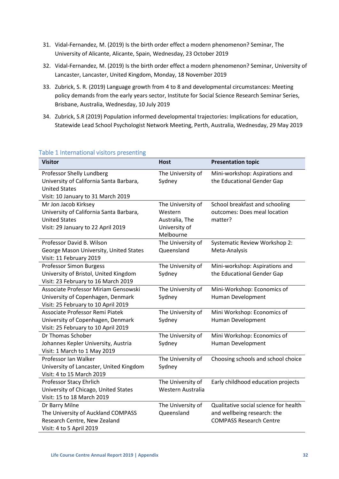- 31. Vidal-Fernandez, M. (2019) Is the birth order effect a modern phenomenon? Seminar, The University of Alicante, Alicante, Spain, Wednesday, 23 October 2019
- 32. Vidal-Fernandez, M. (2019) Is the birth order effect a modern phenomenon? Seminar, University of Lancaster, Lancaster, United Kingdom, Monday, 18 November 2019
- 33. Zubrick, S. R. (2019) Language growth from 4 to 8 and developmental circumstances: Meeting policy demands from the early years sector, Institute for Social Science Research Seminar Series, Brisbane, Australia, Wednesday, 10 July 2019
- 34. Zubrick, S.R (2019) Population informed developmental trajectories: Implications for education, Statewide Lead School Psychologist Network Meeting, Perth, Australia, Wednesday, 29 May 2019

| <u>Fable I TriterHational Visitors presenting</u> |                   |                                       |
|---------------------------------------------------|-------------------|---------------------------------------|
| <b>Visitor</b>                                    | <b>Host</b>       | <b>Presentation topic</b>             |
| Professor Shelly Lundberg                         | The University of | Mini-workshop: Aspirations and        |
| University of California Santa Barbara,           | Sydney            | the Educational Gender Gap            |
| <b>United States</b>                              |                   |                                       |
| Visit: 10 January to 31 March 2019                |                   |                                       |
| Mr Jon Jacob Kirksey                              | The University of | School breakfast and schooling        |
| University of California Santa Barbara,           | Western           | outcomes: Does meal location          |
| <b>United States</b>                              | Australia, The    | matter?                               |
| Visit: 29 January to 22 April 2019                | University of     |                                       |
|                                                   | Melbourne         |                                       |
| Professor David B. Wilson                         | The University of | Systematic Review Workshop 2:         |
| George Mason University, United States            | Queensland        | Meta-Analysis                         |
| Visit: 11 February 2019                           |                   |                                       |
| <b>Professor Simon Burgess</b>                    | The University of | Mini-workshop: Aspirations and        |
| University of Bristol, United Kingdom             | Sydney            | the Educational Gender Gap            |
| Visit: 23 February to 16 March 2019               |                   |                                       |
| Associate Professor Miriam Gensowski              | The University of | Mini-Workshop: Economics of           |
| University of Copenhagen, Denmark                 | Sydney            | Human Development                     |
| Visit: 25 February to 10 April 2019               |                   |                                       |
| Associate Professor Remi Piatek                   | The University of | Mini Workshop: Economics of           |
| University of Copenhagen, Denmark                 | Sydney            | Human Development                     |
| Visit: 25 February to 10 April 2019               |                   |                                       |
| Dr Thomas Schober                                 | The University of | Mini Workshop: Economics of           |
| Johannes Kepler University, Austria               | Sydney            | Human Development                     |
| Visit: 1 March to 1 May 2019                      |                   |                                       |
| Professor Ian Walker                              | The University of | Choosing schools and school choice    |
| University of Lancaster, United Kingdom           | Sydney            |                                       |
| Visit: 4 to 15 March 2019                         |                   |                                       |
| Professor Stacy Ehrlich                           | The University of | Early childhood education projects    |
| University of Chicago, United States              | Western Australia |                                       |
| Visit: 15 to 18 March 2019                        |                   |                                       |
| Dr Barry Milne                                    | The University of | Qualitative social science for health |
| The University of Auckland COMPASS                | Queensland        | and wellbeing research: the           |
| Research Centre, New Zealand                      |                   | <b>COMPASS Research Centre</b>        |
| Visit: 4 to 5 April 2019                          |                   |                                       |

# <span id="page-31-0"></span>Table 1 International visitors presenting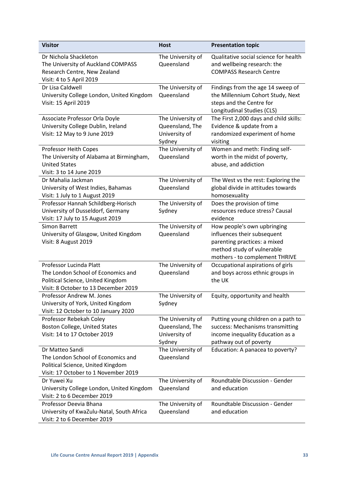| <b>Visitor</b>                                                          | <b>Host</b>                     | <b>Presentation topic</b>                                            |
|-------------------------------------------------------------------------|---------------------------------|----------------------------------------------------------------------|
| Dr Nichola Shackleton<br>The University of Auckland COMPASS             | The University of<br>Queensland | Qualitative social science for health<br>and wellbeing research: the |
| Research Centre, New Zealand<br>Visit: 4 to 5 April 2019                |                                 | <b>COMPASS Research Centre</b>                                       |
| Dr Lisa Caldwell                                                        | The University of               | Findings from the age 14 sweep of                                    |
| University College London, United Kingdom                               | Queensland                      | the Millennium Cohort Study, Next                                    |
| Visit: 15 April 2019                                                    |                                 | steps and the Centre for                                             |
|                                                                         |                                 | Longitudinal Studies (CLS)                                           |
| Associate Professor Orla Doyle                                          | The University of               | The First 2,000 days and child skills:                               |
| University College Dublin, Ireland                                      | Queensland, The                 | Evidence & update from a                                             |
| Visit: 12 May to 9 June 2019                                            | University of                   | randomized experiment of home                                        |
| Professor Heith Copes                                                   | Sydney<br>The University of     | visiting<br>Women and meth: Finding self-                            |
| The University of Alabama at Birmingham,                                | Queensland                      | worth in the midst of poverty,                                       |
| <b>United States</b>                                                    |                                 | abuse, and addiction                                                 |
| Visit: 3 to 14 June 2019                                                |                                 |                                                                      |
| Dr Mahalia Jackman                                                      | The University of               | The West vs the rest: Exploring the                                  |
| University of West Indies, Bahamas                                      | Queensland                      | global divide in attitudes towards                                   |
| Visit: 1 July to 1 August 2019                                          |                                 | homosexuality                                                        |
| Professor Hannah Schildberg-Horisch                                     | The University of               | Does the provision of time                                           |
| University of Dusseldorf, Germany                                       | Sydney                          | resources reduce stress? Causal                                      |
| Visit: 17 July to 15 August 2019<br>Simon Barrett                       | The University of               | evidence<br>How people's own upbringing                              |
| University of Glasgow, United Kingdom                                   | Queensland                      | influences their subsequent                                          |
| Visit: 8 August 2019                                                    |                                 | parenting practices: a mixed                                         |
|                                                                         |                                 | method study of vulnerable                                           |
|                                                                         |                                 | mothers - to complement THRIVE                                       |
| Professor Lucinda Platt                                                 | The University of               | Occupational aspirations of girls                                    |
| The London School of Economics and                                      | Queensland                      | and boys across ethnic groups in                                     |
| Political Science, United Kingdom                                       |                                 | the UK                                                               |
| Visit: 8 October to 13 December 2019<br>Professor Andrew M. Jones       | The University of               | Equity, opportunity and health                                       |
| University of York, United Kingdom                                      | Sydney                          |                                                                      |
| Visit: 12 October to 10 January 2020                                    |                                 |                                                                      |
| Professor Rebekah Coley                                                 | The University of               | Putting young children on a path to                                  |
| Boston College, United States                                           | Queensland, The                 | success: Mechanisms transmitting                                     |
| Visit: 14 to 17 October 2019                                            | University of                   | income inequality Education as a                                     |
|                                                                         | Sydney                          | pathway out of poverty                                               |
| Dr Matteo Sandi                                                         | The University of               | Education: A panacea to poverty?                                     |
| The London School of Economics and<br>Political Science, United Kingdom | Queensland                      |                                                                      |
| Visit: 17 October to 1 November 2019                                    |                                 |                                                                      |
| Dr Yuwei Xu                                                             | The University of               | Roundtable Discussion - Gender                                       |
| University College London, United Kingdom                               | Queensland                      | and education                                                        |
| Visit: 2 to 6 December 2019                                             |                                 |                                                                      |
| Professor Deevia Bhana                                                  | The University of               | Roundtable Discussion - Gender                                       |
| University of KwaZulu-Natal, South Africa                               | Queensland                      | and education                                                        |
| Visit: 2 to 6 December 2019                                             |                                 |                                                                      |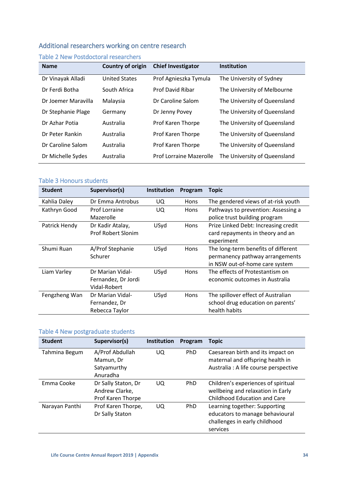# <span id="page-33-0"></span>Additional researchers working on centre research

| <b>Name</b>         | Country of origin    | <b>Chief Investigator</b>      | <b>Institution</b>           |
|---------------------|----------------------|--------------------------------|------------------------------|
| Dr Vinayak Alladi   | <b>United States</b> | Prof Agnieszka Tymula          | The University of Sydney     |
| Dr Ferdi Botha      | South Africa         | <b>Prof David Ribar</b>        | The University of Melbourne  |
| Dr Joemer Maravilla | Malaysia             | Dr Caroline Salom              | The University of Queensland |
| Dr Stephanie Plage  | Germany              | Dr Jenny Povey                 | The University of Queensland |
| Dr Azhar Potia      | Australia            | Prof Karen Thorpe              | The University of Queensland |
| Dr Peter Rankin     | Australia            | Prof Karen Thorpe              | The University of Queensland |
| Dr Caroline Salom   | Australia            | Prof Karen Thorpe              | The University of Queensland |
| Dr Michelle Sydes   | Australia            | <b>Prof Lorraine Mazerolle</b> | The University of Queensland |

# <span id="page-33-1"></span>Table 2 New Postdoctoral researchers

# <span id="page-33-2"></span>Table 3 Honours students

| <b>Student</b> | Supervisor(s)                                           | <b>Institution</b> | Program     | <b>Topic</b>                                                                                             |
|----------------|---------------------------------------------------------|--------------------|-------------|----------------------------------------------------------------------------------------------------------|
| Kahlia Daley   | Dr Emma Antrobus                                        | UQ                 | Hons        | The gendered views of at-risk youth                                                                      |
| Kathryn Good   | <b>Prof Lorraine</b><br>Mazerolle                       | UQ.                | <b>Hons</b> | Pathways to prevention: Assessing a<br>police trust building program                                     |
| Patrick Hendy  | Dr Kadir Atalay,<br><b>Prof Robert Slonim</b>           | USyd               | <b>Hons</b> | Prize Linked Debt: Increasing credit<br>card repayments in theory and an<br>experiment                   |
| Shumi Ruan     | A/Prof Stephanie<br>Schurer                             | USyd               | <b>Hons</b> | The long-term benefits of different<br>permanency pathway arrangements<br>in NSW out-of-home care system |
| Liam Varley    | Dr Marian Vidal-<br>Fernandez, Dr Jordi<br>Vidal-Robert | USyd               | <b>Hons</b> | The effects of Protestantism on<br>economic outcomes in Australia                                        |
| Fengzheng Wan  | Dr Marian Vidal-<br>Fernandez, Dr<br>Rebecca Taylor     | USyd               | Hons        | The spillover effect of Australian<br>school drug education on parents'<br>health habits                 |

# <span id="page-33-3"></span>Table 4 New postgraduate students

| <b>Student</b> | Supervisor(s)                                              | Institution | Program    | <b>Topic</b>                                                                                                    |
|----------------|------------------------------------------------------------|-------------|------------|-----------------------------------------------------------------------------------------------------------------|
| Tahmina Begum  | A/Prof Abdullah<br>Mamun, Dr<br>Satyamurthy<br>Anuradha    | UQ.         | <b>PhD</b> | Caesarean birth and its impact on<br>maternal and offspring health in<br>Australia : A life course perspective  |
| Emma Cooke     | Dr Sally Staton, Dr<br>Andrew Clarke,<br>Prof Karen Thorpe | UQ          | <b>PhD</b> | Children's experiences of spiritual<br>wellbeing and relaxation in Early<br><b>Childhood Education and Care</b> |
| Narayan Panthi | Prof Karen Thorpe,<br>Dr Sally Staton                      | UQ.         | <b>PhD</b> | Learning together: Supporting<br>educators to manage behavioural<br>challenges in early childhood<br>services   |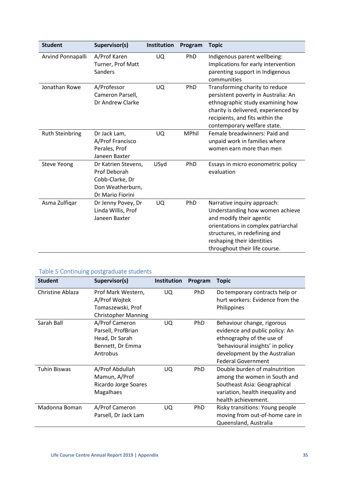| <b>Student</b>         | Supervisor(s)                                                                                  | Institution | Program      | <b>Topic</b>                                                                                                                                                                                                                      |
|------------------------|------------------------------------------------------------------------------------------------|-------------|--------------|-----------------------------------------------------------------------------------------------------------------------------------------------------------------------------------------------------------------------------------|
| Arvind Ponnapalli      | A/Prof Karen<br>Turner, Prof Matt<br>Sanders                                                   | UQ          | PhD          | Indigenous parent wellbeing:<br>Implications for early intervention<br>parenting support in Indigenous<br>communities                                                                                                             |
| Jonathan Rowe          | A/Professor<br>Cameron Parsell,<br>Dr Andrew Clarke                                            | <b>UQ</b>   | PhD          | Transforming charity to reduce<br>persistent poverty in Australia: An<br>ethnographic study examining how<br>charity is delivered, experienced by<br>recipients, and fits within the<br>contemporary welfare state.               |
| <b>Ruth Steinbring</b> | Dr Jack Lam,<br>A/Prof Francisco<br>Perales, Prof<br>Janeen Baxter                             | UQ          | <b>MPhil</b> | Female breadwinners: Paid and<br>unpaid work in families where<br>women earn more than men                                                                                                                                        |
| <b>Steve Yeong</b>     | Dr Katrien Stevens,<br>Prof Deborah<br>Cobb-Clarke, Dr<br>Don Weatherburn,<br>Dr Mario Fiorini | USyd        | PhD          | Essays in micro econometric policy<br>evaluation                                                                                                                                                                                  |
| Asma Zulfiqar          | Dr Jenny Povey, Dr<br>Linda Willis, Prof<br>Janeen Baxter                                      | UQ.         | PhD          | Narrative inquiry approach:<br>Understanding how women achieve<br>and modify their agentic<br>orientations in complex patriarchal<br>structures, in redefining and<br>reshaping their identities<br>throughout their life course. |

# <span id="page-34-0"></span>Table 5 Continuing postgraduate students

| <b>Student</b>      | Supervisor(s)                                                                          | Institution | Program    | <b>Topic</b>                                                                                                                                                                                |
|---------------------|----------------------------------------------------------------------------------------|-------------|------------|---------------------------------------------------------------------------------------------------------------------------------------------------------------------------------------------|
| Christine Ablaza    | Prof Mark Western,<br>A/Prof Wojtek<br>Tomaszewski, Prof<br><b>Christopher Manning</b> | UQ          | PhD        | Do temporary contracts help or<br>hurt workers: Evidence from the<br>Philippines                                                                                                            |
| Sarah Ball          | A/Prof Cameron<br>Parsell, ProfBrian<br>Head, Dr Sarah<br>Bennett, Dr Emma<br>Antrobus | UQ          | PhD        | Behaviour change, rigorous<br>evidence and public policy: An<br>ethnography of the use of<br>'behavioural insights' in policy<br>development by the Australian<br><b>Federal Government</b> |
| <b>Tuhin Biswas</b> | A/Prof Abdullah<br>Mamun, A/Prof<br>Ricardo Jorge Soares<br>Magalhaes                  | UQ          | <b>PhD</b> | Double burden of malnutrition<br>among the women in South and<br>Southeast Asia: Geographical<br>variation, health inequality and<br>health achievement.                                    |
| Madonna Boman       | A/Prof Cameron<br>Parsell, Dr Jack Lam                                                 | UQ          | PhD        | Risky transitions: Young people<br>moving from out-of-home care in<br>Queensland, Australia                                                                                                 |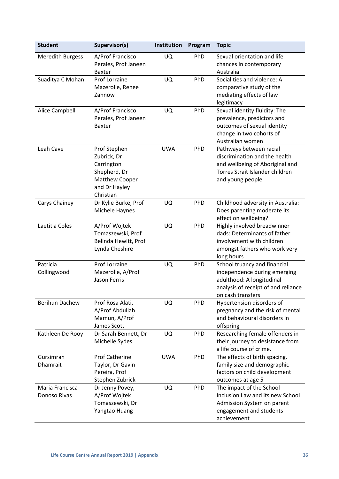| <b>Student</b>                  | Supervisor(s)                                                                                             | Institution | Program | <b>Topic</b>                                                                                                                                          |
|---------------------------------|-----------------------------------------------------------------------------------------------------------|-------------|---------|-------------------------------------------------------------------------------------------------------------------------------------------------------|
| <b>Meredith Burgess</b>         | A/Prof Francisco<br>Perales, Prof Janeen<br><b>Baxter</b>                                                 | UQ          | PhD     | Sexual orientation and life<br>chances in contemporary<br>Australia                                                                                   |
| Suaditya C Mohan                | Prof Lorraine<br>Mazerolle, Renee<br>Zahnow                                                               | UQ          | PhD     | Social ties and violence: A<br>comparative study of the<br>mediating effects of law<br>legitimacy                                                     |
| Alice Campbell                  | A/Prof Francisco<br>Perales, Prof Janeen<br><b>Baxter</b>                                                 | UQ          | PhD     | Sexual identity fluidity: The<br>prevalence, predictors and<br>outcomes of sexual identity<br>change in two cohorts of<br>Australian women            |
| Leah Cave                       | Prof Stephen<br>Zubrick, Dr<br>Carrington<br>Shepherd, Dr<br>Matthew Cooper<br>and Dr Hayley<br>Christian | <b>UWA</b>  | PhD     | Pathways between racial<br>discrimination and the health<br>and wellbeing of Aboriginal and<br>Torres Strait Islander children<br>and young people    |
| Carys Chainey                   | Dr Kylie Burke, Prof<br>Michele Haynes                                                                    | UQ          | PhD     | Childhood adversity in Australia:<br>Does parenting moderate its<br>effect on wellbeing?                                                              |
| Laetitia Coles                  | A/Prof Wojtek<br>Tomaszewski, Prof<br>Belinda Hewitt, Prof<br>Lynda Cheshire                              | UQ          | PhD     | Highly involved breadwinner<br>dads: Determinants of father<br>involvement with children<br>amongst fathers who work very<br>long hours               |
| Patricia<br>Collingwood         | <b>Prof Lorraine</b><br>Mazerolle, A/Prof<br><b>Jason Ferris</b>                                          | UQ          | PhD     | School truancy and financial<br>independence during emerging<br>adulthood: A longitudinal<br>analysis of receipt of and reliance<br>on cash transfers |
| <b>Berihun Dachew</b>           | Prof Rosa Alati,<br>A/Prof Abdullah<br>Mamun, A/Prof<br>James Scott                                       | UQ          | PhD     | Hypertension disorders of<br>pregnancy and the risk of mental<br>and behavioural disorders in<br>offspring                                            |
| Kathleen De Rooy                | Dr Sarah Bennett, Dr<br>Michelle Sydes                                                                    | UQ          | PhD     | Researching female offenders in<br>their journey to desistance from<br>a life course of crime.                                                        |
| Gursimran<br>Dhamrait           | <b>Prof Catherine</b><br>Taylor, Dr Gavin<br>Pereira, Prof<br>Stephen Zubrick                             | <b>UWA</b>  | PhD     | The effects of birth spacing,<br>family size and demographic<br>factors on child development<br>outcomes at age 5                                     |
| Maria Francisca<br>Donoso Rivas | Dr Jenny Povey,<br>A/Prof Wojtek<br>Tomaszewski, Dr<br>Yangtao Huang                                      | UQ          | PhD     | The impact of the School<br>Inclusion Law and its new School<br>Admission System on parent<br>engagement and students<br>achievement                  |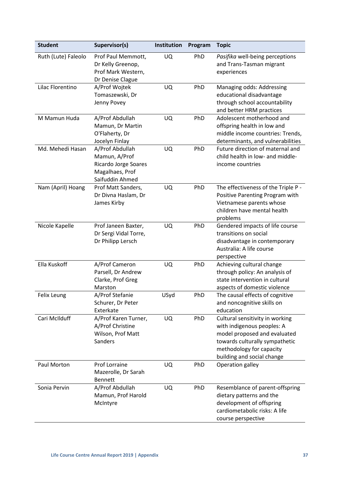| <b>Student</b>      | Supervisor(s)                                                                                  | Institution | Program | <b>Topic</b>                                                                                                                                                                              |
|---------------------|------------------------------------------------------------------------------------------------|-------------|---------|-------------------------------------------------------------------------------------------------------------------------------------------------------------------------------------------|
| Ruth (Lute) Faleolo | Prof Paul Memmott,<br>Dr Kelly Greenop,<br>Prof Mark Western,<br>Dr Denise Clague              | UQ          | PhD     | Pasifika well-being perceptions<br>and Trans-Tasman migrant<br>experiences                                                                                                                |
| Lilac Florentino    | A/Prof Wojtek<br>Tomaszewski, Dr<br>Jenny Povey                                                | UQ          | PhD     | Managing odds: Addressing<br>educational disadvantage<br>through school accountability<br>and better HRM practices                                                                        |
| M Mamun Huda        | A/Prof Abdullah<br>Mamun, Dr Martin<br>O'Flaherty, Dr<br>Jocelyn Finlay                        | UQ          | PhD     | Adolescent motherhood and<br>offspring health in low and<br>middle income countries: Trends,<br>determinants, and vulnerabilities                                                         |
| Md. Mehedi Hasan    | A/Prof Abdullah<br>Mamun, A/Prof<br>Ricardo Jorge Soares<br>Magalhaes, Prof<br>Saifuddin Ahmed | UQ          | PhD     | Future direction of maternal and<br>child health in low- and middle-<br>income countries                                                                                                  |
| Nam (April) Hoang   | Prof Matt Sanders,<br>Dr Divna Haslam, Dr<br>James Kirby                                       | UQ          | PhD     | The effectiveness of the Triple P -<br>Positive Parenting Program with<br>Vietnamese parents whose<br>children have mental health<br>problems                                             |
| Nicole Kapelle      | Prof Janeen Baxter,<br>Dr Sergi Vidal Torre,<br>Dr Philipp Lersch                              | UQ          | PhD     | Gendered impacts of life course<br>transitions on social<br>disadvantage in contemporary<br>Australia: A life course<br>perspective                                                       |
| Ella Kuskoff        | A/Prof Cameron<br>Parsell, Dr Andrew<br>Clarke, Prof Greg<br>Marston                           | UQ          | PhD     | Achieving cultural change<br>through policy: An analysis of<br>state intervention in cultural<br>aspects of domestic violence                                                             |
| Felix Leung         | A/Prof Stefanie<br>Schurer, Dr Peter<br>Exterkate                                              | USyd        | PhD     | The causal effects of cognitive<br>and noncognitive skills on<br>education                                                                                                                |
| Cari McIlduff       | A/Prof Karen Turner,<br>A/Prof Christine<br>Wilson, Prof Matt<br>Sanders                       | UQ          | PhD     | Cultural sensitivity in working<br>with indigenous peoples: A<br>model proposed and evaluated<br>towards culturally sympathetic<br>methodology for capacity<br>building and social change |
| Paul Morton         | Prof Lorraine<br>Mazerolle, Dr Sarah<br><b>Bennett</b>                                         | UQ          | PhD     | Operation galley                                                                                                                                                                          |
| Sonia Pervin        | A/Prof Abdullah<br>Mamun, Prof Harold<br>McIntyre                                              | UQ          | PhD     | Resemblance of parent-offspring<br>dietary patterns and the<br>development of offspring<br>cardiometabolic risks: A life<br>course perspective                                            |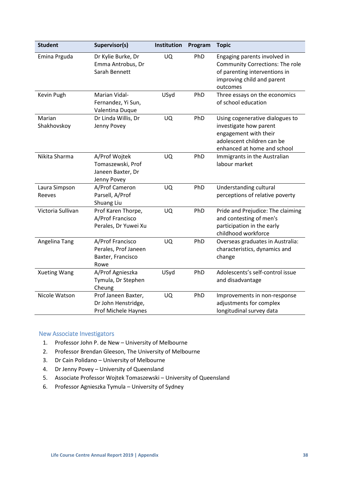| <b>Student</b>          | Supervisor(s)                                                          | Institution | Program | <b>Topic</b>                                                                                                                                      |
|-------------------------|------------------------------------------------------------------------|-------------|---------|---------------------------------------------------------------------------------------------------------------------------------------------------|
| Emina Prguda            | Dr Kylie Burke, Dr<br>Emma Antrobus, Dr<br>Sarah Bennett               | <b>UQ</b>   | PhD     | Engaging parents involved in<br><b>Community Corrections: The role</b><br>of parenting interventions in<br>improving child and parent<br>outcomes |
| Kevin Pugh              | Marian Vidal-<br>Fernandez, Yi Sun,<br>Valentina Duque                 | USyd        | PhD     | Three essays on the economics<br>of school education                                                                                              |
| Marian<br>Shakhovskoy   | Dr Linda Willis, Dr<br>Jenny Povey                                     | <b>UQ</b>   | PhD     | Using cogenerative dialogues to<br>investigate how parent<br>engagement with their<br>adolescent children can be<br>enhanced at home and school   |
| Nikita Sharma           | A/Prof Wojtek<br>Tomaszewski, Prof<br>Janeen Baxter, Dr<br>Jenny Povey | <b>UQ</b>   | PhD     | Immigrants in the Australian<br>labour market                                                                                                     |
| Laura Simpson<br>Reeves | A/Prof Cameron<br>Parsell, A/Prof<br>Shuang Liu                        | <b>UQ</b>   | PhD     | Understanding cultural<br>perceptions of relative poverty                                                                                         |
| Victoria Sullivan       | Prof Karen Thorpe,<br>A/Prof Francisco<br>Perales, Dr Yuwei Xu         | <b>UQ</b>   | PhD     | Pride and Prejudice: The claiming<br>and contesting of men's<br>participation in the early<br>childhood workforce                                 |
| Angelina Tang           | A/Prof Francisco<br>Perales, Prof Janeen<br>Baxter, Francisco<br>Rowe  | <b>UQ</b>   | PhD     | Overseas graduates in Australia:<br>characteristics, dynamics and<br>change                                                                       |
| <b>Xueting Wang</b>     | A/Prof Agnieszka<br>Tymula, Dr Stephen<br>Cheung                       | USyd        | PhD     | Adolescents's self-control issue<br>and disadvantage                                                                                              |
| Nicole Watson           | Prof Janeen Baxter,<br>Dr John Henstridge,<br>Prof Michele Haynes      | UQ          | PhD     | Improvements in non-response<br>adjustments for complex<br>longitudinal survey data                                                               |

# <span id="page-37-0"></span>New Associate Investigators

- 1. Professor John P. de New University of Melbourne
- 2. Professor Brendan Gleeson, The University of Melbourne
- 3. Dr Cain Polidano University of Melbourne
- 4. Dr Jenny Povey University of Queensland
- 5. Associate Professor Wojtek Tomaszewski University of Queensland
- 6. Professor Agnieszka Tymula University of Sydney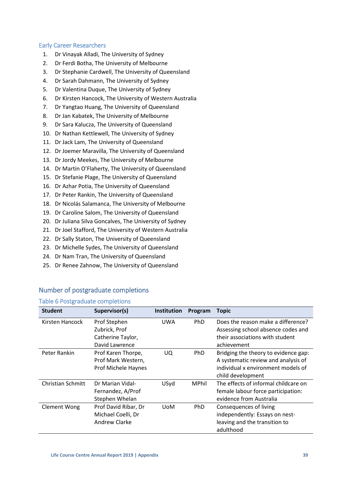# <span id="page-38-0"></span>Early Career Researchers

- 1. Dr Vinayak Alladi, The University of Sydney
- 2. Dr Ferdi Botha, The University of Melbourne
- 3. Dr Stephanie Cardwell, The University of Queensland
- 4. Dr Sarah Dahmann, The University of Sydney
- 5. Dr Valentina Duque, The University of Sydney
- 6. Dr Kirsten Hancock, The University of Western Australia
- 7. Dr Yangtao Huang, The University of Queensland
- 8. Dr Jan Kabatek, The University of Melbourne
- 9. Dr Sara Kalucza, The University of Queensland
- 10. Dr Nathan Kettlewell, The University of Sydney
- 11. Dr Jack Lam, The University of Queensland
- 12. Dr Joemer Maravilla, The University of Queensland
- 13. Dr Jordy Meekes, The University of Melbourne
- 14. Dr Martin O'Flaherty, The University of Queensland
- 15. Dr Stefanie Plage, The University of Queensland
- 16. Dr Azhar Potia, The University of Queensland
- 17. Dr Peter Rankin, The University of Queensland
- 18. Dr Nicolás Salamanca, The University of Melbourne
- 19. Dr Caroline Salom, The University of Queensland
- 20. Dr Juliana Silva Goncalves, The University of Sydney
- 21. Dr Joel Stafford, The University of Western Australia
- 22. Dr Sally Staton, The University of Queensland
- 23. Dr Michelle Sydes, The University of Queensland
- 24. Dr Nam Tran, The University of Queensland
- 25. Dr Renee Zahnow, The University of Queensland

#### **Student Supervisor(s) Institution Program Topic** Kirsten Hancock Prof Stephen Zubrick, Prof Catherine Taylor, David Lawrence UWA PhD Does the reason make a difference? Assessing school absence codes and their associations with student achievement Peter Rankin Prof Karen Thorpe. Prof Mark Western, Prof Michele Haynes UQ PhD Bridging the theory to evidence gap: A systematic review and analysis of individual x environment models of child development Christian Schmitt Dr Marian Vidal-Fernandez, A/Prof Stephen Whelan USyd MPhil The effects of informal childcare on female labour force participation: evidence from Australia Clement Wong Prof David Ribar, Dr Michael Coelli, Dr Andrew Clarke UoM PhD Consequences of living independently: Essays on nestleaving and the transition to adulthood

# <span id="page-38-1"></span>Number of postgraduate completions

# <span id="page-38-2"></span>Table 6 Postgraduate completions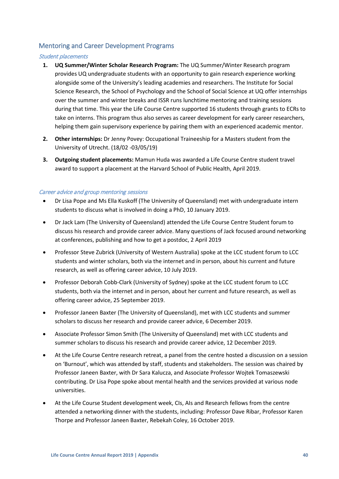# <span id="page-39-0"></span>Mentoring and Career Development Programs

#### Student placements

- **1. UQ Summer/Winter Scholar Research Program:** The UQ Summer/Winter Research program provides UQ undergraduate students with an opportunity to gain research experience working alongside some of the University's leading academies and researchers. The Institute for Social Science Research, the School of Psychology and the School of Social Science at UQ offer internships over the summer and winter breaks and ISSR runs lunchtime mentoring and training sessions during that time. This year the Life Course Centre supported 16 students through grants to ECRs to take on interns. This program thus also serves as career development for early career researchers, helping them gain supervisory experience by pairing them with an experienced academic mentor.
- **2. Other internships:** Dr Jenny Povey: Occupational Traineeship for a Masters student from the University of Utrecht. (18/02 -03/05/19)
- **3. Outgoing student placements:** Mamun Huda was awarded a Life Course Centre student travel award to support a placement at the Harvard School of Public Health, April 2019.

#### Career advice and group mentoring sessions

- Dr Lisa Pope and Ms Ella Kuskoff (The University of Queensland) met with undergraduate intern students to discuss what is involved in doing a PhD, 10 January 2019.
- Dr Jack Lam (The University of Queensland) attended the Life Course Centre Student forum to discuss his research and provide career advice. Many questions of Jack focused around networking at conferences, publishing and how to get a postdoc, 2 April 2019
- Professor Steve Zubrick (University of Western Australia) spoke at the LCC student forum to LCC students and winter scholars, both via the internet and in person, about his current and future research, as well as offering career advice, 10 July 2019.
- Professor Deborah Cobb-Clark (University of Sydney) spoke at the LCC student forum to LCC students, both via the internet and in person, about her current and future research, as well as offering career advice, 25 September 2019.
- Professor Janeen Baxter (The University of Queensland), met with LCC students and summer scholars to discuss her research and provide career advice, 6 December 2019.
- Associate Professor Simon Smith (The University of Queensland) met with LCC students and summer scholars to discuss his research and provide career advice, 12 December 2019.
- At the Life Course Centre research retreat, a panel from the centre hosted a discussion on a session on 'Burnout', which was attended by staff, students and stakeholders. The session was chaired by Professor Janeen Baxter, with Dr Sara Kalucza, and Associate Professor Wojtek Tomaszewski contributing. Dr Lisa Pope spoke about mental health and the services provided at various node universities.
- At the Life Course Student development week, CIs, AIs and Research fellows from the centre attended a networking dinner with the students, including: Professor Dave Ribar, Professor Karen Thorpe and Professor Janeen Baxter, Rebekah Coley, 16 October 2019.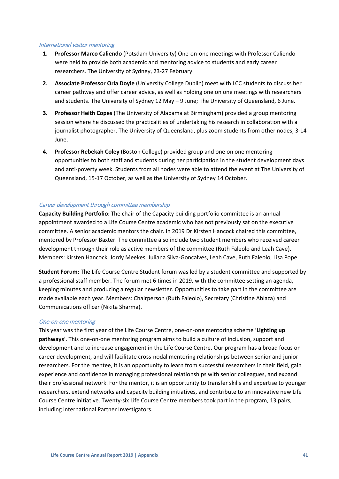#### International visitor mentoring

- **1. Professor Marco Caliendo** (Potsdam University) One-on-one meetings with Professor Caliendo were held to provide both academic and mentoring advice to students and early career researchers. The University of Sydney, 23-27 February.
- **2. Associate Professor Orla Doyle** (University College Dublin) meet with LCC students to discuss her career pathway and offer career advice, as well as holding one on one meetings with researchers and students. The University of Sydney 12 May – 9 June; The University of Queensland, 6 June.
- **3. Professor Heith Copes** (The University of Alabama at Birmingham) provided a group mentoring session where he discussed the practicalities of undertaking his research in collaboration with a journalist photographer. The University of Queensland, plus zoom students from other nodes, 3-14 June.
- **4. Professor Rebekah Coley** (Boston College) provided group and one on one mentoring opportunities to both staff and students during her participation in the student development days and anti-poverty week. Students from all nodes were able to attend the event at The University of Queensland, 15-17 October, as well as the University of Sydney 14 October.

# Career development through committee membership

**Capacity Building Portfolio**: The chair of the Capacity building portfolio committee is an annual appointment awarded to a Life Course Centre academic who has not previously sat on the executive committee. A senior academic mentors the chair. In 2019 Dr Kirsten Hancock chaired this committee, mentored by Professor Baxter. The committee also include two student members who received career development through their role as active members of the committee (Ruth Faleolo and Leah Cave). Members: Kirsten Hancock, Jordy Meekes, Juliana Silva-Goncalves, Leah Cave, Ruth Faleolo, Lisa Pope.

**Student Forum:** The Life Course Centre Student forum was led by a student committee and supported by a professional staff member. The forum met 6 times in 2019, with the committee setting an agenda, keeping minutes and producing a regular newsletter. Opportunities to take part in the committee are made available each year. Members: Chairperson (Ruth Faleolo), Secretary (Christine Ablaza) and Communications officer (Nikita Sharma).

## One-on-one mentoring

This year was the first year of the Life Course Centre, one-on-one mentoring scheme '**Lighting up pathways**'. This one-on-one mentoring program aims to build a culture of inclusion, support and development and to increase engagement in the Life Course Centre. Our program has a broad focus on career development, and will facilitate cross-nodal mentoring relationships between senior and junior researchers. For the mentee, it is an opportunity to learn from successful researchers in their field, gain experience and confidence in managing professional relationships with senior colleagues, and expand their professional network. For the mentor, it is an opportunity to transfer skills and expertise to younger researchers, extend networks and capacity building initiatives, and contribute to an innovative new Life Course Centre initiative. Twenty-six Life Course Centre members took part in the program, 13 pairs, including international Partner Investigators.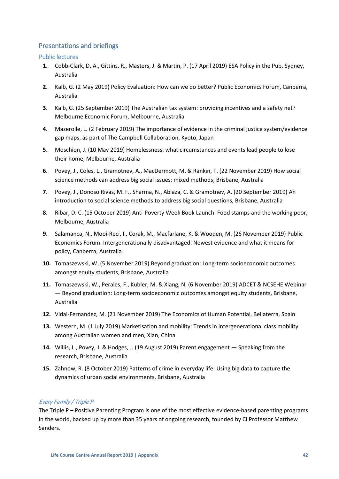# <span id="page-41-0"></span>Presentations and briefings

<span id="page-41-1"></span>Public lectures

- **1.** Cobb-Clark, D. A., Gittins, R., Masters, J. & Martin, P. (17 April 2019) ESA Policy in the Pub, Sydney, Australia
- **2.** Kalb, G. (2 May 2019) Policy Evaluation: How can we do better? Public Economics Forum, Canberra, Australia
- **3.** Kalb, G. (25 September 2019) The Australian tax system: providing incentives and a safety net? Melbourne Economic Forum, Melbourne, Australia
- **4.** Mazerolle, L. (2 February 2019) The importance of evidence in the criminal justice system/evidence gap maps, as part of The Campbell Collaboration, Kyoto, Japan
- **5.** Moschion, J. (10 May 2019) Homelessness: what circumstances and events lead people to lose their home, Melbourne, Australia
- **6.** Povey, J., Coles, L., Gramotnev, A., MacDermott, M. & Rankin, T. (22 November 2019) How social science methods can address big social issues: mixed methods, Brisbane, Australia
- **7.** Povey, J., Donoso Rivas, M. F., Sharma, N., Ablaza, C. & Gramotnev, A. (20 September 2019) An introduction to social science methods to address big social questions, Brisbane, Australia
- **8.** Ribar, D. C. (15 October 2019) Anti-Poverty Week Book Launch: Food stamps and the working poor, Melbourne, Australia
- **9.** Salamanca, N., Mooi-Reci, I., Corak, M., Macfarlane, K. & Wooden, M. (26 November 2019) Public Economics Forum. Intergenerationally disadvantaged: Newest evidence and what it means for policy, Canberra, Australia
- **10.** Tomaszewski, W. (5 November 2019) Beyond graduation: Long-term socioeconomic outcomes amongst equity students, Brisbane, Australia
- **11.** Tomaszewski, W., Perales, F., Kubler, M. & Xiang, N. (6 November 2019) ADCET & NCSEHE Webinar — Beyond graduation: Long-term socioeconomic outcomes amongst equity students, Brisbane, Australia
- **12.** Vidal-Fernandez, M. (21 November 2019) The Economics of Human Potential, Bellaterra, Spain
- **13.** Western, M. (1 July 2019) Marketisation and mobility: Trends in intergenerational class mobility among Australian women and men, Xian, China
- **14.** Willis, L., Povey, J. & Hodges, J. (19 August 2019) Parent engagement Speaking from the research, Brisbane, Australia
- **15.** Zahnow, R. (8 October 2019) Patterns of crime in everyday life: Using big data to capture the dynamics of urban social environments, Brisbane, Australia

# Every Family / Triple P

The Triple P – Positive Parenting Program is one of the most effective evidence-based parenting programs in the world, backed up by more than 35 years of ongoing research, founded by CI Professor Matthew Sanders.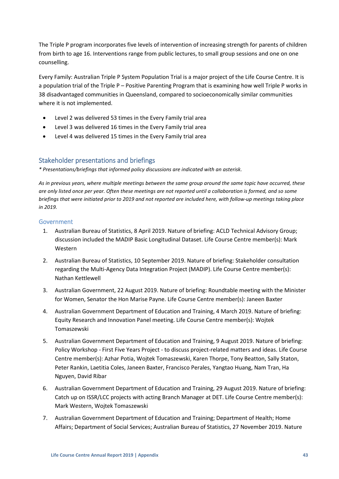The Triple P program incorporates five levels of intervention of increasing strength for parents of children from birth to age 16. Interventions range from public lectures, to small group sessions and one on one counselling.

Every Family: Australian Triple P System Population Trial is a major project of the Life Course Centre. It is a population trial of the Triple P – Positive Parenting Program that is examining how well Triple P works in 38 disadvantaged communities in Queensland, compared to socioeconomically similar communities where it is not implemented.

- Level 2 was delivered 53 times in the Every Family trial area
- Level 3 was delivered 16 times in the Every Family trial area
- Level 4 was delivered 15 times in the Every Family trial area

# <span id="page-42-0"></span>Stakeholder presentations and briefings

*\* Presentations/briefings that informed policy discussions are indicated with an asterisk.* 

*As in previous years, where multiple meetings between the same group around the same topic have occurred, these are only listed once per year. Often these meetings are not reported until a collaboration is formed, and so some briefings that were initiated prior to 2019 and not reported are included here, with follow-up meetings taking place in 2019.*

# <span id="page-42-1"></span>Government

- 1. Australian Bureau of Statistics, 8 April 2019. Nature of briefing: ACLD Technical Advisory Group; discussion included the MADIP Basic Longitudinal Dataset. Life Course Centre member(s): Mark Western
- 2. Australian Bureau of Statistics, 10 September 2019. Nature of briefing: Stakeholder consultation regarding the Multi-Agency Data Integration Project (MADIP). Life Course Centre member(s): Nathan Kettlewell
- 3. Australian Government, 22 August 2019. Nature of briefing: Roundtable meeting with the Minister for Women, Senator the Hon Marise Payne. Life Course Centre member(s): Janeen Baxter
- 4. Australian Government Department of Education and Training, 4 March 2019. Nature of briefing: Equity Research and Innovation Panel meeting. Life Course Centre member(s): Wojtek Tomaszewski
- 5. Australian Government Department of Education and Training, 9 August 2019. Nature of briefing: Policy Workshop - First Five Years Project - to discuss project-related matters and ideas. Life Course Centre member(s): Azhar Potia, Wojtek Tomaszewski, Karen Thorpe, Tony Beatton, Sally Staton, Peter Rankin, Laetitia Coles, Janeen Baxter, Francisco Perales, Yangtao Huang, Nam Tran, Ha Nguyen, David Ribar
- 6. Australian Government Department of Education and Training, 29 August 2019. Nature of briefing: Catch up on ISSR/LCC projects with acting Branch Manager at DET. Life Course Centre member(s): Mark Western, Wojtek Tomaszewski
- 7. Australian Government Department of Education and Training; Department of Health; Home Affairs; Department of Social Services; Australian Bureau of Statistics, 27 November 2019. Nature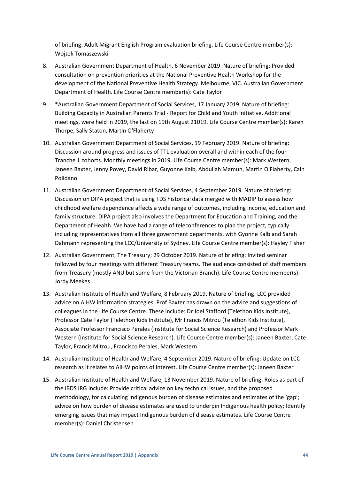of briefing: Adult Migrant English Program evaluation briefing. Life Course Centre member(s): Wojtek Tomaszewski

- 8. Australian Government Department of Health, 6 November 2019. Nature of briefing: Provided consultation on prevention priorities at the National Preventive Health Workshop for the development of the National Preventive Health Strategy. Melbourne, VIC. Australian Government Department of Health. Life Course Centre member(s): Cate Taylor
- 9. \*Australian Government Department of Social Services, 17 January 2019. Nature of briefing: Building Capacity in Australian Parents Trial - Report for Child and Youth Initiative. Additional meetings, were held in 2019, the last on 19th August 21019. Life Course Centre member(s): Karen Thorpe, Sally Staton, Martin O'Flaherty
- 10. Australian Government Department of Social Services, 19 February 2019. Nature of briefing: Discussion around progress and issues of TTL evaluation overall and within each of the four Tranche 1 cohorts. Monthly meetings in 2019. Life Course Centre member(s): Mark Western, Janeen Baxter, Jenny Povey, David Ribar, Guyonne Kalb, Abdullah Mamun, Martin O'Flaherty, Cain Polidano
- 11. Australian Government Department of Social Services, 4 September 2019. Nature of briefing: Discussion on DIPA project that is using TDS historical data merged with MADIP to assess how childhood welfare dependence affects a wide range of outcomes, including income, education and family structure. DIPA project also involves the Department for Education and Training, and the Department of Health. We have had a range of teleconferences to plan the project, typically including representatives from all three government departments, with Gyonne Kalb and Sarah Dahmann representing the LCC/University of Sydney. Life Course Centre member(s): Hayley Fisher
- 12. Australian Government, The Treasury; 29 October 2019. Nature of briefing: Invited seminar followed by four meetings with different Treasury teams. The audience consisted of staff members from Treasury (mostly ANU but some from the Victorian Branch). Life Course Centre member(s): Jordy Meekes
- 13. Australian Institute of Health and Welfare, 8 February 2019. Nature of briefing: LCC provided advice on AIHW information strategies. Prof Baxter has drawn on the advice and suggestions of colleagues in the Life Course Centre. These include: Dr Joel Stafford (Telethon Kids Institute), Professor Cate Taylor (Telethon Kids Institute), Mr Francis Mitrou (Telethon Kids Institute), Associate Professor Francisco Perales (Institute for Social Science Research) and Professor Mark Western (Institute for Social Science Research). Life Course Centre member(s): Janeen Baxter, Cate Taylor, Francis Mitrou, Francisco Perales, Mark Western
- 14. Australian Institute of Health and Welfare, 4 September 2019. Nature of briefing: Update on LCC research as it relates to AIHW points of interest. Life Course Centre member(s): Janeen Baxter
- 15. Australian Institute of Health and Welfare, 13 November 2019. Nature of briefing: Roles as part of the IBDS IRG include: Provide critical advice on key technical issues, and the proposed methodology, for calculating Indigenous burden of disease estimates and estimates of the 'gap'; advice on how burden of disease estimates are used to underpin Indigenous health policy; Identify emerging issues that may impact Indigenous burden of disease estimates. Life Course Centre member(s): Daniel Christensen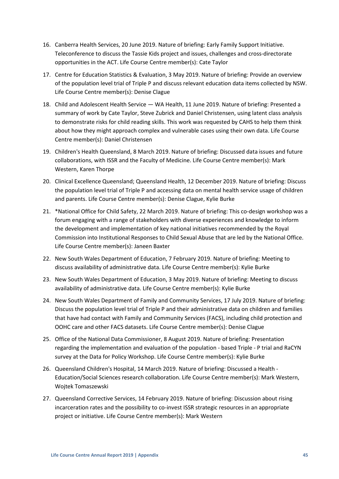- 16. Canberra Health Services, 20 June 2019. Nature of briefing: Early Family Support Initiative. Teleconference to discuss the Tassie Kids project and issues, challenges and cross-directorate opportunities in the ACT. Life Course Centre member(s): Cate Taylor
- 17. Centre for Education Statistics & Evaluation, 3 May 2019. Nature of briefing: Provide an overview of the population level trial of Triple P and discuss relevant education data items collected by NSW. Life Course Centre member(s): Denise Clague
- 18. Child and Adolescent Health Service WA Health, 11 June 2019. Nature of briefing: Presented a summary of work by Cate Taylor, Steve Zubrick and Daniel Christensen, using latent class analysis to demonstrate risks for child reading skills. This work was requested by CAHS to help them think about how they might approach complex and vulnerable cases using their own data. Life Course Centre member(s): Daniel Christensen
- 19. Children's Health Queensland, 8 March 2019. Nature of briefing: Discussed data issues and future collaborations, with ISSR and the Faculty of Medicine. Life Course Centre member(s): Mark Western, Karen Thorpe
- 20. Clinical Excellence Queensland; Queensland Health, 12 December 2019. Nature of briefing: Discuss the population level trial of Triple P and accessing data on mental health service usage of children and parents. Life Course Centre member(s): Denise Clague, Kylie Burke
- 21. \*National Office for Child Safety, 22 March 2019. Nature of briefing: This co-design workshop was a forum engaging with a range of stakeholders with diverse experiences and knowledge to inform the development and implementation of key national initiatives recommended by the Royal Commission into Institutional Responses to Child Sexual Abuse that are led by the National Office. Life Course Centre member(s): Janeen Baxter
- 22. New South Wales Department of Education, 7 February 2019. Nature of briefing: Meeting to discuss availability of administrative data. Life Course Centre member(s): Kylie Burke
- 23. New South Wales Department of Education, 3 May 2019. Nature of briefing: Meeting to discuss availability of administrative data. Life Course Centre member(s): Kylie Burke
- 24. New South Wales Department of Family and Community Services, 17 July 2019. Nature of briefing: Discuss the population level trial of Triple P and their administrative data on children and families that have had contact with Family and Community Services (FACS), including child protection and OOHC care and other FACS datasets. Life Course Centre member(s): Denise Clague
- 25. Office of the National Data Commissioner, 8 August 2019. Nature of briefing: Presentation regarding the implementation and evaluation of the population - based Triple - P trial and RaCYN survey at the Data for Policy Workshop. Life Course Centre member(s): Kylie Burke
- 26. Queensland Children's Hospital, 14 March 2019. Nature of briefing: Discussed a Health Education/Social Sciences research collaboration. Life Course Centre member(s): Mark Western, Wojtek Tomaszewski
- 27. Queensland Corrective Services, 14 February 2019. Nature of briefing: Discussion about rising incarceration rates and the possibility to co-invest ISSR strategic resources in an appropriate project or initiative. Life Course Centre member(s): Mark Western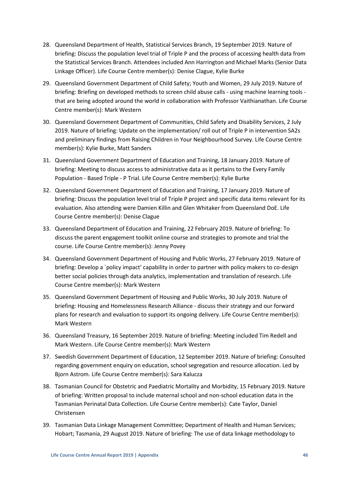- 28. Queensland Department of Health, Statistical Services Branch, 19 September 2019. Nature of briefing: Discuss the population level trial of Triple P and the process of accessing health data from the Statistical Services Branch. Attendees included Ann Harrington and Michael Marks (Senior Data Linkage Officer). Life Course Centre member(s): Denise Clague, Kylie Burke
- 29. Queensland Government Department of Child Safety; Youth and Women, 29 July 2019. Nature of briefing: Briefing on developed methods to screen child abuse calls - using machine learning tools that are being adopted around the world in collaboration with Professor Vaithianathan. Life Course Centre member(s): Mark Western
- 30. Queensland Government Department of Communities, Child Safety and Disability Services, 2 July 2019. Nature of briefing: Update on the implementation/ roll out of Triple P in intervention SA2s and preliminary findings from Raising Children in Your Neighbourhood Survey. Life Course Centre member(s): Kylie Burke, Matt Sanders
- 31. Queensland Government Department of Education and Training, 18 January 2019. Nature of briefing: Meeting to discuss access to administrative data as it pertains to the Every Family Population - Based Triple - P Trial. Life Course Centre member(s): Kylie Burke
- 32. Queensland Government Department of Education and Training, 17 January 2019. Nature of briefing: Discuss the population level trial of Triple P project and specific data items relevant for its evaluation. Also attending were Damien Killin and Glen Whitaker from Queensland DoE. Life Course Centre member(s): Denise Clague
- 33. Queensland Department of Education and Training, 22 February 2019. Nature of briefing: To discuss the parent engagement toolkit online course and strategies to promote and trial the course. Life Course Centre member(s): Jenny Povey
- 34. Queensland Government Department of Housing and Public Works, 27 February 2019. Nature of briefing: Develop a `policy impact' capability in order to partner with policy makers to co-design better social policies through data analytics, implementation and translation of research. Life Course Centre member(s): Mark Western
- 35. Queensland Government Department of Housing and Public Works, 30 July 2019. Nature of briefing: Housing and Homelessness Research Alliance - discuss their strategy and our forward plans for research and evaluation to support its ongoing delivery. Life Course Centre member(s): Mark Western
- 36. Queensland Treasury, 16 September 2019. Nature of briefing: Meeting included Tim Redell and Mark Western. Life Course Centre member(s): Mark Western
- 37. Swedish Government Department of Education, 12 September 2019. Nature of briefing: Consulted regarding government enquiry on education, school segregation and resource allocation. Led by Bjorn Astrom. Life Course Centre member(s): Sara Kalucza
- 38. Tasmanian Council for Obstetric and Paediatric Mortality and Morbidity, 15 February 2019. Nature of briefing: Written proposal to include maternal school and non-school education data in the Tasmanian Perinatal Data Collection. Life Course Centre member(s): Cate Taylor, Daniel Christensen
- 39. Tasmanian Data Linkage Management Committee; Department of Health and Human Services; Hobart; Tasmania, 29 August 2019. Nature of briefing: The use of data linkage methodology to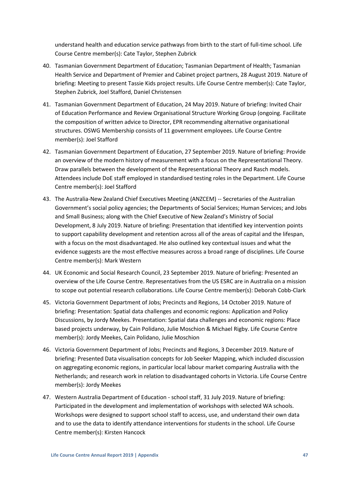understand health and education service pathways from birth to the start of full-time school. Life Course Centre member(s): Cate Taylor, Stephen Zubrick

- 40. Tasmanian Government Department of Education; Tasmanian Department of Health; Tasmanian Health Service and Department of Premier and Cabinet project partners, 28 August 2019. Nature of briefing: Meeting to present Tassie Kids project results. Life Course Centre member(s): Cate Taylor, Stephen Zubrick, Joel Stafford, Daniel Christensen
- 41. Tasmanian Government Department of Education, 24 May 2019. Nature of briefing: Invited Chair of Education Performance and Review Organisational Structure Working Group (ongoing. Facilitate the composition of written advice to Director, EPR recommending alternative organisational structures. OSWG Membership consists of 11 government employees. Life Course Centre member(s): Joel Stafford
- 42. Tasmanian Government Department of Education, 27 September 2019. Nature of briefing: Provide an overview of the modern history of measurement with a focus on the Representational Theory. Draw parallels between the development of the Representational Theory and Rasch models. Attendees include DoE staff employed in standardised testing roles in the Department. Life Course Centre member(s): Joel Stafford
- 43. The Australia-New Zealand Chief Executives Meeting (ANZCEM) -- Secretaries of the Australian Government's social policy agencies; the Departments of Social Services; Human Services; and Jobs and Small Business; along with the Chief Executive of New Zealand's Ministry of Social Development, 8 July 2019. Nature of briefing: Presentation that identified key intervention points to support capability development and retention across all of the areas of capital and the lifespan, with a focus on the most disadvantaged. He also outlined key contextual issues and what the evidence suggests are the most effective measures across a broad range of disciplines. Life Course Centre member(s): Mark Western
- 44. UK Economic and Social Research Council, 23 September 2019. Nature of briefing: Presented an overview of the Life Course Centre. Representatives from the US ESRC are in Australia on a mission to scope out potential research collaborations. Life Course Centre member(s): Deborah Cobb-Clark
- 45. Victoria Government Department of Jobs; Precincts and Regions, 14 October 2019. Nature of briefing: Presentation: Spatial data challenges and economic regions: Application and Policy Discussions, by Jordy Meekes. Presentation: Spatial data challenges and economic regions: Place based projects underway, by Cain Polidano, Julie Moschion & Michael Rigby. Life Course Centre member(s): Jordy Meekes, Cain Polidano, Julie Moschion
- 46. Victoria Government Department of Jobs; Precincts and Regions, 3 December 2019. Nature of briefing: Presented Data visualisation concepts for Job Seeker Mapping, which included discussion on aggregating economic regions, in particular local labour market comparing Australia with the Netherlands; and research work in relation to disadvantaged cohorts in Victoria. Life Course Centre member(s): Jordy Meekes
- 47. Western Australia Department of Education school staff, 31 July 2019. Nature of briefing: Participated in the development and implementation of workshops with selected WA schools. Workshops were designed to support school staff to access, use, and understand their own data and to use the data to identify attendance interventions for students in the school. Life Course Centre member(s): Kirsten Hancock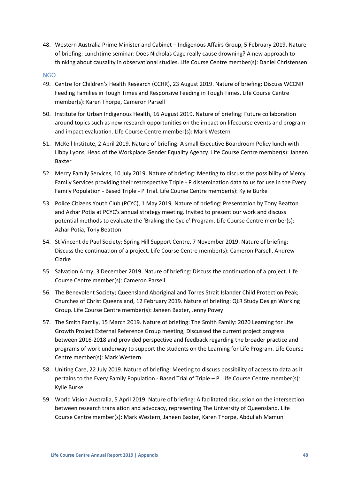48. Western Australia Prime Minister and Cabinet – Indigenous Affairs Group, 5 February 2019. Nature of briefing: Lunchtime seminar: Does Nicholas Cage really cause drowning? A new approach to thinking about causality in observational studies. Life Course Centre member(s): Daniel Christensen

#### <span id="page-47-0"></span>NGO

- 49. Centre for Children's Health Research (CCHR), 23 August 2019. Nature of briefing: Discuss WCCNR Feeding Families in Tough Times and Responsive Feeding in Tough Times. Life Course Centre member(s): Karen Thorpe, Cameron Parsell
- 50. Institute for Urban Indigenous Health, 16 August 2019. Nature of briefing: Future collaboration around topics such as new research opportunities on the impact on lifecourse events and program and impact evaluation. Life Course Centre member(s): Mark Western
- 51. McKell Institute, 2 April 2019. Nature of briefing: A small Executive Boardroom Policy lunch with Libby Lyons, Head of the Workplace Gender Equality Agency. Life Course Centre member(s): Janeen Baxter
- 52. Mercy Family Services, 10 July 2019. Nature of briefing: Meeting to discuss the possibility of Mercy Family Services providing their retrospective Triple - P dissemination data to us for use in the Every Family Population - Based Triple - P Trial. Life Course Centre member(s): Kylie Burke
- 53. Police Citizens Youth Club (PCYC), 1 May 2019. Nature of briefing: Presentation by Tony Beatton and Azhar Potia at PCYC's annual strategy meeting. Invited to present our work and discuss potential methods to evaluate the 'Braking the Cycle' Program. Life Course Centre member(s): Azhar Potia, Tony Beatton
- 54. St Vincent de Paul Society; Spring Hill Support Centre, 7 November 2019. Nature of briefing: Discuss the continuation of a project. Life Course Centre member(s): Cameron Parsell, Andrew Clarke
- 55. Salvation Army, 3 December 2019. Nature of briefing: Discuss the continuation of a project. Life Course Centre member(s): Cameron Parsell
- 56. The Benevolent Society; Queensland Aboriginal and Torres Strait Islander Child Protection Peak; Churches of Christ Queensland, 12 February 2019. Nature of briefing: QLR Study Design Working Group. Life Course Centre member(s): Janeen Baxter, Jenny Povey
- 57. The Smith Family, 15 March 2019. Nature of briefing: The Smith Family: 2020 Learning for Life Growth Project External Reference Group meeting; Discussed the current project progress between 2016-2018 and provided perspective and feedback regarding the broader practice and programs of work underway to support the students on the Learning for Life Program. Life Course Centre member(s): Mark Western
- 58. Uniting Care, 22 July 2019. Nature of briefing: Meeting to discuss possibility of access to data as it pertains to the Every Family Population - Based Trial of Triple – P. Life Course Centre member(s): Kylie Burke
- 59. World Vision Australia, 5 April 2019. Nature of briefing: A facilitated discussion on the intersection between research translation and advocacy, representing The University of Queensland. Life Course Centre member(s): Mark Western, Janeen Baxter, Karen Thorpe, Abdullah Mamun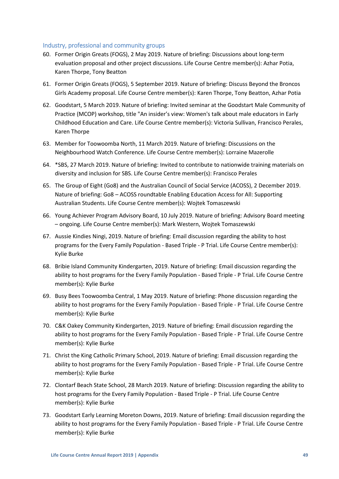# <span id="page-48-0"></span>Industry, professional and community groups

- 60. Former Origin Greats (FOGS), 2 May 2019. Nature of briefing: Discussions about long-term evaluation proposal and other project discussions. Life Course Centre member(s): Azhar Potia, Karen Thorpe, Tony Beatton
- 61. Former Origin Greats (FOGS), 5 September 2019. Nature of briefing: Discuss Beyond the Broncos Girls Academy proposal. Life Course Centre member(s): Karen Thorpe, Tony Beatton, Azhar Potia
- 62. Goodstart, 5 March 2019. Nature of briefing: Invited seminar at the Goodstart Male Community of Practice (MCOP) workshop, title "An insider's view: Women's talk about male educators in Early Childhood Education and Care. Life Course Centre member(s): Victoria Sullivan, Francisco Perales, Karen Thorpe
- 63. Member for Toowoomba North, 11 March 2019. Nature of briefing: Discussions on the Neighbourhood Watch Conference. Life Course Centre member(s): Lorraine Mazerolle
- 64. \*SBS, 27 March 2019. Nature of briefing: Invited to contribute to nationwide training materials on diversity and inclusion for SBS. Life Course Centre member(s): Francisco Perales
- 65. The Group of Eight (Go8) and the Australian Council of Social Service (ACOSS), 2 December 2019. Nature of briefing: Go8 – ACOSS roundtable Enabling Education Access for All: Supporting Australian Students. Life Course Centre member(s): Wojtek Tomaszewski
- 66. Young Achiever Program Advisory Board, 10 July 2019. Nature of briefing: Advisory Board meeting – ongoing. Life Course Centre member(s): Mark Western, Wojtek Tomaszewski
- 67. Aussie Kindies Ningi, 2019. Nature of briefing: Email discussion regarding the ability to host programs for the Every Family Population - Based Triple - P Trial. Life Course Centre member(s): Kylie Burke
- 68. Bribie Island Community Kindergarten, 2019. Nature of briefing: Email discussion regarding the ability to host programs for the Every Family Population - Based Triple - P Trial. Life Course Centre member(s): Kylie Burke
- 69. Busy Bees Toowoomba Central, 1 May 2019. Nature of briefing: Phone discussion regarding the ability to host programs for the Every Family Population - Based Triple - P Trial. Life Course Centre member(s): Kylie Burke
- 70. C&K Oakey Community Kindergarten, 2019. Nature of briefing: Email discussion regarding the ability to host programs for the Every Family Population - Based Triple - P Trial. Life Course Centre member(s): Kylie Burke
- 71. Christ the King Catholic Primary School, 2019. Nature of briefing: Email discussion regarding the ability to host programs for the Every Family Population - Based Triple - P Trial. Life Course Centre member(s): Kylie Burke
- 72. Clontarf Beach State School, 28 March 2019. Nature of briefing: Discussion regarding the ability to host programs for the Every Family Population - Based Triple - P Trial. Life Course Centre member(s): Kylie Burke
- 73. Goodstart Early Learning Moreton Downs, 2019. Nature of briefing: Email discussion regarding the ability to host programs for the Every Family Population - Based Triple - P Trial. Life Course Centre member(s): Kylie Burke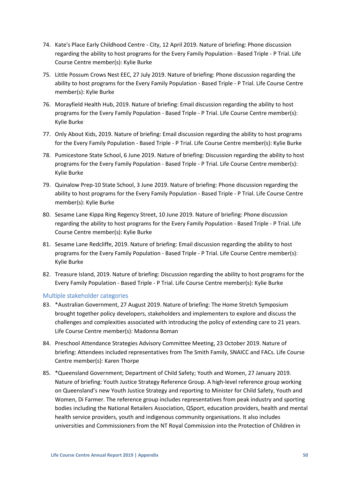- 74. Kate's Place Early Childhood Centre City, 12 April 2019. Nature of briefing: Phone discussion regarding the ability to host programs for the Every Family Population - Based Triple - P Trial. Life Course Centre member(s): Kylie Burke
- 75. Little Possum Crows Nest EEC, 27 July 2019. Nature of briefing: Phone discussion regarding the ability to host programs for the Every Family Population - Based Triple - P Trial. Life Course Centre member(s): Kylie Burke
- 76. Morayfield Health Hub, 2019. Nature of briefing: Email discussion regarding the ability to host programs for the Every Family Population - Based Triple - P Trial. Life Course Centre member(s): Kylie Burke
- 77. Only About Kids, 2019. Nature of briefing: Email discussion regarding the ability to host programs for the Every Family Population - Based Triple - P Trial. Life Course Centre member(s): Kylie Burke
- 78. Pumicestone State School, 6 June 2019. Nature of briefing: Discussion regarding the ability to host programs for the Every Family Population - Based Triple - P Trial. Life Course Centre member(s): Kylie Burke
- 79. Quinalow Prep-10 State School, 3 June 2019. Nature of briefing: Phone discussion regarding the ability to host programs for the Every Family Population - Based Triple - P Trial. Life Course Centre member(s): Kylie Burke
- 80. Sesame Lane Kippa Ring Regency Street, 10 June 2019. Nature of briefing: Phone discussion regarding the ability to host programs for the Every Family Population - Based Triple - P Trial. Life Course Centre member(s): Kylie Burke
- 81. Sesame Lane Redcliffe, 2019. Nature of briefing: Email discussion regarding the ability to host programs for the Every Family Population - Based Triple - P Trial. Life Course Centre member(s): Kylie Burke
- 82. Treasure Island, 2019. Nature of briefing: Discussion regarding the ability to host programs for the Every Family Population - Based Triple - P Trial. Life Course Centre member(s): Kylie Burke

# <span id="page-49-0"></span>Multiple stakeholder categories

- 83. \*Australian Government, 27 August 2019. Nature of briefing: The Home Stretch Symposium brought together policy developers, stakeholders and implementers to explore and discuss the challenges and complexities associated with introducing the policy of extending care to 21 years. Life Course Centre member(s): Madonna Boman
- 84. Preschool Attendance Strategies Advisory Committee Meeting, 23 October 2019. Nature of briefing: Attendees included representatives from The Smith Family, SNAICC and FACs. Life Course Centre member(s): Karen Thorpe
- 85. \*Queensland Government; Department of Child Safety; Youth and Women, 27 January 2019. Nature of briefing: Youth Justice Strategy Reference Group. A high-level reference group working on Queensland's new Youth Justice Strategy and reporting to Minister for Child Safety, Youth and Women, Di Farmer. The reference group includes representatives from peak industry and sporting bodies including the National Retailers Association, QSport, education providers, health and mental health service providers, youth and indigenous community organisations. It also includes universities and Commissioners from the NT Royal Commission into the Protection of Children in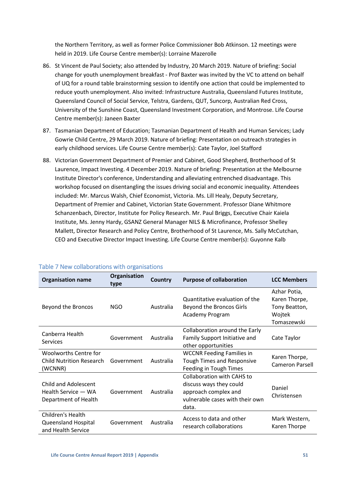the Northern Territory, as well as former Police Commissioner Bob Atkinson. 12 meetings were held in 2019. Life Course Centre member(s): Lorraine Mazerolle

- 86. St Vincent de Paul Society; also attended by Industry, 20 March 2019. Nature of briefing: Social change for youth unemployment breakfast - Prof Baxter was invited by the VC to attend on behalf of UQ for a round table brainstorming session to identify one action that could be implemented to reduce youth unemployment. Also invited: Infrastructure Australia, Queensland Futures Institute, Queensland Council of Social Service, Telstra, Gardens, QUT, Suncorp, Australian Red Cross, University of the Sunshine Coast, Queensland Investment Corporation, and Montrose. Life Course Centre member(s): Janeen Baxter
- 87. Tasmanian Department of Education; Tasmanian Department of Health and Human Services; Lady Gowrie Child Centre, 29 March 2019. Nature of briefing: Presentation on outreach strategies in early childhood services. Life Course Centre member(s): Cate Taylor, Joel Stafford
- 88. Victorian Government Department of Premier and Cabinet, Good Shepherd, Brotherhood of St Laurence, Impact Investing. 4 December 2019. Nature of briefing: Presentation at the Melbourne Institute Director's conference, Understanding and alleviating entrenched disadvantage. This workshop focused on disentangling the issues driving social and economic inequality. Attendees included: Mr. Marcus Walsh, Chief Economist, Victoria. Ms. Lill Healy, Deputy Secretary, Department of Premier and Cabinet, Victorian State Government. Professor Diane Whitmore Schanzenbach, Director, Institute for Policy Research. Mr. Paul Briggs, Executive Chair Kaiela Institute, Ms. Jenny Hardy, GSANZ General Manager NILS & Microfinance, Professor Shelley Mallett, Director Research and Policy Centre, Brotherhood of St Laurence, Ms. Sally McCutchan, CEO and Executive Director Impact Investing. Life Course Centre member(s): Guyonne Kalb

| <b>Organisation name</b>        | Organisation<br>type | Country   | <b>Purpose of collaboration</b>   | <b>LCC Members</b>     |
|---------------------------------|----------------------|-----------|-----------------------------------|------------------------|
|                                 |                      |           |                                   | Azhar Potia,           |
|                                 |                      |           | Quantitative evaluation of the    | Karen Thorpe,          |
| Beyond the Broncos              | NGO                  | Australia | Beyond the Broncos Girls          | Tony Beatton,          |
|                                 |                      |           | Academy Program                   | Wojtek                 |
|                                 |                      |           |                                   | Tomaszewski            |
| Canberra Health                 |                      |           | Collaboration around the Early    |                        |
| <b>Services</b>                 | Government           | Australia | Family Support Initiative and     | Cate Taylor            |
|                                 |                      |           | other opportunities               |                        |
| <b>Woolworths Centre for</b>    |                      |           | <b>WCCNR Feeding Families in</b>  | Karen Thorpe,          |
| <b>Child Nutrition Research</b> | Government           | Australia | <b>Tough Times and Responsive</b> | <b>Cameron Parsell</b> |
| (WCNNR)                         |                      |           | <b>Feeding in Tough Times</b>     |                        |
|                                 |                      |           | <b>Collaboration with CAHS to</b> |                        |
| <b>Child and Adolescent</b>     |                      |           | discuss ways they could           | Daniel                 |
| Health Service - WA             | Government           | Australia | approach complex and              | Christensen            |
| Department of Health            |                      |           | vulnerable cases with their own   |                        |
|                                 |                      |           | data.                             |                        |
| <b>Children's Health</b>        |                      |           | Access to data and other          | Mark Western,          |
| Queensland Hospital             | Government           | Australia | research collaborations           | Karen Thorpe           |
| and Health Service              |                      |           |                                   |                        |

# <span id="page-50-0"></span>Table 7 New collaborations with organisations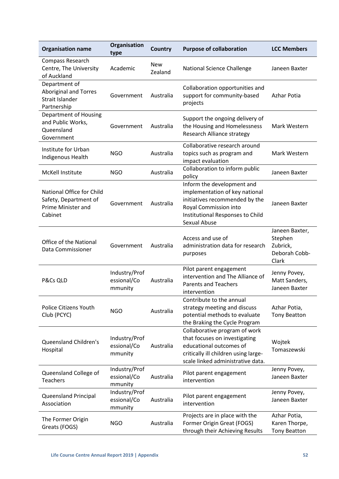| <b>Organisation name</b>                                                            | Organisation<br>type                    | <b>Country</b> | <b>Purpose of collaboration</b>                                                                                                                                             | <b>LCC Members</b>                                              |
|-------------------------------------------------------------------------------------|-----------------------------------------|----------------|-----------------------------------------------------------------------------------------------------------------------------------------------------------------------------|-----------------------------------------------------------------|
| Compass Research<br>Centre, The University<br>of Auckland                           | Academic                                | New<br>Zealand | <b>National Science Challenge</b>                                                                                                                                           | Janeen Baxter                                                   |
| Department of<br><b>Aboriginal and Torres</b><br>Strait Islander<br>Partnership     | Government                              | Australia      | Collaboration opportunities and<br>support for community-based<br>projects                                                                                                  | Azhar Potia                                                     |
| <b>Department of Housing</b><br>and Public Works,<br>Queensland<br>Government       | Government                              | Australia      | Support the ongoing delivery of<br>the Housing and Homelessness<br><b>Research Alliance strategy</b>                                                                        | Mark Western                                                    |
| Institute for Urban<br>Indigenous Health                                            | <b>NGO</b>                              | Australia      | Collaborative research around<br>topics such as program and<br>impact evaluation                                                                                            | Mark Western                                                    |
| McKell Institute                                                                    | <b>NGO</b>                              | Australia      | Collaboration to inform public<br>policy                                                                                                                                    | Janeen Baxter                                                   |
| National Office for Child<br>Safety, Department of<br>Prime Minister and<br>Cabinet | Government                              | Australia      | Inform the development and<br>implementation of key national<br>initiatives recommended by the<br>Royal Commission into<br>Institutional Responses to Child<br>Sexual Abuse | Janeen Baxter                                                   |
| <b>Office of the National</b><br>Data Commissioner                                  | Government                              | Australia      | Access and use of<br>administration data for research<br>purposes                                                                                                           | Janeen Baxter,<br>Stephen<br>Zubrick,<br>Deborah Cobb-<br>Clark |
| P&Cs QLD                                                                            | Industry/Prof<br>essional/Co<br>mmunity | Australia      | Pilot parent engagement<br>intervention and The Alliance of<br><b>Parents and Teachers</b><br>intervention                                                                  | Jenny Povey,<br>Matt Sanders,<br>Janeen Baxter                  |
| <b>Police Citizens Youth</b><br>Club (PCYC)                                         | <b>NGO</b>                              | Australia      | Contribute to the annual<br>strategy meeting and discuss<br>potential methods to evaluate<br>the Braking the Cycle Program                                                  | Azhar Potia,<br><b>Tony Beatton</b>                             |
| <b>Queensland Children's</b><br>Hospital                                            | Industry/Prof<br>essional/Co<br>mmunity | Australia      | Collaborative program of work<br>that focuses on investigating<br>educational outcomes of<br>critically ill children using large-<br>scale linked administrative data.      | Wojtek<br>Tomaszewski                                           |
| Queensland College of<br>Teachers                                                   | Industry/Prof<br>essional/Co<br>mmunity | Australia      | Pilot parent engagement<br>intervention                                                                                                                                     | Jenny Povey,<br>Janeen Baxter                                   |
| Queensland Principal<br>Association                                                 | Industry/Prof<br>essional/Co<br>mmunity | Australia      | Pilot parent engagement<br>intervention                                                                                                                                     | Jenny Povey,<br>Janeen Baxter                                   |
| The Former Origin<br>Greats (FOGS)                                                  | <b>NGO</b>                              | Australia      | Projects are in place with the<br>Former Origin Great (FOGS)<br>through their Achieving Results                                                                             | Azhar Potia,<br>Karen Thorpe,<br><b>Tony Beatton</b>            |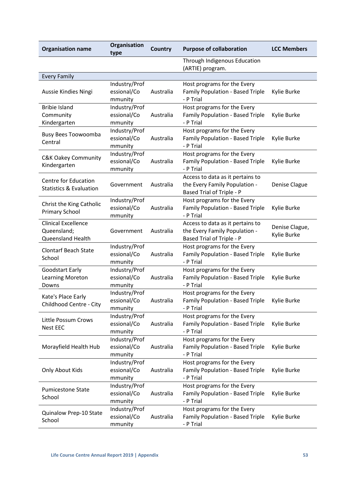| <b>Organisation name</b>                                          | Organisation<br>type                    | <b>Country</b> | <b>Purpose of collaboration</b>                                                                | <b>LCC Members</b>            |
|-------------------------------------------------------------------|-----------------------------------------|----------------|------------------------------------------------------------------------------------------------|-------------------------------|
|                                                                   |                                         |                | Through Indigenous Education<br>(ARTIE) program.                                               |                               |
| <b>Every Family</b>                                               |                                         |                |                                                                                                |                               |
| Aussie Kindies Ningi                                              | Industry/Prof<br>essional/Co<br>mmunity | Australia      | Host programs for the Every<br>Family Population - Based Triple<br>- P Trial                   | Kylie Burke                   |
| <b>Bribie Island</b><br>Community<br>Kindergarten                 | Industry/Prof<br>essional/Co<br>mmunity | Australia      | Host programs for the Every<br>Family Population - Based Triple<br>- P Trial                   | Kylie Burke                   |
| <b>Busy Bees Toowoomba</b><br>Central                             | Industry/Prof<br>essional/Co<br>mmunity | Australia      | Host programs for the Every<br>Family Population - Based Triple<br>- P Trial                   | Kylie Burke                   |
| <b>C&amp;K Oakey Community</b><br>Kindergarten                    | Industry/Prof<br>essional/Co<br>mmunity | Australia      | Host programs for the Every<br>Family Population - Based Triple<br>- P Trial                   | Kylie Burke                   |
| <b>Centre for Education</b><br><b>Statistics &amp; Evaluation</b> | Government                              | Australia      | Access to data as it pertains to<br>the Every Family Population -<br>Based Trial of Triple - P | Denise Clague                 |
| Christ the King Catholic<br>Primary School                        | Industry/Prof<br>essional/Co<br>mmunity | Australia      | Host programs for the Every<br>Family Population - Based Triple<br>- P Trial                   | Kylie Burke                   |
| <b>Clinical Excellence</b><br>Queensland;<br>Queensland Health    | Government                              | Australia      | Access to data as it pertains to<br>the Every Family Population -<br>Based Trial of Triple - P | Denise Clague,<br>Kylie Burke |
| <b>Clontarf Beach State</b><br>School                             | Industry/Prof<br>essional/Co<br>mmunity | Australia      | Host programs for the Every<br>Family Population - Based Triple<br>- P Trial                   | Kylie Burke                   |
| <b>Goodstart Early</b><br>Learning Moreton<br>Downs               | Industry/Prof<br>essional/Co<br>mmunity | Australia      | Host programs for the Every<br>Family Population - Based Triple<br>- P Trial                   | Kylie Burke                   |
| Kate's Place Early<br>Childhood Centre - City                     | Industry/Prof<br>essional/Co<br>mmunity | Australia      | Host programs for the Every<br>Family Population - Based Triple<br>- P Trial                   | Kylie Burke                   |
| Little Possum Crows<br>Nest EEC                                   | Industry/Prof<br>essional/Co<br>mmunity | Australia      | Host programs for the Every<br>Family Population - Based Triple<br>- P Trial                   | Kylie Burke                   |
| Morayfield Health Hub                                             | Industry/Prof<br>essional/Co<br>mmunity | Australia      | Host programs for the Every<br>Family Population - Based Triple<br>- P Trial                   | Kylie Burke                   |
| Only About Kids                                                   | Industry/Prof<br>essional/Co<br>mmunity | Australia      | Host programs for the Every<br>Family Population - Based Triple<br>- P Trial                   | Kylie Burke                   |
| <b>Pumicestone State</b><br>School                                | Industry/Prof<br>essional/Co<br>mmunity | Australia      | Host programs for the Every<br>Family Population - Based Triple<br>- P Trial                   | Kylie Burke                   |
| Quinalow Prep-10 State<br>School                                  | Industry/Prof<br>essional/Co<br>mmunity | Australia      | Host programs for the Every<br>Family Population - Based Triple<br>- P Trial                   | Kylie Burke                   |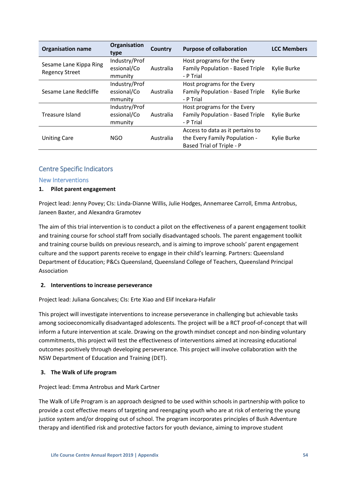| <b>Organisation name</b>                        | Organisation<br>type   | Country   | <b>Purpose of collaboration</b>               | <b>LCC Members</b> |
|-------------------------------------------------|------------------------|-----------|-----------------------------------------------|--------------------|
| Sesame Lane Kippa Ring<br><b>Regency Street</b> | Industry/Prof          |           | Host programs for the Every                   |                    |
|                                                 | essional/Co<br>mmunity | Australia | Family Population - Based Triple<br>- P Trial | Kylie Burke        |
| Sesame Lane Redcliffe                           | Industry/Prof          |           | Host programs for the Every                   |                    |
|                                                 | essional/Co            | Australia | Family Population - Based Triple              | Kylie Burke        |
|                                                 | mmunity                |           | - P Trial                                     |                    |
|                                                 | Industry/Prof          |           | Host programs for the Every                   |                    |
| Treasure Island                                 | essional/Co            | Australia | Family Population - Based Triple              | Kylie Burke        |
|                                                 | mmunity                |           | - P Trial                                     |                    |
| <b>Uniting Care</b>                             |                        |           | Access to data as it pertains to              |                    |
|                                                 | <b>NGO</b>             | Australia | the Every Family Population -                 | Kylie Burke        |
|                                                 |                        |           | Based Trial of Triple - P                     |                    |

# <span id="page-53-0"></span>Centre Specific Indicators

## <span id="page-53-1"></span>New Interventions

# **1. Pilot parent engagement**

Project lead: Jenny Povey; CIs: Linda-Dianne Willis, Julie Hodges, Annemaree Carroll, Emma Antrobus, Janeen Baxter, and Alexandra Gramotev

The aim of this trial intervention is to conduct a pilot on the effectiveness of a parent engagement toolkit and training course for school staff from socially disadvantaged schools. The parent engagement toolkit and training course builds on previous research, and is aiming to improve schools' parent engagement culture and the support parents receive to engage in their child's learning. Partners: Queensland Department of Education; P&Cs Queensland, Queensland College of Teachers, Queensland Principal Association

## **2. Interventions to increase perseverance**

Project lead: Juliana Goncalves; CIs: Erte Xiao and Elif Incekara-Hafalir

This project will investigate interventions to increase perseverance in challenging but achievable tasks among socioeconomically disadvantaged adolescents. The project will be a RCT proof-of-concept that will inform a future intervention at scale. Drawing on the growth mindset concept and non-binding voluntary commitments, this project will test the effectiveness of interventions aimed at increasing educational outcomes positively through developing perseverance. This project will involve collaboration with the NSW Department of Education and Training (DET).

# **3. The Walk of Life program**

## Project lead: Emma Antrobus and Mark Cartner

The Walk of Life Program is an approach designed to be used within schools in partnership with police to provide a cost effective means of targeting and reengaging youth who are at risk of entering the young justice system and/or dropping out of school. The program incorporates principles of Bush Adventure therapy and identified risk and protective factors for youth deviance, aiming to improve student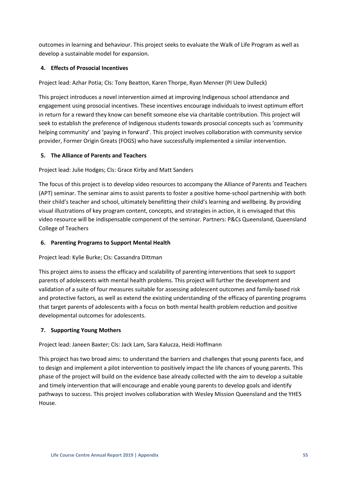outcomes in learning and behaviour. This project seeks to evaluate the Walk of Life Program as well as develop a sustainable model for expansion.

# **4. Effects of Prosocial Incentives**

Project lead: Azhar Potia; CIs: Tony Beatton, Karen Thorpe, Ryan Menner (PI Uew Dulleck)

This project introduces a novel intervention aimed at improving Indigenous school attendance and engagement using prosocial incentives. These incentives encourage individuals to invest optimum effort in return for a reward they know can benefit someone else via charitable contribution. This project will seek to establish the preference of Indigenous students towards prosocial concepts such as 'community helping community' and 'paying in forward'. This project involves collaboration with community service provider, Former Origin Greats (FOGS) who have successfully implemented a similar intervention.

# **5. The Alliance of Parents and Teachers**

Project lead: Julie Hodges; CIs: Grace Kirby and Matt Sanders

The focus of this project is to develop video resources to accompany the Alliance of Parents and Teachers (APT) seminar. The seminar aims to assist parents to foster a positive home-school partnership with both their child's teacher and school, ultimately benefitting their child's learning and wellbeing. By providing visual illustrations of key program content, concepts, and strategies in action, it is envisaged that this video resource will be indispensable component of the seminar. Partners: P&Cs Queensland, Queensland College of Teachers

# **6. Parenting Programs to Support Mental Health**

Project lead: Kylie Burke; CIs: Cassandra Dittman

This project aims to assess the efficacy and scalability of parenting interventions that seek to support parents of adolescents with mental health problems. This project will further the development and validation of a suite of four measures suitable for assessing adolescent outcomes and family-based risk and protective factors, as well as extend the existing understanding of the efficacy of parenting programs that target parents of adolescents with a focus on both mental health problem reduction and positive developmental outcomes for adolescents.

# **7. Supporting Young Mothers**

# Project lead: Janeen Baxter; CIs: Jack Lam, Sara Kalucza, Heidi Hoffmann

This project has two broad aims: to understand the barriers and challenges that young parents face, and to design and implement a pilot intervention to positively impact the life chances of young parents. This phase of the project will build on the evidence base already collected with the aim to develop a suitable and timely intervention that will encourage and enable young parents to develop goals and identify pathways to success. This project involves collaboration with Wesley Mission Queensland and the YHES House.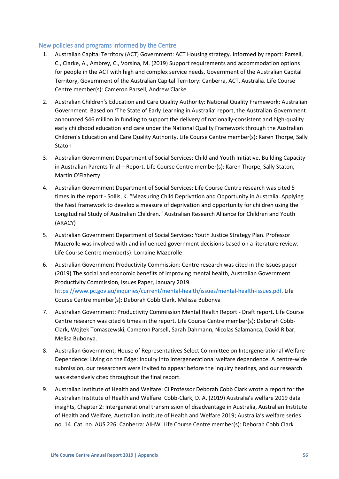# <span id="page-55-0"></span>New policies and programs informed by the Centre

- 1. Australian Capital Territory (ACT) Government: ACT Housing strategy. Informed by report: Parsell, C., Clarke, A., Ambrey, C., Vorsina, M. (2019) Support requirements and accommodation options for people in the ACT with high and complex service needs, Government of the Australian Capital Territory, Government of the Australian Capital Territory: Canberra, ACT, Australia. Life Course Centre member(s): Cameron Parsell, Andrew Clarke
- 2. Australian Children's Education and Care Quality Authority: National Quality Framework: Australian Government. Based on 'The State of Early Learning in Australia' report, the Australian Government announced \$46 million in funding to support the delivery of nationally-consistent and high-quality early childhood education and care under the National Quality Framework through the Australian Children's Education and Care Quality Authority. Life Course Centre member(s): Karen Thorpe, Sally Staton
- 3. Australian Government Department of Social Services: Child and Youth Initiative. Building Capacity in Australian Parents Trial – Report. Life Course Centre member(s): Karen Thorpe, Sally Staton, Martin O'Flaherty
- 4. Australian Government Department of Social Services: Life Course Centre research was cited 5 times in the report - Sollis, K. "Measuring Child Deprivation and Opportunity in Australia. Applying the Nest framework to develop a measure of deprivation and opportunity for children using the Longitudinal Study of Australian Children." Australian Research Alliance for Children and Youth (ARACY)
- 5. Australian Government Department of Social Services: Youth Justice Strategy Plan. Professor Mazerolle was involved with and influenced government decisions based on a literature review. Life Course Centre member(s): Lorraine Mazerolle
- 6. Australian Government Productivity Commission: Centre research was cited in the Issues paper (2019) The social and economic benefits of improving mental health, Australian Government Productivity Commission, Issues Paper, January 2019. [https://www.pc.gov.au/inquiries/current/mental-health/issues/mental-health-issues.pdf.](https://www.pc.gov.au/inquiries/current/mental-health/issues/mental-health-issues.pdf) Life Course Centre member(s): Deborah Cobb Clark, Melissa Bubonya
- 7. Australian Government: Productivity Commission Mental Health Report Draft report. Life Course Centre research was cited 6 times in the report. Life Course Centre member(s): Deborah Cobb-Clark, Wojtek Tomaszewski, Cameron Parsell, Sarah Dahmann, Nicolas Salamanca, David Ribar, Melisa Bubonya.
- 8. Australian Government; House of Representatives Select Committee on Intergenerational Welfare Dependence: Living on the Edge: Inquiry into intergenerational welfare dependence. A centre-wide submission, our researchers were invited to appear before the inquiry hearings, and our research was extensively cited throughout the final report.
- 9. Australian Institute of Health and Welfare: CI Professor Deborah Cobb Clark wrote a report for the Australian Institute of Health and Welfare. Cobb-Clark, D. A. (2019) Australia's welfare 2019 data insights, Chapter 2: Intergenerational transmission of disadvantage in Australia, Australian Institute of Health and Welfare, Australian Institute of Health and Welfare 2019; Australia's welfare series no. 14. Cat. no. AUS 226. Canberra: AIHW. Life Course Centre member(s): Deborah Cobb Clark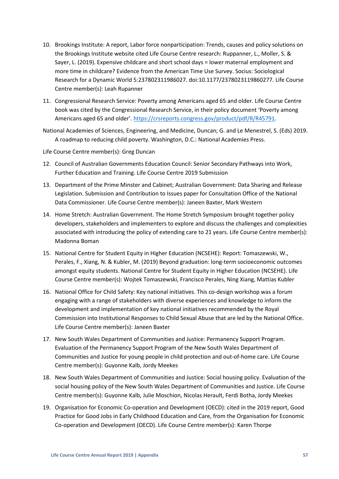- 10. Brookings Institute: A report, Labor force nonparticipation: Trends, causes and policy solutions on the Brookings Institute website cited Life Course Centre research: Ruppanner, L., Moller, S. & Sayer, L. (2019). Expensive childcare and short school days = lower maternal employment and more time in childcare? Evidence from the American Time Use Survey. Socius: Sociological Research for a Dynamic World 5:237802311986027. doi:10.1177/2378023119860277. Life Course Centre member(s): Leah Rupanner
- 11. Congressional Research Service: Poverty among Americans aged 65 and older. Life Course Centre book was cited by the Congressional Research Service, in their policy document 'Poverty among Americans aged 65 and older'[. https://crsreports.congress.gov/product/pdf/R/R45791.](https://crsreports.congress.gov/product/pdf/R/R45791)
- National Academies of Sciences, Engineering, and Medicine, Duncan; G. and Le Menestrel, S. (Eds) 2019. A roadmap to reducing child poverty. Washington, D.C.: National Academies Press.

Life Course Centre member(s): Greg Duncan

- 12. Council of Australian Governments Education Council: Senior Secondary Pathways into Work, Further Education and Training. Life Course Centre 2019 Submission
- 13. Department of the Prime Minster and Cabinet; Australian Government: Data Sharing and Release Legislation. Submission and Contribution to Issues paper for Consultation Office of the National Data Commissioner. Life Course Centre member(s): Janeen Baxter, Mark Western
- 14. Home Stretch: Australian Government. The Home Stretch Symposium brought together policy developers, stakeholders and implementers to explore and discuss the challenges and complexities associated with introducing the policy of extending care to 21 years. Life Course Centre member(s): Madonna Boman
- 15. National Centre for Student Equity in Higher Education (NCSEHE): Report: Tomaszewski, W., Perales, F., Xiang, N. & Kubler, M. (2019) Beyond graduation: long-term socioeconomic outcomes amongst equity students. National Centre for Student Equity in Higher Education (NCSEHE). Life Course Centre member(s): Wojtek Tomaszewski, Francisco Perales, Ning Xiang, Mattias Kubler
- 16. National Office for Child Safety: Key national initiatives. This co-design workshop was a forum engaging with a range of stakeholders with diverse experiences and knowledge to inform the development and implementation of key national initiatives recommended by the Royal Commission into Institutional Responses to Child Sexual Abuse that are led by the National Office. Life Course Centre member(s): Janeen Baxter
- 17. New South Wales Department of Communities and Justice: Permanency Support Program. Evaluation of the Permanency Support Program of the New South Wales Department of Communities and Justice for young people in child protection and out-of-home care. Life Course Centre member(s): Guyonne Kalb, Jordy Meekes
- 18. New South Wales Department of Communities and Justice: Social housing policy. Evaluation of the social housing policy of the New South Wales Department of Communities and Justice. Life Course Centre member(s): Guyonne Kalb, Julie Moschion, Nicolas Herault, Ferdi Botha, Jordy Meekes
- 19. Organisation for Economic Co-operation and Development (OECD): cited in the 2019 report, Good Practice for Good Jobs in Early Childhood Education and Care, from the Organisation for Economic Co-operation and Development (OECD). Life Course Centre member(s): Karen Thorpe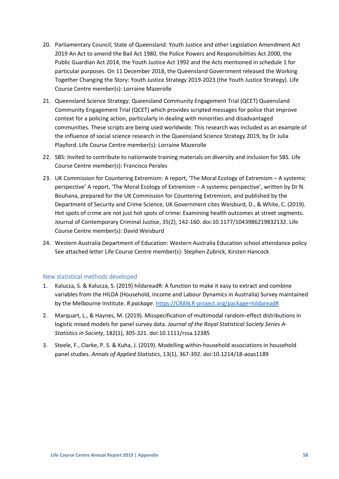- 20. Parliamentary Council; State of Queensland: Youth Justice and other Legislation Amendment Act 2019 An Act to amend the Bail Act 1980, the Police Powers and Responsibilities Act 2000, the Public Guardian Act 2014, the Youth Justice Act 1992 and the Acts mentioned in schedule 1 for particular purposes. On 11 December 2018, the Queensland Government released the Working Together Changing the Story: Youth Justice Strategy 2019-2023 (the Youth Justice Strategy). Life Course Centre member(s): Lorraine Mazerolle
- 21. Queensland Science Strategy: Queensland Community Engagement Trial (QCET) Queensland Community Engagement Trial (QCET) which provides scripted messages for police that improve context for a policing action, particularly in dealing with minorities and disadvantaged communities. These scripts are being used worldwide. This research was included as an example of the influence of social science research in the Queensland Science Strategy 2019, by Dr Julia Playford. Life Course Centre member(s): Lorraine Mazerolle
- 22. SBS: Invited to contribute to nationwide training materials on diversity and inclusion for SBS. Life Course Centre member(s): Francisco Perales
- 23. UK Commission for Countering Extremism: A report, 'The Moral Ecology of Extremism A systemic perspective' A report, 'The Moral Ecology of Extremism – A systemic perspective', written by Dr N. Bouhana, prepared for the UK Commission for Countering Extremism, and published by the Department of Security and Crime Science, UK Government cites Weisburd, D., & White, C. (2019). Hot spots of crime are not just hot spots of crime: Examining health outcomes at street segments. Journal of Contemporary Criminal Justice, 35(2), 142-160. doi:10.1177/1043986219832132. Life Course Centre member(s): David Weisburd
- 24. Western Australia Department of Education: Western Australia Education school attendance policy See attached letter Life Course Centre member(s): Stephen Zubrick, Kirsten Hancock

# <span id="page-57-0"></span>New statistical methods developed

- 1. Kalucza, S. & Kalucza, S. (2019) hildareadR: A function to make it easy to extract and combine variables from the HILDA (Household, Income and Labour Dynamics in Australia) Survey maintained by the Melbourne Institute. *R package*. [https://CRAN.R-project.org/package=hildareadR](https://cran.r-project.org/package=hildareadR)
- 2. Marquart, L., & Haynes, M. (2019). Misspecification of multimodal random-effect distributions in logistic mixed models for panel survey data. *Journal of the Royal Statistical Society Series A-Statistics in Society*, 182(1), 305-321. doi:10.1111/rssa.12385
- 3. Steele, F., Clarke, P. S. & Kuha, J. (2019). Modelling within-household associations in household panel studies. *Annals of Applied Statistics*, 13(1), 367-392. doi:10.1214/18-aoas1189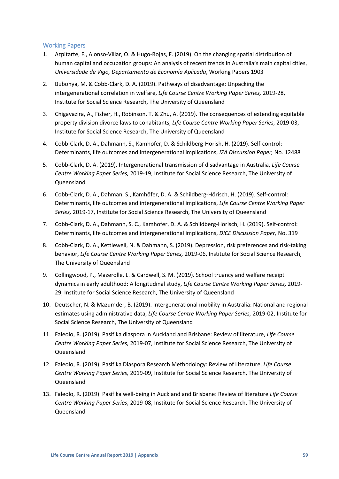# <span id="page-58-0"></span>Working Papers

- 1. Azpitarte, F., Alonso-Villar, O. & Hugo-Rojas, F. (2019). On the changing spatial distribution of human capital and occupation groups: An analysis of recent trends in Australia's main capital cities, *Universidade de Vigo, Departamento de Economía Aplicada*, Working Papers 1903
- 2. Bubonya, M. & Cobb-Clark, D. A. (2019). Pathways of disadvantage: Unpacking the intergenerational correlation in welfare, *Life Course Centre Working Paper Series,* 2019-28, Institute for Social Science Research, The University of Queensland
- 3. Chigavazira, A., Fisher, H., Robinson, T. & Zhu, A. (2019). The consequences of extending equitable property division divorce laws to cohabitants, *Life Course Centre Working Paper Series,* 2019-03, Institute for Social Science Research, The University of Queensland
- 4. Cobb-Clark, D. A., Dahmann, S., Kamhofer, D. & Schildberg-Horish, H. (2019). Self-control: Determinants, life outcomes and intergenerational implications, *IZA Discussion Paper,* No. 12488
- 5. Cobb-Clark, D. A. (2019). Intergenerational transmission of disadvantage in Australia, *Life Course Centre Working Paper Series,* 2019-19, Institute for Social Science Research, The University of Queensland
- 6. Cobb-Clark, D. A., Dahman, S., Kamhöfer, D. A. & Schildberg-Hörisch, H. (2019). Self-control: Determinants, life outcomes and intergenerational implications, *Life Course Centre Working Paper Series,* 2019-17, Institute for Social Science Research, The University of Queensland
- 7. Cobb-Clark, D. A., Dahmann, S. C., Kamhofer, D. A. & Schildberg-Hörisch, H. (2019). Self-control: Determinants, life outcomes and intergenerational implications, *DICE Discussion Paper,* No. 319
- 8. Cobb-Clark, D. A., Kettlewell, N. & Dahmann, S. (2019). Depression, risk preferences and risk-taking behavior, *Life Course Centre Working Paper Series,* 2019-06, Institute for Social Science Research, The University of Queensland
- 9. Collingwood, P., Mazerolle, L. & Cardwell, S. M. (2019). School truancy and welfare receipt dynamics in early adulthood: A longitudinal study, *Life Course Centre Working Paper Series,* 2019- 29, Institute for Social Science Research, The University of Queensland
- 10. Deutscher, N. & Mazumder, B. (2019). Intergenerational mobility in Australia: National and regional estimates using administrative data, *Life Course Centre Working Paper Series,* 2019-02, Institute for Social Science Research, The University of Queensland
- 11. Faleolo, R. (2019). Pasifika diaspora in Auckland and Brisbane: Review of literature, *Life Course Centre Working Paper Series,* 2019-07, Institute for Social Science Research, The University of Queensland
- 12. Faleolo, R. (2019). Pasifika Diaspora Research Methodology: Review of Literature, *Life Course Centre Working Paper Series,* 2019-09, Institute for Social Science Research, The University of Queensland
- 13. Faleolo, R. (2019). Pasifika well-being in Auckland and Brisbane: Review of literature *Life Course Centre Working Paper Series*, 2019-08, Institute for Social Science Research, The University of Queensland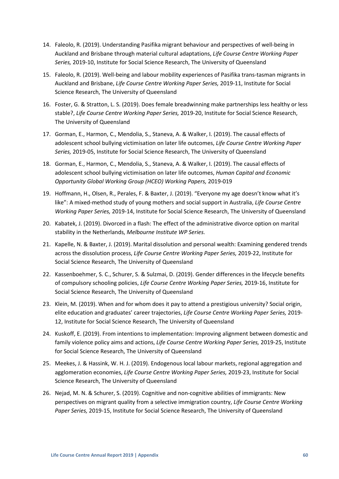- 14. Faleolo, R. (2019). Understanding Pasifika migrant behaviour and perspectives of well-being in Auckland and Brisbane through material cultural adaptations, *Life Course Centre Working Paper Series,* 2019-10, Institute for Social Science Research, The University of Queensland
- 15. Faleolo, R. (2019). Well-being and labour mobility experiences of Pasifika trans-tasman migrants in Auckland and Brisbane, *Life Course Centre Working Paper Series,* 2019-11, Institute for Social Science Research, The University of Queensland
- 16. Foster, G. & Stratton, L. S. (2019). Does female breadwinning make partnerships less healthy or less stable?, *Life Course Centre Working Paper Series,* 2019-20, Institute for Social Science Research, The University of Queensland
- 17. Gorman, E., Harmon, C., Mendolia, S., Staneva, A. & Walker, I. (2019). The causal effects of adolescent school bullying victimisation on later life outcomes, *Life Course Centre Working Paper Series,* 2019-05, Institute for Social Science Research, The University of Queensland
- 18. Gorman, E., Harmon, C., Mendolia, S., Staneva, A. & Walker, I. (2019). The causal effects of adolescent school bullying victimisation on later life outcomes, *Human Capital and Economic Opportunity Global Working Group (HCEO) Working Papers,* 2019-019
- 19. Hoffmann, H., Olsen, R., Perales, F. & Baxter, J. (2019). "Everyone my age doesn't know what it's like": A mixed-method study of young mothers and social support in Australia, *Life Course Centre Working Paper Series,* 2019-14, Institute for Social Science Research, The University of Queensland
- 20. Kabatek, J. (2019). Divorced in a flash: The effect of the administrative divorce option on marital stability in the Netherlands, *Melbourne Institute WP Series.*
- 21. Kapelle, N. & Baxter, J. (2019). Marital dissolution and personal wealth: Examining gendered trends across the dissolution process, *Life Course Centre Working Paper Series,* 2019-22, Institute for Social Science Research, The University of Queensland
- 22. Kassenboehmer, S. C., Schurer, S. & Sulzmai, D. (2019). Gender differences in the lifecycle benefits of compulsory schooling policies, *Life Course Centre Working Paper Series,* 2019-16, Institute for Social Science Research, The University of Queensland
- 23. Klein, M. (2019). When and for whom does it pay to attend a prestigious university? Social origin, elite education and graduates' career trajectories, *Life Course Centre Working Paper Series,* 2019- 12, Institute for Social Science Research, The University of Queensland
- 24. Kuskoff, E. (2019). From intentions to implementation: Improving alignment between domestic and family violence policy aims and actions, *Life Course Centre Working Paper Series,* 2019-25, Institute for Social Science Research, The University of Queensland
- 25. Meekes, J. & Hassink, W. H. J. (2019). Endogenous local labour markets, regional aggregation and agglomeration economies, *Life Course Centre Working Paper Series,* 2019-23, Institute for Social Science Research, The University of Queensland
- 26. Nejad, M. N. & Schurer, S. (2019). Cognitive and non-cognitive abilities of immigrants: New perspectives on migrant quality from a selective immigration country, *Life Course Centre Working Paper Series,* 2019-15, Institute for Social Science Research, The University of Queensland